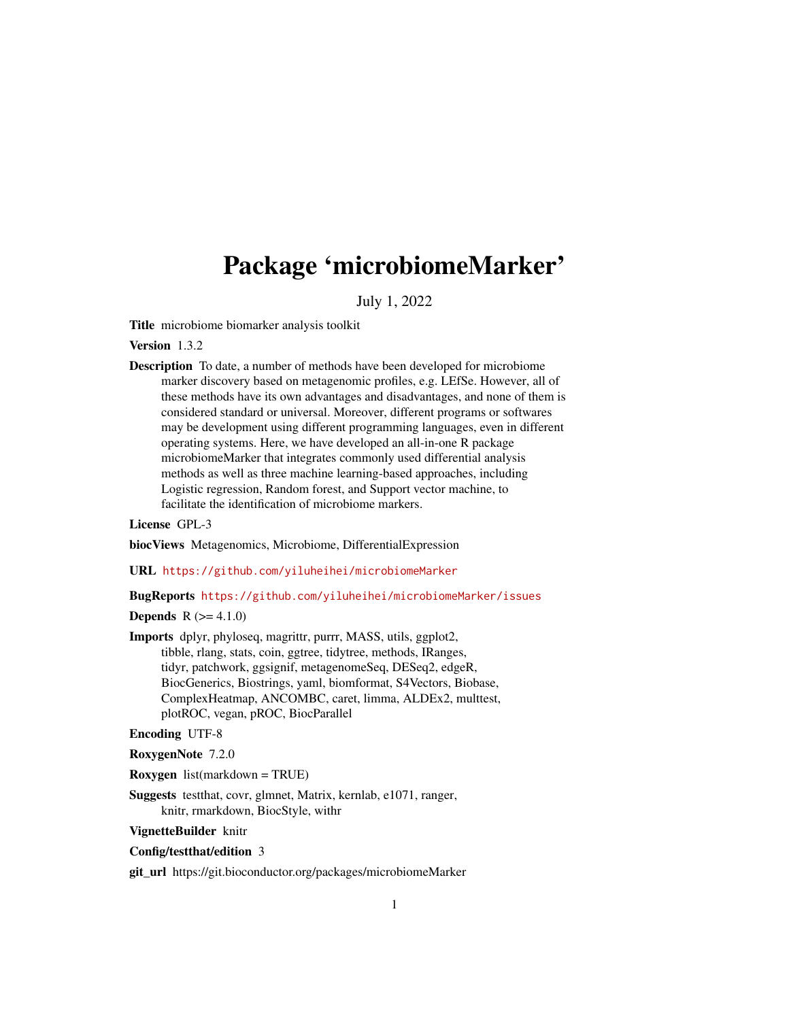# <span id="page-0-0"></span>Package 'microbiomeMarker'

July 1, 2022

Title microbiome biomarker analysis toolkit

Version 1.3.2

Description To date, a number of methods have been developed for microbiome marker discovery based on metagenomic profiles, e.g. LEfSe. However, all of these methods have its own advantages and disadvantages, and none of them is considered standard or universal. Moreover, different programs or softwares may be development using different programming languages, even in different operating systems. Here, we have developed an all-in-one R package microbiomeMarker that integrates commonly used differential analysis methods as well as three machine learning-based approaches, including Logistic regression, Random forest, and Support vector machine, to facilitate the identification of microbiome markers.

# License GPL-3

biocViews Metagenomics, Microbiome, DifferentialExpression

URL <https://github.com/yiluheihei/microbiomeMarker>

BugReports <https://github.com/yiluheihei/microbiomeMarker/issues>

**Depends**  $R (= 4.1.0)$ 

Imports dplyr, phyloseq, magrittr, purrr, MASS, utils, ggplot2, tibble, rlang, stats, coin, ggtree, tidytree, methods, IRanges, tidyr, patchwork, ggsignif, metagenomeSeq, DESeq2, edgeR, BiocGenerics, Biostrings, yaml, biomformat, S4Vectors, Biobase, ComplexHeatmap, ANCOMBC, caret, limma, ALDEx2, multtest, plotROC, vegan, pROC, BiocParallel

Encoding UTF-8

RoxygenNote 7.2.0

Roxygen list(markdown = TRUE)

Suggests testthat, covr, glmnet, Matrix, kernlab, e1071, ranger, knitr, rmarkdown, BiocStyle, withr

VignetteBuilder knitr

#### Config/testthat/edition 3

git\_url https://git.bioconductor.org/packages/microbiomeMarker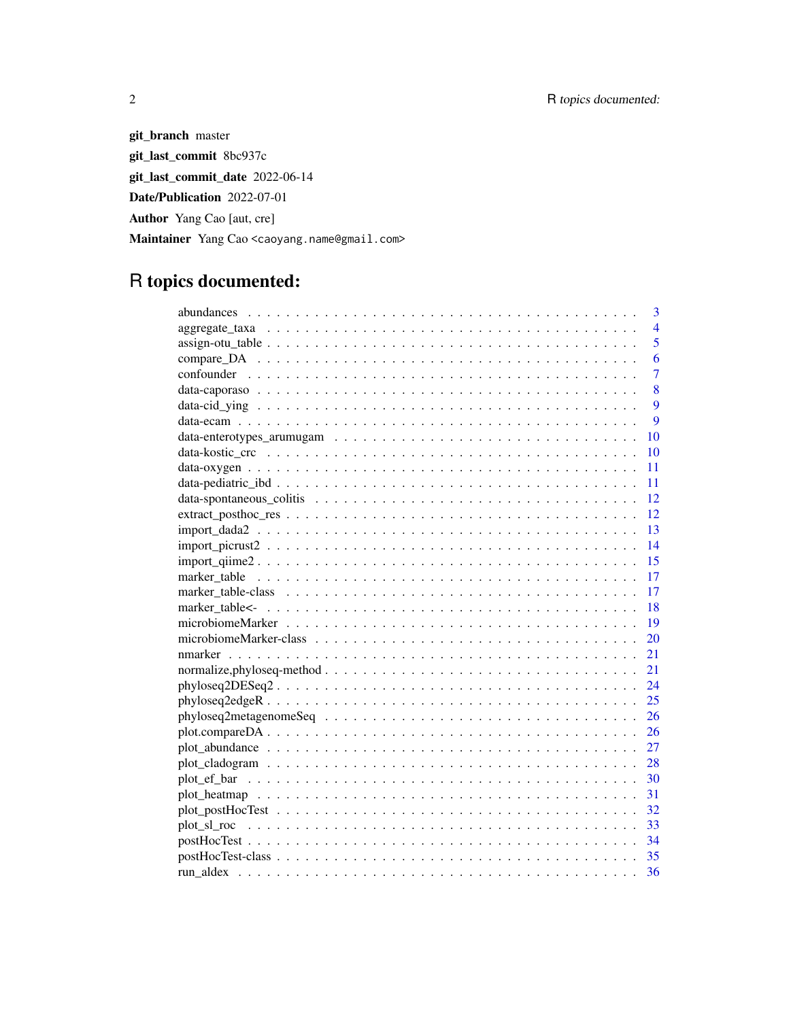git\_branch master git\_last\_commit 8bc937c git\_last\_commit\_date 2022-06-14 Date/Publication 2022-07-01 Author Yang Cao [aut, cre] Maintainer Yang Cao <caoyang.name@gmail.com>

# R topics documented:

|                                                                                                                | $\overline{3}$ |
|----------------------------------------------------------------------------------------------------------------|----------------|
|                                                                                                                | $\overline{4}$ |
|                                                                                                                | 5              |
|                                                                                                                | 6              |
|                                                                                                                | $\overline{7}$ |
|                                                                                                                | 8              |
|                                                                                                                | 9              |
|                                                                                                                | 9              |
| 10                                                                                                             |                |
|                                                                                                                | 10             |
| 11                                                                                                             |                |
| 11                                                                                                             |                |
| 12                                                                                                             |                |
| 12                                                                                                             |                |
| 13<br>$import_data2 \dots \dots \dots \dots \dots \dots \dots \dots \dots \dots \dots \dots \dots \dots \dots$ |                |
| 14                                                                                                             |                |
| 15                                                                                                             |                |
| 17                                                                                                             |                |
| 17                                                                                                             |                |
| 18                                                                                                             |                |
| 19                                                                                                             |                |
| 20                                                                                                             |                |
| 21                                                                                                             |                |
| 21                                                                                                             |                |
| 24                                                                                                             |                |
| 25                                                                                                             |                |
| 26                                                                                                             |                |
| 26                                                                                                             |                |
| 27                                                                                                             |                |
| 28                                                                                                             |                |
| 30                                                                                                             |                |
| 31                                                                                                             |                |
| 32                                                                                                             |                |
| 33                                                                                                             |                |
| -34                                                                                                            |                |
| 35                                                                                                             |                |
| 36                                                                                                             |                |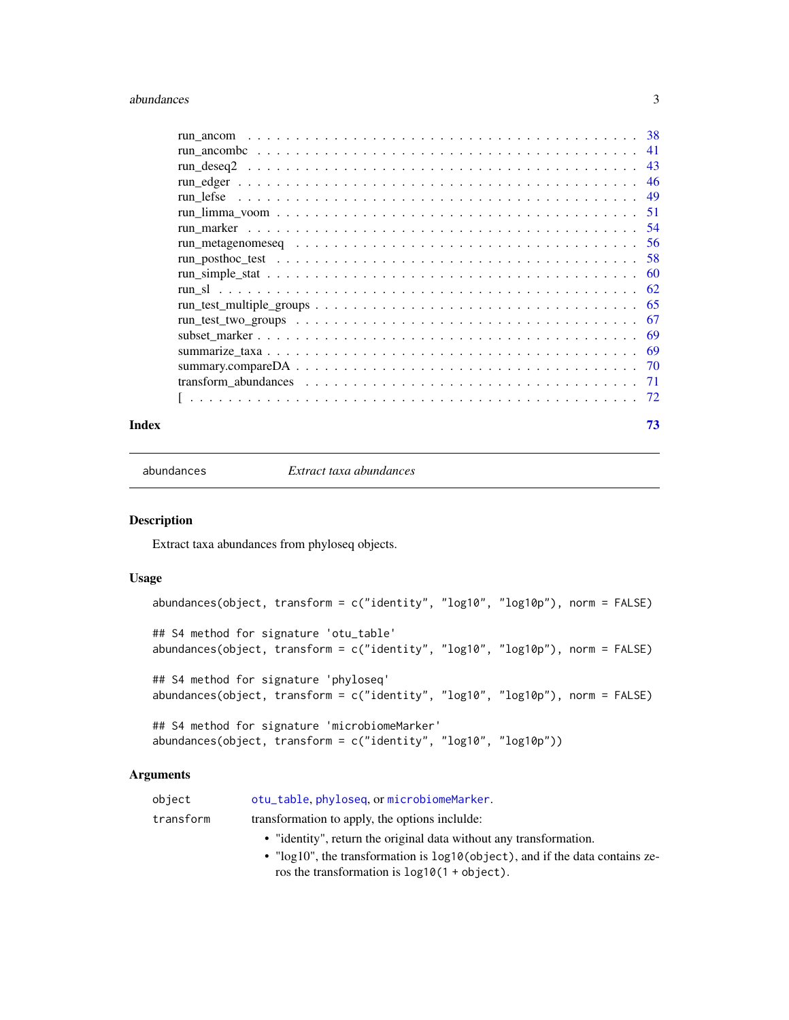#### <span id="page-2-0"></span>abundances 3

|                                                                                                                 | 41  |
|-----------------------------------------------------------------------------------------------------------------|-----|
|                                                                                                                 | 43  |
|                                                                                                                 | 46  |
|                                                                                                                 | 49  |
|                                                                                                                 | 51  |
|                                                                                                                 | -54 |
|                                                                                                                 | 56  |
|                                                                                                                 | .58 |
|                                                                                                                 | 60  |
|                                                                                                                 | 62  |
|                                                                                                                 | 65  |
| $run_test_two_grows \ldots \ldots \ldots \ldots \ldots \ldots \ldots \ldots \ldots \ldots \ldots \ldots \ldots$ | 67  |
|                                                                                                                 | -69 |
|                                                                                                                 | -69 |
|                                                                                                                 |     |
|                                                                                                                 |     |
|                                                                                                                 |     |
|                                                                                                                 |     |

#### **Index** [73](#page-72-0)

abundances *Extract taxa abundances*

#### Description

Extract taxa abundances from phyloseq objects.

#### Usage

```
abundances(object, transform = c("identity", "log10", "log10p"), norm = FALSE)
## S4 method for signature 'otu_table'
abundances(object, transform = c("identity", "log10", "log10p"), norm = FALSE)
## S4 method for signature 'phyloseq'
abundances(object, transform = c("identity", "log10", "log10p"), norm = FALSE)
## S4 method for signature 'microbiomeMarker'
abundances(object, transform = c("identity", "log10", "log10p"))
```
#### Arguments

| obiect    | otu_table.phyloseq.ormicrobiomeMarker.                             |
|-----------|--------------------------------------------------------------------|
| transform | transformation to apply, the options include:                      |
|           | • "identity", return the original data without any transformation. |

• "log10", the transformation is log10(object), and if the data contains zeros the transformation is log10(1 + object).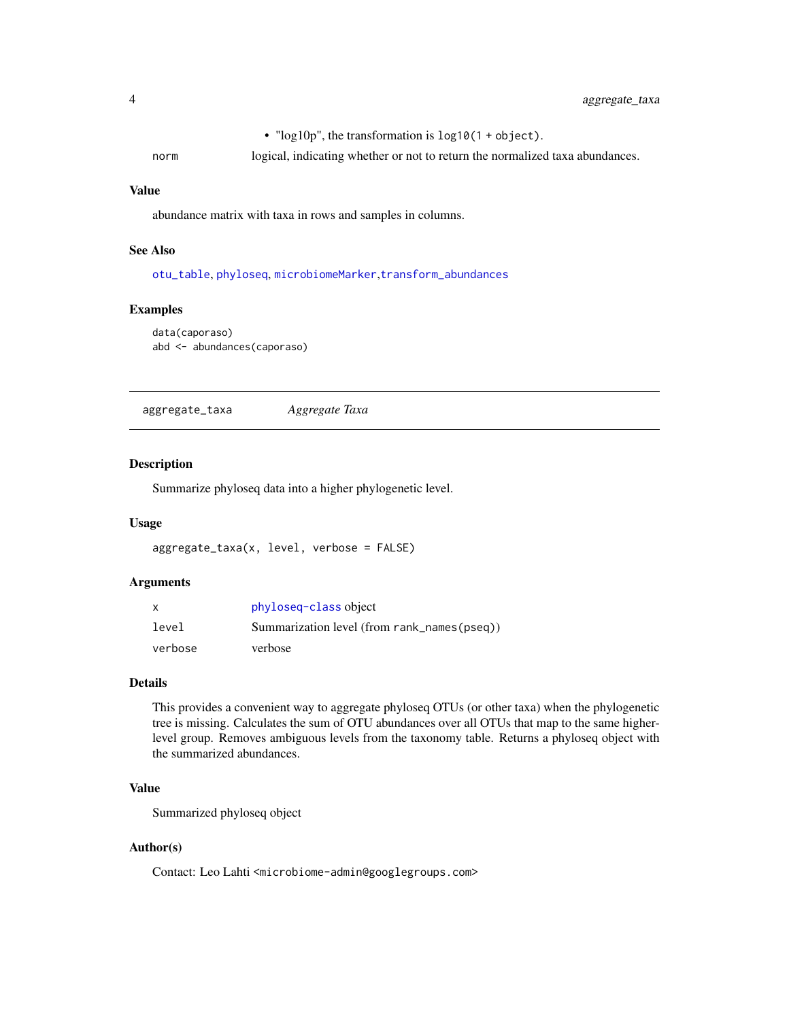• "log10p", the transformation is log10(1 + object).

<span id="page-3-0"></span>norm logical, indicating whether or not to return the normalized taxa abundances.

#### Value

abundance matrix with taxa in rows and samples in columns.

# See Also

[otu\\_table](#page-0-0), [phyloseq](#page-0-0), [microbiomeMarker](#page-19-1),[transform\\_abundances](#page-70-1)

#### Examples

```
data(caporaso)
abd <- abundances(caporaso)
```
aggregate\_taxa *Aggregate Taxa*

#### Description

Summarize phyloseq data into a higher phylogenetic level.

#### Usage

```
aggregate_taxa(x, level, verbose = FALSE)
```
#### Arguments

| $\mathsf{x}$ | phyloseg-class object                       |
|--------------|---------------------------------------------|
| level        | Summarization level (from rank_names(pseq)) |
| verbose      | verbose                                     |

#### Details

This provides a convenient way to aggregate phyloseq OTUs (or other taxa) when the phylogenetic tree is missing. Calculates the sum of OTU abundances over all OTUs that map to the same higherlevel group. Removes ambiguous levels from the taxonomy table. Returns a phyloseq object with the summarized abundances.

#### Value

Summarized phyloseq object

#### Author(s)

Contact: Leo Lahti <microbiome-admin@googlegroups.com>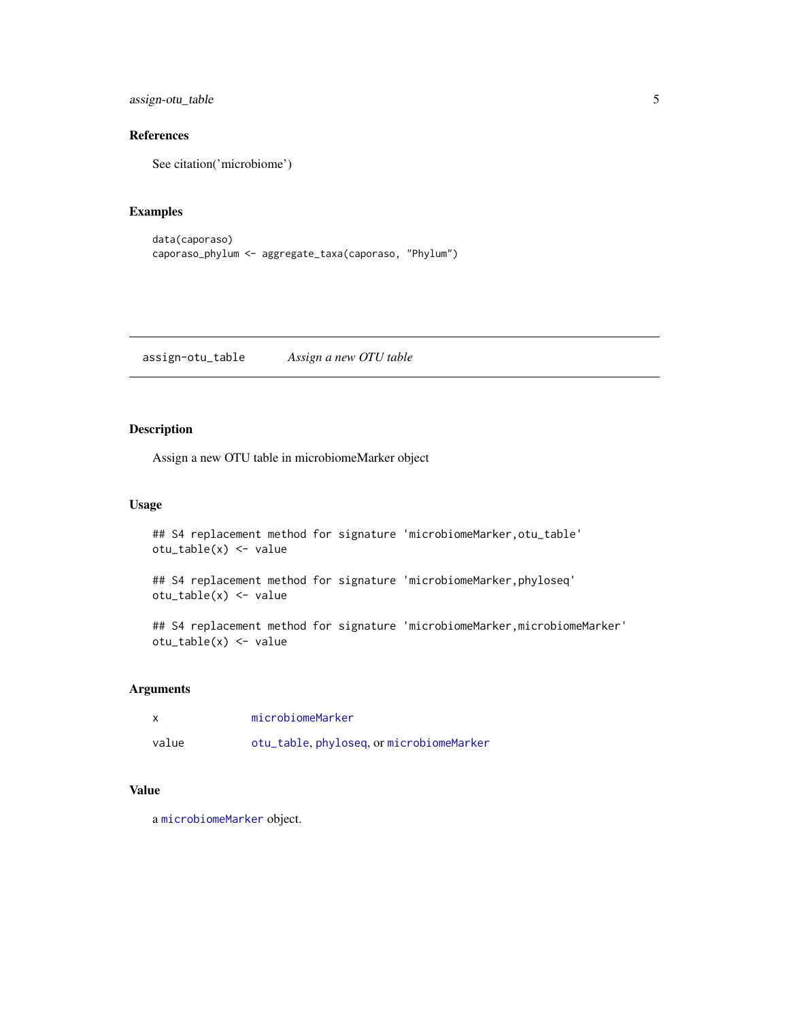<span id="page-4-0"></span>assign-otu\_table 5

# References

See citation('microbiome')

# Examples

```
data(caporaso)
caporaso_phylum <- aggregate_taxa(caporaso, "Phylum")
```
assign-otu\_table *Assign a new OTU table*

# Description

Assign a new OTU table in microbiomeMarker object

# Usage

```
## S4 replacement method for signature 'microbiomeMarker, otu_table'
otu_table(x) <- value
```
## S4 replacement method for signature 'microbiomeMarker,phyloseq' otu\_table(x) <- value

## S4 replacement method for signature 'microbiomeMarker, microbiomeMarker' otu\_table(x) <- value

#### Arguments

| $\boldsymbol{\mathsf{x}}$ | microbiomeMarker                         |
|---------------------------|------------------------------------------|
| value                     | otu_table, phyloseq, or microbiomeMarker |

# Value

a [microbiomeMarker](#page-19-1) object.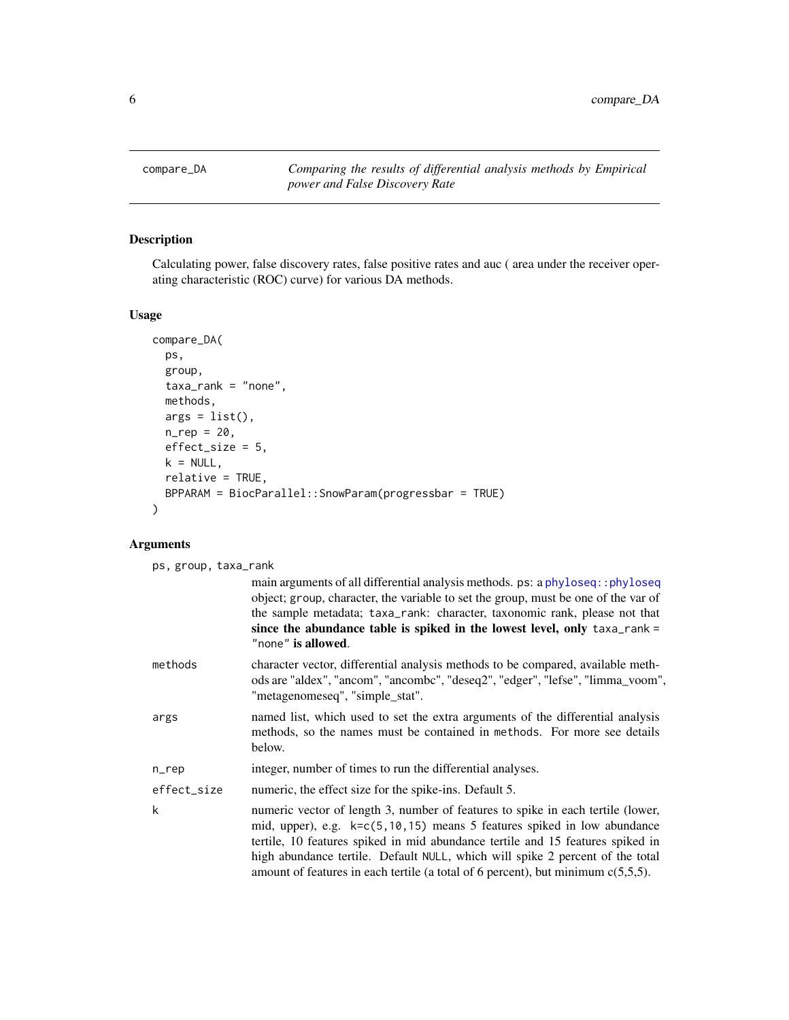<span id="page-5-1"></span><span id="page-5-0"></span>compare\_DA *Comparing the results of differential analysis methods by Empirical power and False Discovery Rate*

# Description

Calculating power, false discovery rates, false positive rates and auc ( area under the receiver operating characteristic (ROC) curve) for various DA methods.

# Usage

```
compare_DA(
 ps,
 group,
 taxa_rank = "none",
 methods,
 args = list(),n_{rep} = 20,effect_size = 5,
 k = NULL,relative = TRUE,
 BPPARAM = BiocParallel::SnowParam(progressbar = TRUE)
\mathcal{E}
```
# Arguments

| main arguments of all differential analysis methods. ps: a phyloseq:: phyloseq<br>object; group, character, the variable to set the group, must be one of the var of<br>the sample metadata; taxa_rank: character, taxonomic rank, please not that<br>since the abundance table is spiked in the lowest level, only $taxa-rank =$<br>"none" is allowed.<br>character vector, differential analysis methods to be compared, available meth-<br>"metagenomeseq", "simple_stat".<br>named list, which used to set the extra arguments of the differential analysis<br>methods, so the names must be contained in methods. For more see details<br>below.<br>integer, number of times to run the differential analyses.<br>numeric, the effect size for the spike-ins. Default 5.<br>numeric vector of length 3, number of features to spike in each tertile (lower,<br>mid, upper), e.g. k=c(5,10,15) means 5 features spiked in low abundance<br>tertile, 10 features spiked in mid abundance tertile and 15 features spiked in<br>high abundance tertile. Default NULL, which will spike 2 percent of the total<br>amount of features in each tertile (a total of 6 percent), but minimum $c(5,5,5)$ . | ps, group, taxa_rank |                                                                                |
|-------------------------------------------------------------------------------------------------------------------------------------------------------------------------------------------------------------------------------------------------------------------------------------------------------------------------------------------------------------------------------------------------------------------------------------------------------------------------------------------------------------------------------------------------------------------------------------------------------------------------------------------------------------------------------------------------------------------------------------------------------------------------------------------------------------------------------------------------------------------------------------------------------------------------------------------------------------------------------------------------------------------------------------------------------------------------------------------------------------------------------------------------------------------------------------------------------|----------------------|--------------------------------------------------------------------------------|
|                                                                                                                                                                                                                                                                                                                                                                                                                                                                                                                                                                                                                                                                                                                                                                                                                                                                                                                                                                                                                                                                                                                                                                                                       |                      |                                                                                |
|                                                                                                                                                                                                                                                                                                                                                                                                                                                                                                                                                                                                                                                                                                                                                                                                                                                                                                                                                                                                                                                                                                                                                                                                       | methods              | ods are "aldex", "ancom", "ancombc", "deseq2", "edger", "lefse", "limma_voom", |
|                                                                                                                                                                                                                                                                                                                                                                                                                                                                                                                                                                                                                                                                                                                                                                                                                                                                                                                                                                                                                                                                                                                                                                                                       | args                 |                                                                                |
|                                                                                                                                                                                                                                                                                                                                                                                                                                                                                                                                                                                                                                                                                                                                                                                                                                                                                                                                                                                                                                                                                                                                                                                                       | $n$ _rep             |                                                                                |
|                                                                                                                                                                                                                                                                                                                                                                                                                                                                                                                                                                                                                                                                                                                                                                                                                                                                                                                                                                                                                                                                                                                                                                                                       | effect_size          |                                                                                |
|                                                                                                                                                                                                                                                                                                                                                                                                                                                                                                                                                                                                                                                                                                                                                                                                                                                                                                                                                                                                                                                                                                                                                                                                       | k                    |                                                                                |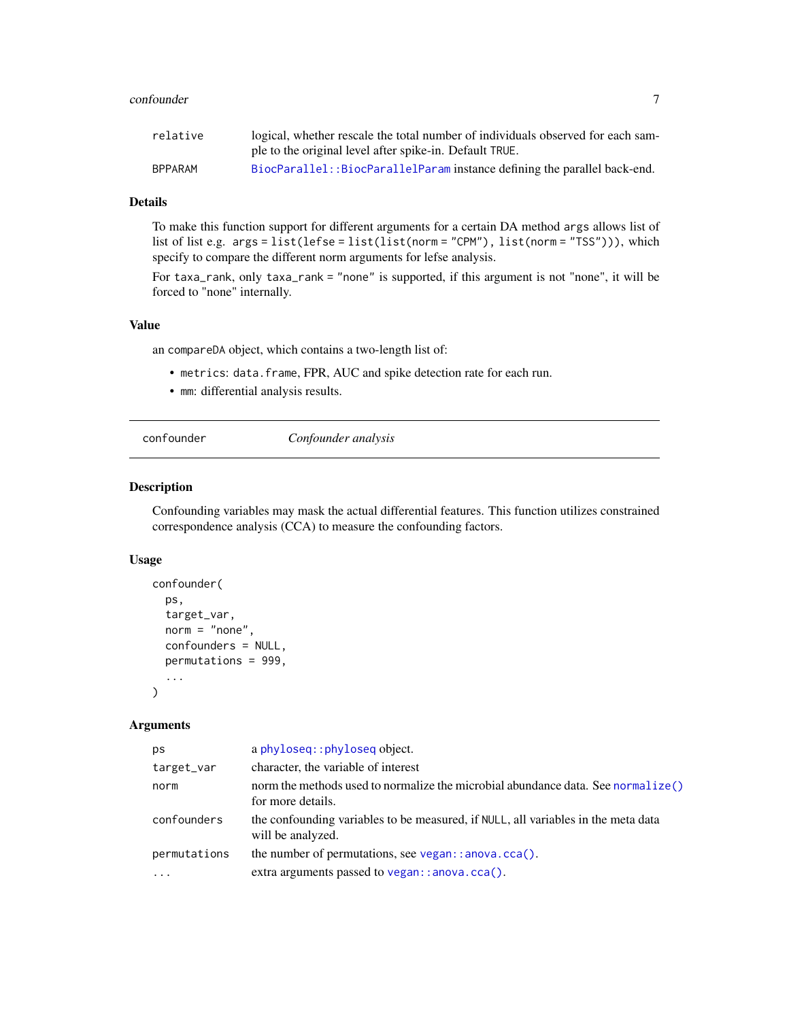#### <span id="page-6-0"></span>confounder 7 and 2008 and 2008 and 2008 and 2008 and 2008 and 2008 and 2008 and 2008 and 2008 and 2008 and 200

| relative       | logical, whether rescale the total number of individuals observed for each sam- |
|----------------|---------------------------------------------------------------------------------|
|                | ple to the original level after spike-in. Default TRUE.                         |
| <b>BPPARAM</b> | BiocParallel: :BiocParallelParam instance defining the parallel back-end.       |

## Details

To make this function support for different arguments for a certain DA method args allows list of list of list e.g. args = list(lefse = list(list(norm = "CPM"), list(norm = "TSS"))), which specify to compare the different norm arguments for lefse analysis.

For taxa\_rank, only taxa\_rank = "none" is supported, if this argument is not "none", it will be forced to "none" internally.

# Value

an compareDA object, which contains a two-length list of:

- metrics: data.frame, FPR, AUC and spike detection rate for each run.
- mm: differential analysis results.

confounder *Confounder analysis*

## Description

Confounding variables may mask the actual differential features. This function utilizes constrained correspondence analysis (CCA) to measure the confounding factors.

#### Usage

```
confounder(
  ps,
  target_var,
  norm = "none",
  confounders = NULL,
  permutations = 999,
  ...
)
```
#### Arguments

| ps           | a phyloseq:: phyloseq object.                                                                          |
|--------------|--------------------------------------------------------------------------------------------------------|
| target_var   | character, the variable of interest                                                                    |
| norm         | norm the methods used to normalize the microbial abundance data. See normalize()<br>for more details.  |
| confounders  | the confounding variables to be measured, if NULL, all variables in the meta data<br>will be analyzed. |
| permutations | the number of permutations, see $vegan$ : anova.cca().                                                 |
| $\cdot$      | extra arguments passed to vegan: : anova.cca().                                                        |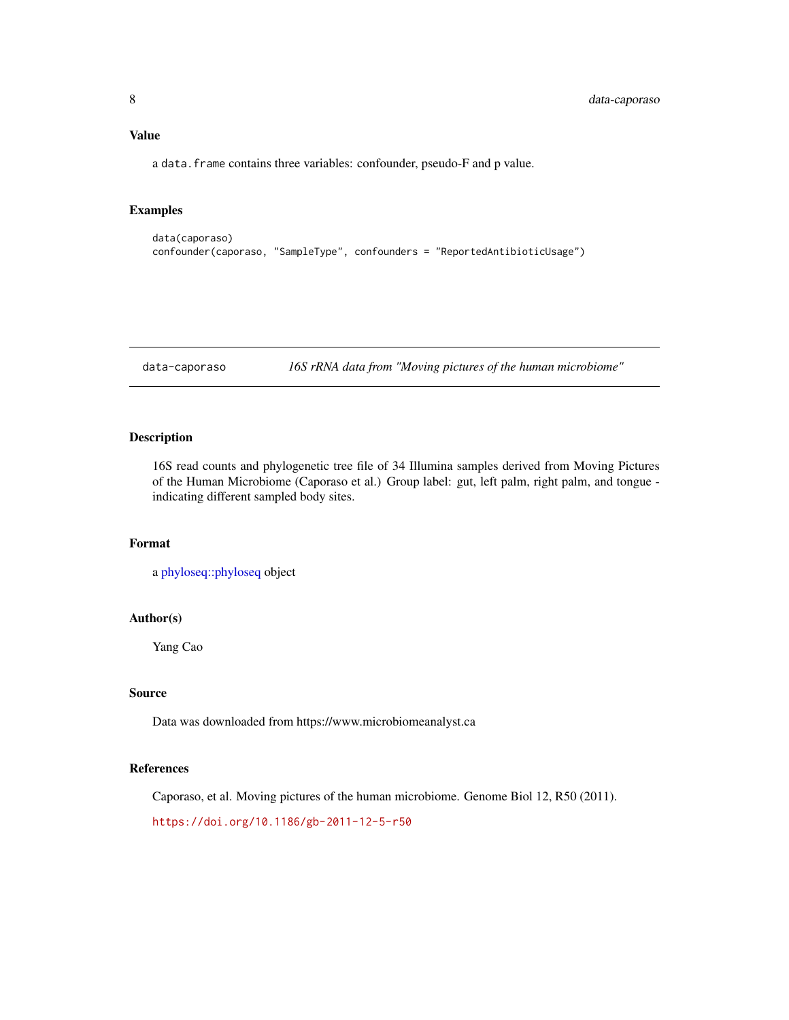# <span id="page-7-0"></span>Value

a data.frame contains three variables: confounder, pseudo-F and p value.

#### Examples

```
data(caporaso)
confounder(caporaso, "SampleType", confounders = "ReportedAntibioticUsage")
```
data-caporaso *16S rRNA data from "Moving pictures of the human microbiome"*

#### Description

16S read counts and phylogenetic tree file of 34 Illumina samples derived from Moving Pictures of the Human Microbiome (Caporaso et al.) Group label: gut, left palm, right palm, and tongue indicating different sampled body sites.

#### Format

```
a phyloseq::phyloseq object
```
#### Author(s)

Yang Cao

# Source

Data was downloaded from https://www.microbiomeanalyst.ca

#### References

Caporaso, et al. Moving pictures of the human microbiome. Genome Biol 12, R50 (2011).

<https://doi.org/10.1186/gb-2011-12-5-r50>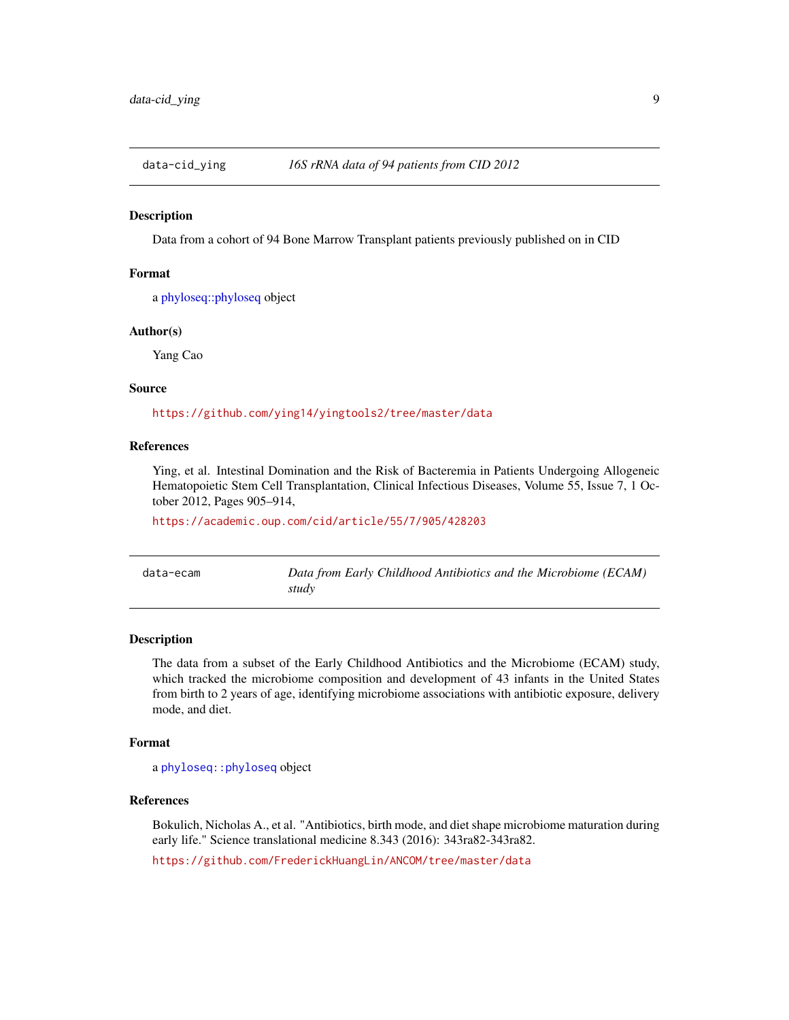<span id="page-8-0"></span>

Data from a cohort of 94 Bone Marrow Transplant patients previously published on in CID

#### Format

a [phyloseq::phyloseq](#page-0-0) object

#### Author(s)

Yang Cao

# Source

<https://github.com/ying14/yingtools2/tree/master/data>

# References

Ying, et al. Intestinal Domination and the Risk of Bacteremia in Patients Undergoing Allogeneic Hematopoietic Stem Cell Transplantation, Clinical Infectious Diseases, Volume 55, Issue 7, 1 October 2012, Pages 905–914,

<https://academic.oup.com/cid/article/55/7/905/428203>

| data-ecam | Data from Early Childhood Antibiotics and the Microbiome (ECAM) |
|-----------|-----------------------------------------------------------------|
|           | study                                                           |

#### Description

The data from a subset of the Early Childhood Antibiotics and the Microbiome (ECAM) study, which tracked the microbiome composition and development of 43 infants in the United States from birth to 2 years of age, identifying microbiome associations with antibiotic exposure, delivery mode, and diet.

# Format

a [phyloseq::phyloseq](#page-0-0) object

# References

Bokulich, Nicholas A., et al. "Antibiotics, birth mode, and diet shape microbiome maturation during early life." Science translational medicine 8.343 (2016): 343ra82-343ra82.

<https://github.com/FrederickHuangLin/ANCOM/tree/master/data>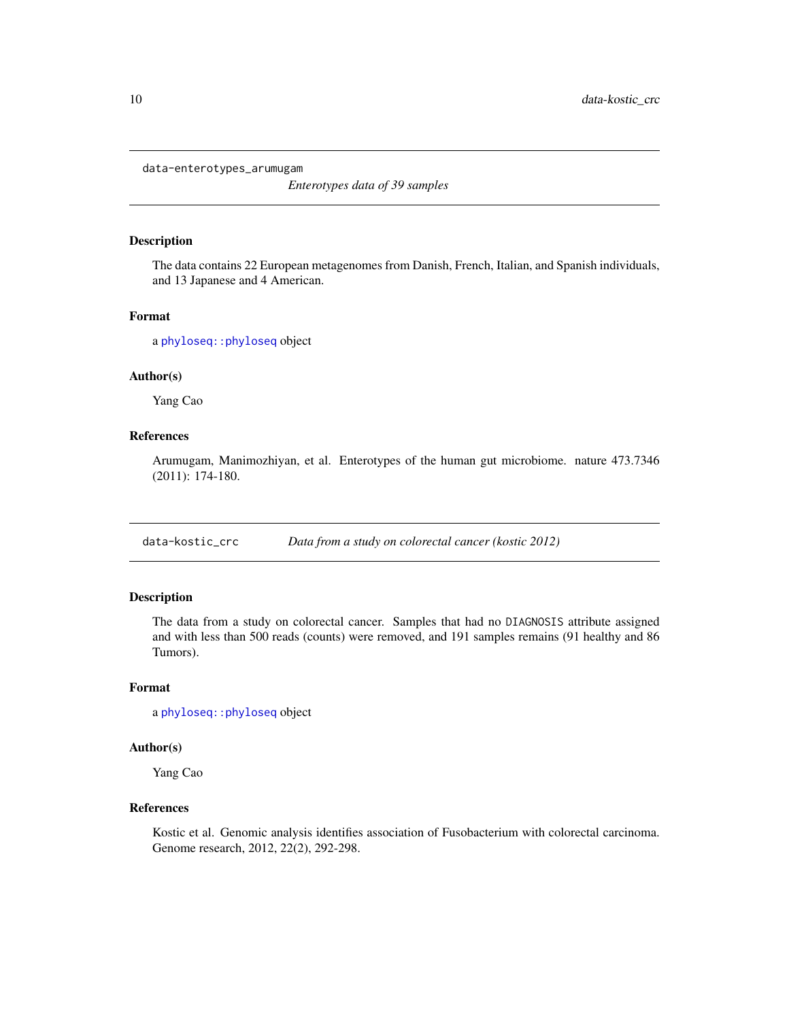<span id="page-9-0"></span>data-enterotypes\_arumugam

*Enterotypes data of 39 samples*

#### Description

The data contains 22 European metagenomes from Danish, French, Italian, and Spanish individuals, and 13 Japanese and 4 American.

#### Format

a [phyloseq::phyloseq](#page-0-0) object

#### Author(s)

Yang Cao

# References

Arumugam, Manimozhiyan, et al. Enterotypes of the human gut microbiome. nature 473.7346 (2011): 174-180.

data-kostic\_crc *Data from a study on colorectal cancer (kostic 2012)*

#### Description

The data from a study on colorectal cancer. Samples that had no DIAGNOSIS attribute assigned and with less than 500 reads (counts) were removed, and 191 samples remains (91 healthy and 86 Tumors).

# Format

a [phyloseq::phyloseq](#page-0-0) object

#### Author(s)

Yang Cao

#### References

Kostic et al. Genomic analysis identifies association of Fusobacterium with colorectal carcinoma. Genome research, 2012, 22(2), 292-298.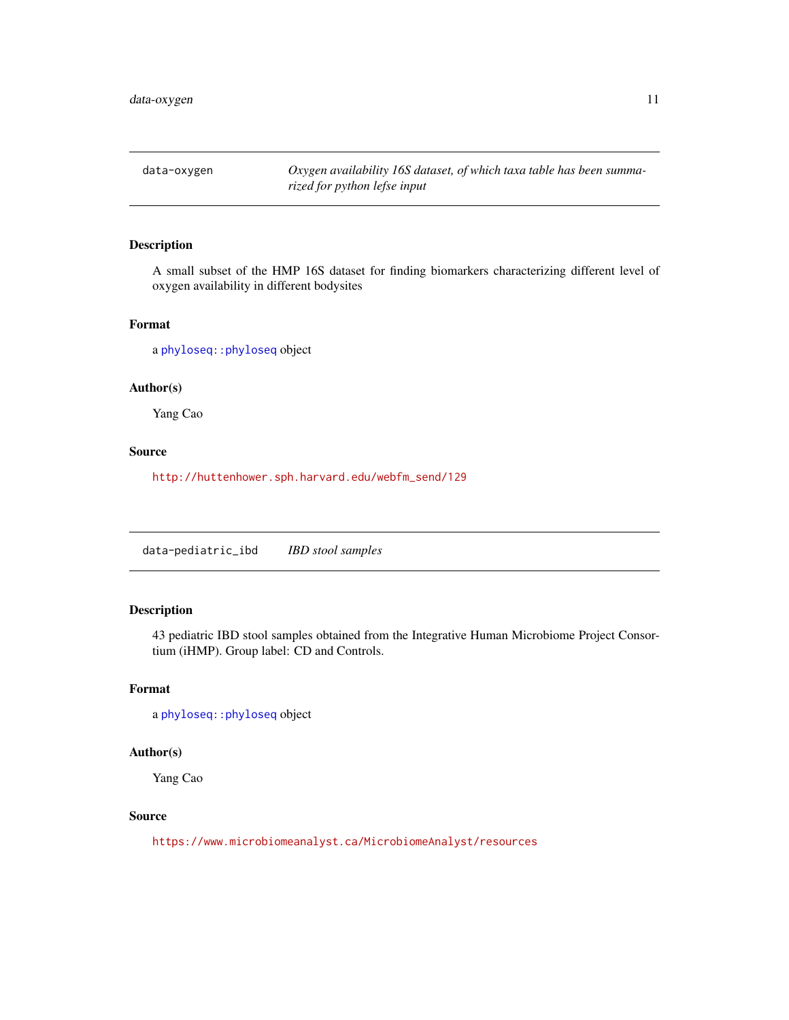<span id="page-10-0"></span>data-oxygen *Oxygen availability 16S dataset, of which taxa table has been summarized for python lefse input*

# Description

A small subset of the HMP 16S dataset for finding biomarkers characterizing different level of oxygen availability in different bodysites

#### Format

a [phyloseq::phyloseq](#page-0-0) object

#### Author(s)

Yang Cao

#### Source

[http://huttenhower.sph.harvard.edu/webfm\\_send/129](http://huttenhower.sph.harvard.edu/webfm_send/129)

data-pediatric\_ibd *IBD stool samples*

# Description

43 pediatric IBD stool samples obtained from the Integrative Human Microbiome Project Consortium (iHMP). Group label: CD and Controls.

#### Format

a [phyloseq::phyloseq](#page-0-0) object

# Author(s)

Yang Cao

#### Source

<https://www.microbiomeanalyst.ca/MicrobiomeAnalyst/resources>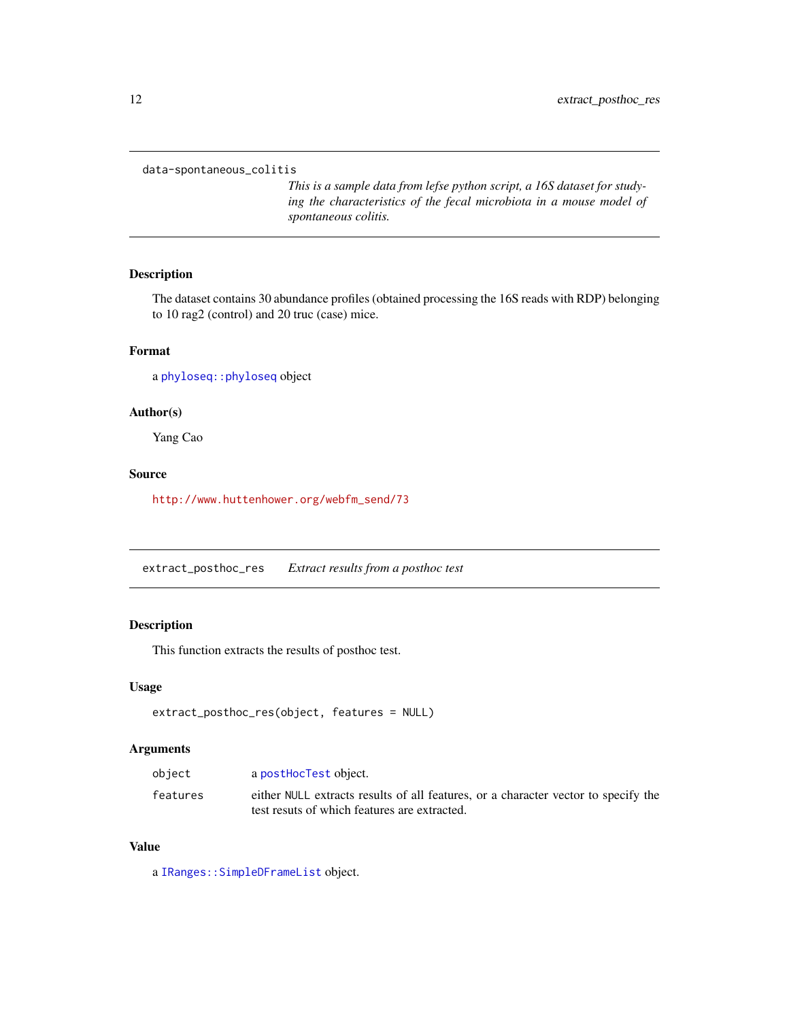<span id="page-11-0"></span>data-spontaneous\_colitis

*This is a sample data from lefse python script, a 16S dataset for studying the characteristics of the fecal microbiota in a mouse model of spontaneous colitis.*

# Description

The dataset contains 30 abundance profiles (obtained processing the 16S reads with RDP) belonging to 10 rag2 (control) and 20 truc (case) mice.

#### Format

a [phyloseq::phyloseq](#page-0-0) object

# Author(s)

Yang Cao

# Source

[http://www.huttenhower.org/webfm\\_send/73](http://www.huttenhower.org/webfm_send/73)

extract\_posthoc\_res *Extract results from a posthoc test*

# Description

This function extracts the results of posthoc test.

#### Usage

```
extract_posthoc_res(object, features = NULL)
```
#### Arguments

| object   | a posthocTest object.                                                                                                              |
|----------|------------------------------------------------------------------------------------------------------------------------------------|
| features | either NULL extracts results of all features, or a character vector to specify the<br>test resuts of which features are extracted. |

#### Value

a [IRanges::SimpleDFrameList](#page-0-0) object.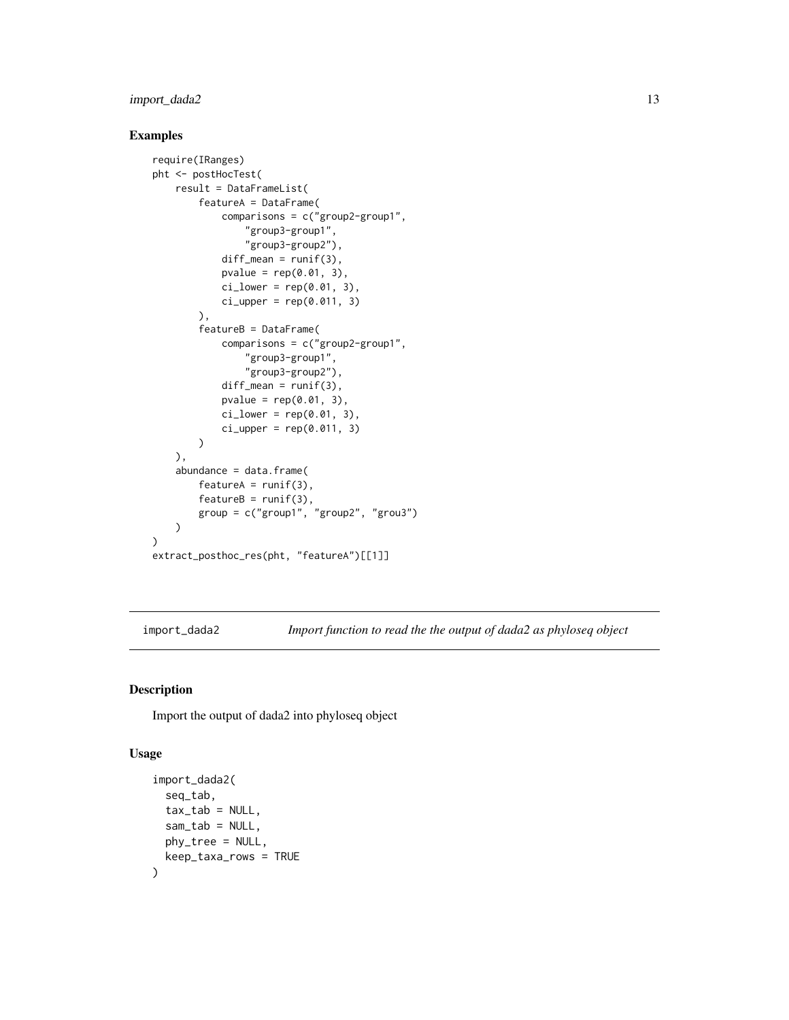# <span id="page-12-0"></span>import\_dada2 13

# Examples

```
require(IRanges)
pht <- postHocTest(
    result = DataFrameList(
        featureA = DataFrame(
            comparisons = c("group2-group1",
                "group3-group1",
                "group3-group2"),
            diff_mean = runif(3),
            pvalue = rep(0.01, 3),
            ci_lower = rep(0.01, 3),ci\_upper = rep(0.011, 3)),
        featureB = DataFrame(
            comparisons = c("group2-group1",
                "group3-group1",
                "group3-group2"),
            diff\_mean = runif(3),
            pvalue = rep(0.01, 3),ci_lower = rep(0.01, 3),ci\_upper = rep(0.011, 3))
   ),
    abundance = data.frame(
        featureA = runif(3),
        featureB = runif(3),
        group = c("group1", "group2", "grou3")
   )
\mathcal{L}extract_posthoc_res(pht, "featureA")[[1]]
```
import\_dada2 *Import function to read the the output of dada2 as phyloseq object*

# Description

Import the output of dada2 into phyloseq object

#### Usage

```
import_dada2(
  seq_tab,
  tax_table = NULL,sam\_tab = NULL,phy_tree = NULL,
  keep_taxa_rows = TRUE
)
```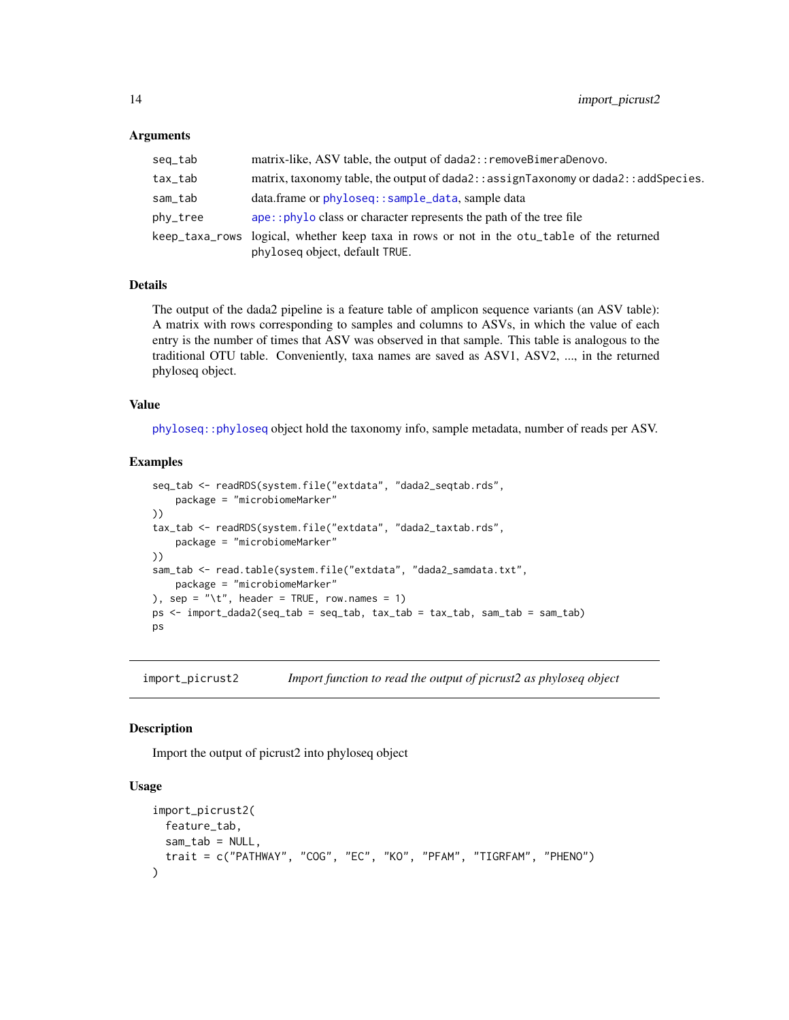#### <span id="page-13-0"></span>Arguments

| seq_tab  | matrix-like, ASV table, the output of dada2:: removeBimeraDenovo.                           |
|----------|---------------------------------------------------------------------------------------------|
| tax_tab  | matrix, taxonomy table, the output of $dada2$ : : assignTaxonomy or $dada2$ : : addSpecies. |
| sam_tab  | data.frame or phyloseq::sample_data, sample data                                            |
| phy_tree | ape:: phyloclass or character represents the path of the tree file                          |
|          | keep_taxa_rows logical, whether keep taxa in rows or not in the otu_table of the returned   |
|          | phyloseq object, default TRUE.                                                              |

#### Details

The output of the dada2 pipeline is a feature table of amplicon sequence variants (an ASV table): A matrix with rows corresponding to samples and columns to ASVs, in which the value of each entry is the number of times that ASV was observed in that sample. This table is analogous to the traditional OTU table. Conveniently, taxa names are saved as ASV1, ASV2, ..., in the returned phyloseq object.

#### Value

[phyloseq::phyloseq](#page-0-0) object hold the taxonomy info, sample metadata, number of reads per ASV.

#### Examples

```
seq_tab <- readRDS(system.file("extdata", "dada2_seqtab.rds",
   package = "microbiomeMarker"
))
tax_tab <- readRDS(system.file("extdata", "dada2_taxtab.rds",
    package = "microbiomeMarker"
))
sam_tab <- read.table(system.file("extdata", "dada2_samdata.txt",
    package = "microbiomeMarker"
), sep = \sqrt[n]{t}, header = TRUE, row.names = 1)
ps <- import_dada2(seq_tab = seq_tab, tax_tab = tax_tab, sam_tab = sam_tab)
ps
```
import\_picrust2 *Import function to read the output of picrust2 as phyloseq object*

# Description

Import the output of picrust2 into phyloseq object

#### Usage

```
import_picrust2(
 feature_tab,
  sam_tab = NULL,
  trait = c("PATHWAY", "COG", "EC", "KO", "PFAM", "TIGRFAM", "PHENO")
)
```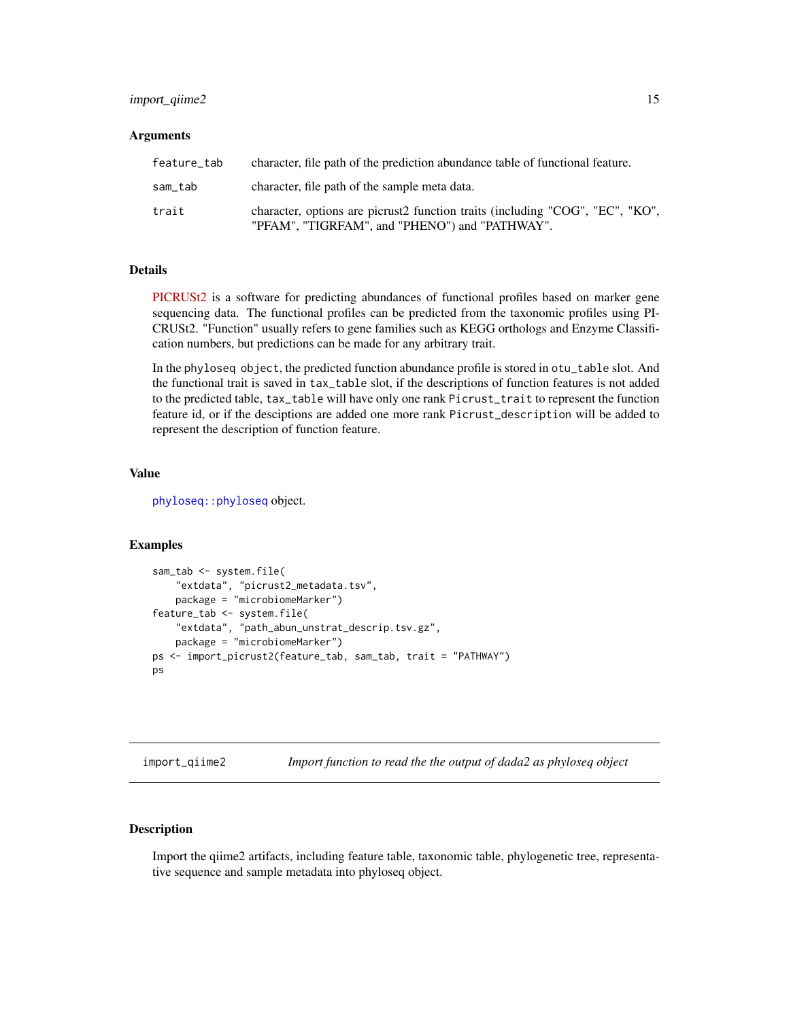# <span id="page-14-0"></span>import\_qiime2 15

#### Arguments

| feature tab | character, file path of the prediction abundance table of functional feature.                                                   |
|-------------|---------------------------------------------------------------------------------------------------------------------------------|
| sam tab     | character, file path of the sample meta data.                                                                                   |
| trait       | character, options are picrust2 function traits (including "COG", "EC", "KO",<br>"PFAM", "TIGRFAM", and "PHENO") and "PATHWAY". |

# Details

[PICRUSt2](https://huttenhower.sph.harvard.edu/picrust/) is a software for predicting abundances of functional profiles based on marker gene sequencing data. The functional profiles can be predicted from the taxonomic profiles using PI-CRUSt2. "Function" usually refers to gene families such as KEGG orthologs and Enzyme Classification numbers, but predictions can be made for any arbitrary trait.

In the phyloseq object, the predicted function abundance profile is stored in otu\_table slot. And the functional trait is saved in tax\_table slot, if the descriptions of function features is not added to the predicted table, tax\_table will have only one rank Picrust\_trait to represent the function feature id, or if the desciptions are added one more rank Picrust\_description will be added to represent the description of function feature.

#### Value

[phyloseq::phyloseq](#page-0-0) object.

# Examples

```
sam_tab <- system.file(
    "extdata", "picrust2_metadata.tsv",
   package = "microbiomeMarker")
feature_tab <- system.file(
   "extdata", "path_abun_unstrat_descrip.tsv.gz",
    package = "microbiomeMarker")
ps <- import_picrust2(feature_tab, sam_tab, trait = "PATHWAY")
ps
```
import\_qiime2 *Import function to read the the output of dada2 as phyloseq object*

#### Description

Import the qiime2 artifacts, including feature table, taxonomic table, phylogenetic tree, representative sequence and sample metadata into phyloseq object.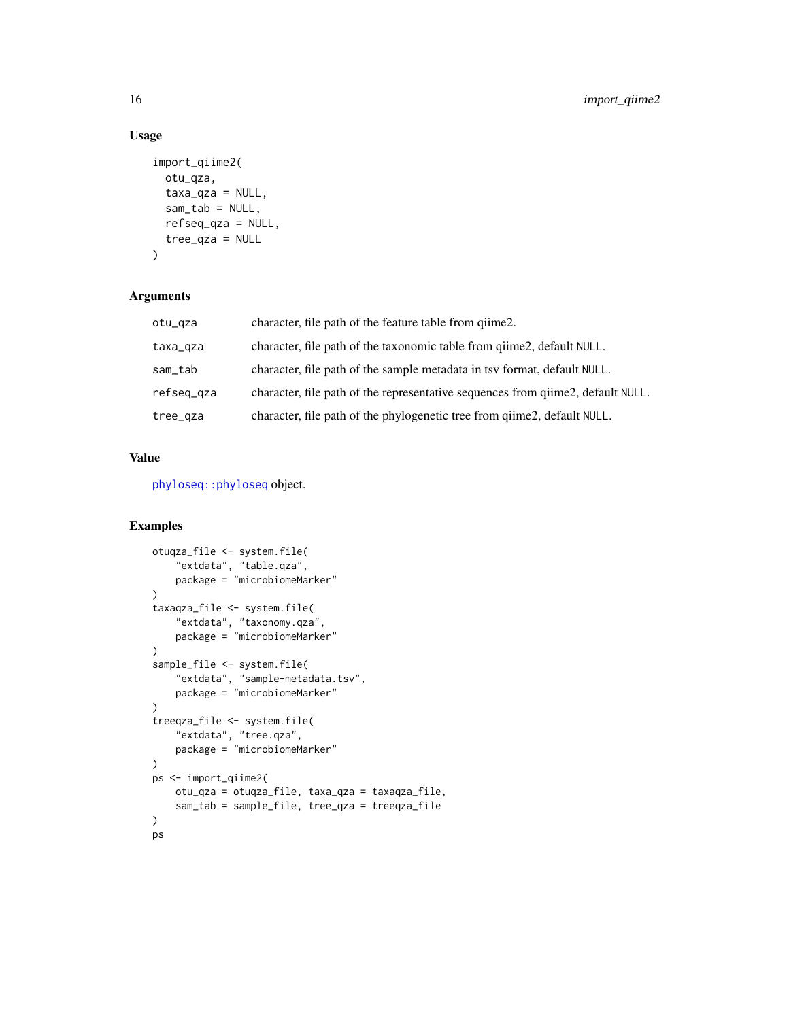# Usage

```
import_qiime2(
 otu_qza,
  taxa_qza = NULL,sam\_tab = NULL,refseq_qza = NULL,
 tree_qza = NULL
)
```
# Arguments

| otu_qza    | character, file path of the feature table from giime.                           |
|------------|---------------------------------------------------------------------------------|
| taxa_qza   | character, file path of the taxonomic table from giime2, default NULL.          |
| sam_tab    | character, file path of the sample metadata in tsv format, default NULL.        |
| refseq_qza | character, file path of the representative sequences from giime2, default NULL. |
| tree_qza   | character, file path of the phylogenetic tree from qiime2, default NULL.        |

# Value

[phyloseq::phyloseq](#page-0-0) object.

```
otuqza_file <- system.file(
    "extdata", "table.qza",
    package = "microbiomeMarker"
)
taxaqza_file <- system.file(
    "extdata", "taxonomy.qza",
    package = "microbiomeMarker"
\lambdasample_file <- system.file(
    "extdata", "sample-metadata.tsv",
    package = "microbiomeMarker"
\mathcal{L}treeqza_file <- system.file(
    "extdata", "tree.qza",
    package = "microbiomeMarker"
\mathcal{L}ps <- import_qiime2(
    otu_qza = otuqza_file, taxa_qza = taxaqza_file,
    sam_tab = sample_file, tree_qza = treeqza_file
\mathcal{L}ps
```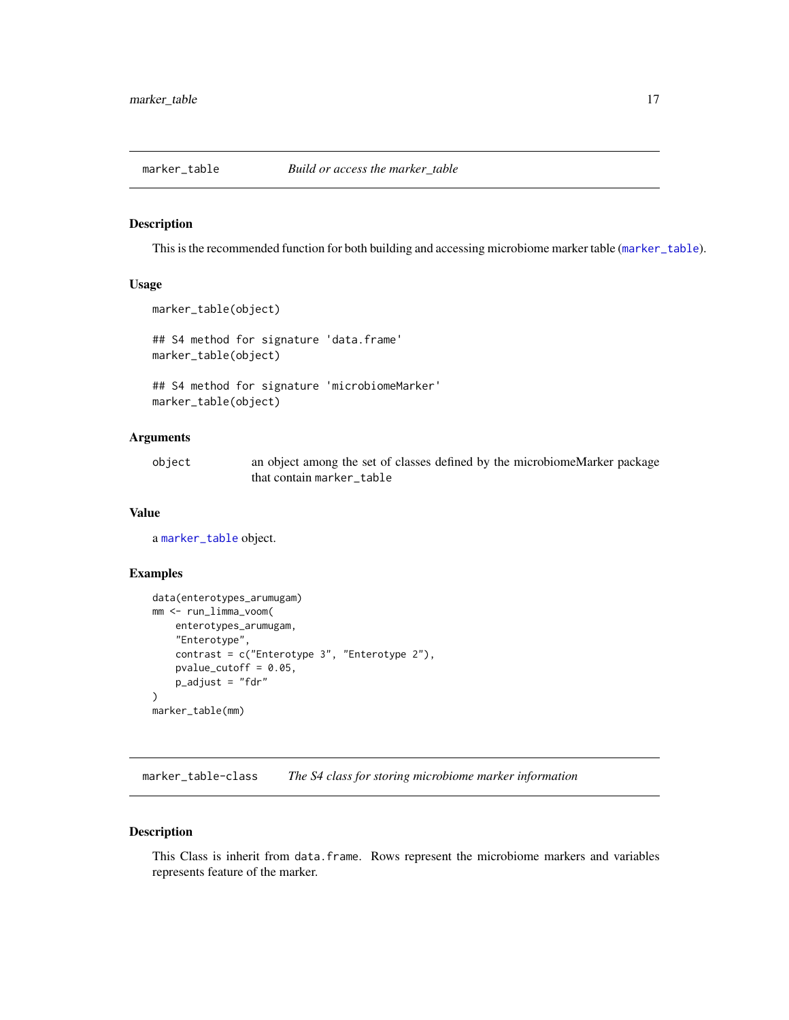<span id="page-16-0"></span>

This is the recommended function for both building and accessing microbiome marker table ([marker\\_table](#page-16-1)).

# Usage

```
marker_table(object)
```
## S4 method for signature 'data.frame' marker\_table(object)

## S4 method for signature 'microbiomeMarker' marker\_table(object)

## Arguments

| object | an object among the set of classes defined by the microbiomeMarker package |
|--------|----------------------------------------------------------------------------|
|        | that contain marker table                                                  |

#### Value

a [marker\\_table](#page-16-1) object.

# Examples

```
data(enterotypes_arumugam)
mm <- run_limma_voom(
    enterotypes_arumugam,
    "Enterotype",
    contrast = c("Enterotype 3", "Enterotype 2"),
    pvalue_cutoff = 0.05,
    p_adjust = "fdr"
\mathcal{L}marker_table(mm)
```
<span id="page-16-1"></span>marker\_table-class *The S4 class for storing microbiome marker information*

#### Description

This Class is inherit from data.frame. Rows represent the microbiome markers and variables represents feature of the marker.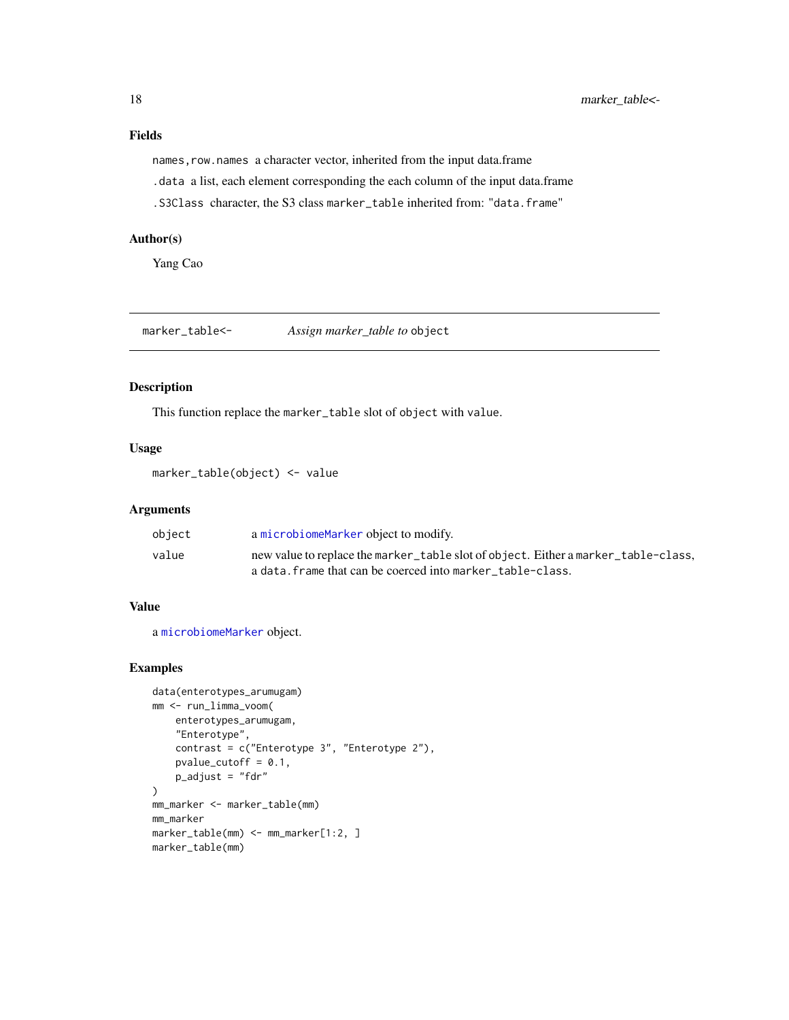<span id="page-17-0"></span>names, row.names a character vector, inherited from the input data.frame

.data a list, each element corresponding the each column of the input data.frame

.S3Class character, the S3 class marker\_table inherited from: "data.frame"

#### Author(s)

Yang Cao

marker\_table<- *Assign marker\_table to* object

#### Description

This function replace the marker\_table slot of object with value.

# Usage

marker\_table(object) <- value

# Arguments

| object | a microbiomeMarker object to modify.                                               |
|--------|------------------------------------------------------------------------------------|
| value  | new value to replace the marker_table slot of object. Either a marker_table-class, |
|        | a data. frame that can be coerced into marker table-class.                         |

#### Value

a [microbiomeMarker](#page-19-1) object.

```
data(enterotypes_arumugam)
mm <- run_limma_voom(
    enterotypes_arumugam,
    "Enterotype",
    contrast = c("Enterotype 3", "Enterotype 2"),
    pvalue_cutoff = 0.1,
    p_adjust = "fdr"
\mathcal{L}mm_marker <- marker_table(mm)
mm_marker
marker_table(mm) <- mm_marker[1:2, ]
marker_table(mm)
```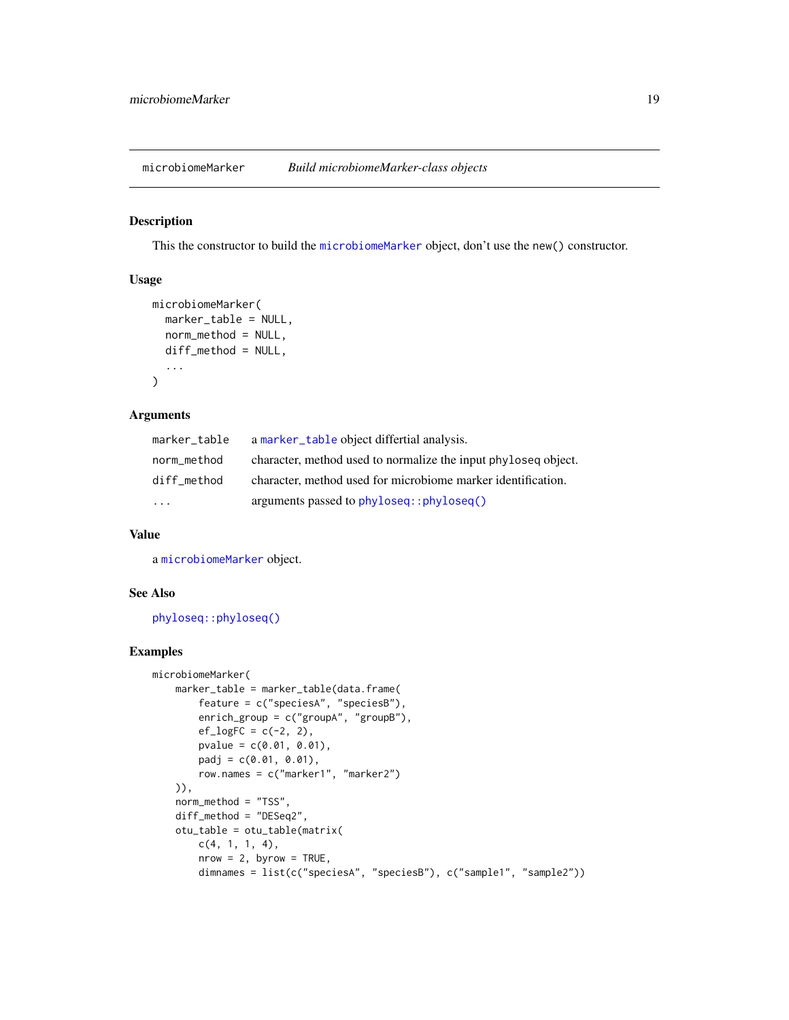<span id="page-18-0"></span>microbiomeMarker *Build microbiomeMarker-class objects*

# Description

This the constructor to build the [microbiomeMarker](#page-19-1) object, don't use the new() constructor.

#### Usage

```
microbiomeMarker(
 marker_table = NULL,
 norm_method = NULL,
 diff_method = NULL,
  ...
)
```
#### Arguments

| marker_table            | a marker_table object differtial analysis.                     |
|-------------------------|----------------------------------------------------------------|
| norm_method             | character, method used to normalize the input phyloseq object. |
| diff method             | character, method used for microbiome marker identification.   |
| $\cdot$ $\cdot$ $\cdot$ | arguments passed to phyloseq::phyloseq()                       |

## Value

a [microbiomeMarker](#page-19-1) object.

# See Also

[phyloseq::phyloseq\(\)](#page-0-0)

```
microbiomeMarker(
    marker_table = marker_table(data.frame(
       feature = c("speciesA", "speciesB"),
        enrich_group = c("groupA", "groupB"),
       ef\_logFC = c(-2, 2),
       pvalue = c(0.01, 0.01),padj = c(0.01, 0.01),row.names = c("marker1", "marker2")
   )),
   norm_method = "TSS",
   diff_method = "DESeq2",
   otu_table = otu_table(matrix(
       c(4, 1, 1, 4),nrow = 2, byrow = TRUE,
        dimnames = list(c("speciesA", "speciesB"), c("sample1", "sample2"))
```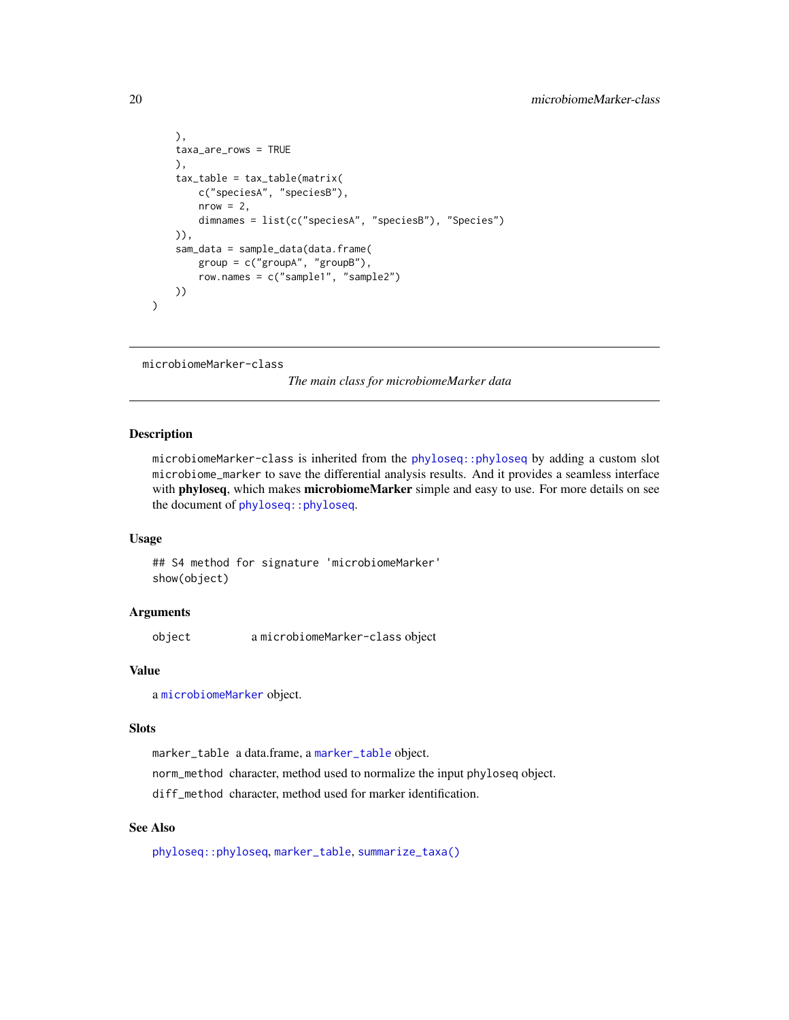```
),
taxa_are_rows = TRUE
),
tax_table = tax_table(matrix(
    c("speciesA", "speciesB"),
    nrow = 2,
    dimnames = list(c("speciesA", "speciesB"), "Species")
)),
sam_data = sample_data(data.frame(
    group = c("groupA", "groupB"),
    row.names = c("sample1", "sample2")
))
```
<span id="page-19-1"></span>microbiomeMarker-class

*The main class for microbiomeMarker data*

#### Description

)

microbiomeMarker-class is inherited from the [phyloseq::phyloseq](#page-0-0) by adding a custom slot microbiome\_marker to save the differential analysis results. And it provides a seamless interface with phyloseq, which makes microbiomeMarker simple and easy to use. For more details on see the document of [phyloseq::phyloseq](#page-0-0).

#### Usage

## S4 method for signature 'microbiomeMarker' show(object)

#### **Arguments**

object a microbiomeMarker-class object

#### Value

a [microbiomeMarker](#page-19-1) object.

#### Slots

marker\_table a data.frame, a [marker\\_table](#page-16-1) object.

norm\_method character, method used to normalize the input phyloseq object.

diff\_method character, method used for marker identification.

# See Also

[phyloseq::phyloseq](#page-0-0), [marker\\_table](#page-16-1), [summarize\\_taxa\(\)](#page-68-1)

<span id="page-19-0"></span>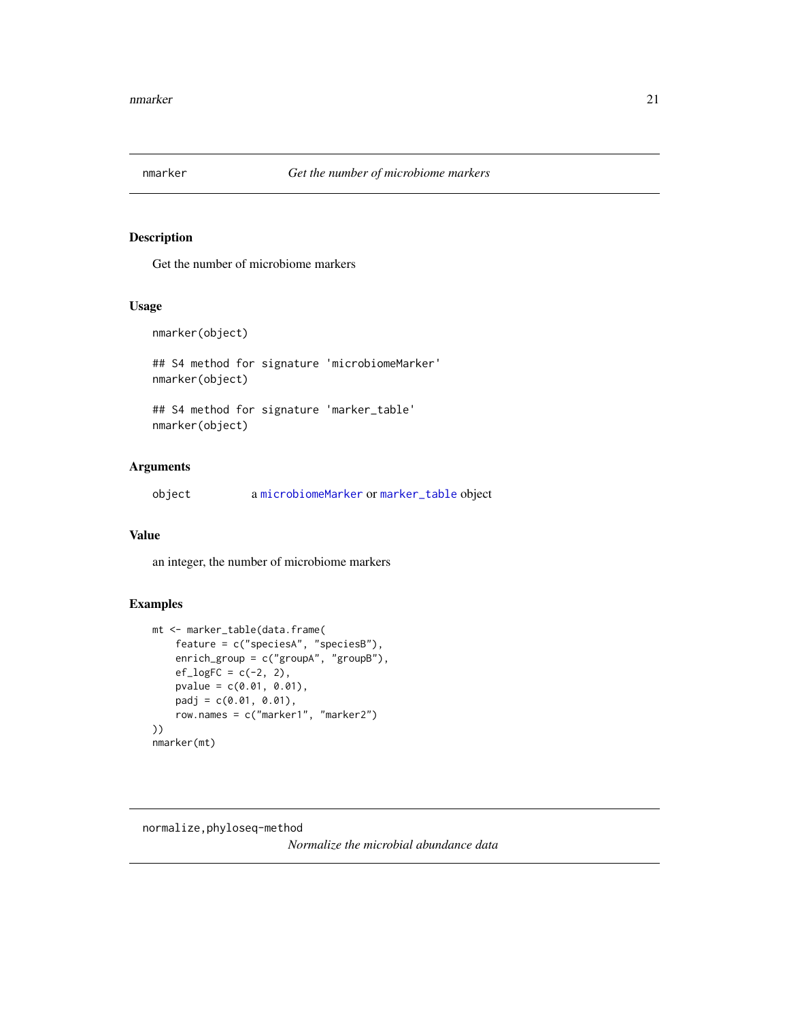<span id="page-20-0"></span>

Get the number of microbiome markers

#### Usage

nmarker(object)

## S4 method for signature 'microbiomeMarker' nmarker(object)

## S4 method for signature 'marker\_table' nmarker(object)

# Arguments

object a [microbiomeMarker](#page-19-1) or [marker\\_table](#page-16-1) object

# Value

an integer, the number of microbiome markers

# Examples

```
mt <- marker_table(data.frame(
    feature = c("speciesA", "speciesB"),
   enrich_group = c("groupA", "groupB"),
   ef\_logFC = c(-2, 2),
   pvalue = c(0.01, 0.01),padj = c(0.01, 0.01),
   row.names = c("marker1", "marker2")
))
nmarker(mt)
```
<span id="page-20-1"></span>normalize,phyloseq-method

*Normalize the microbial abundance data*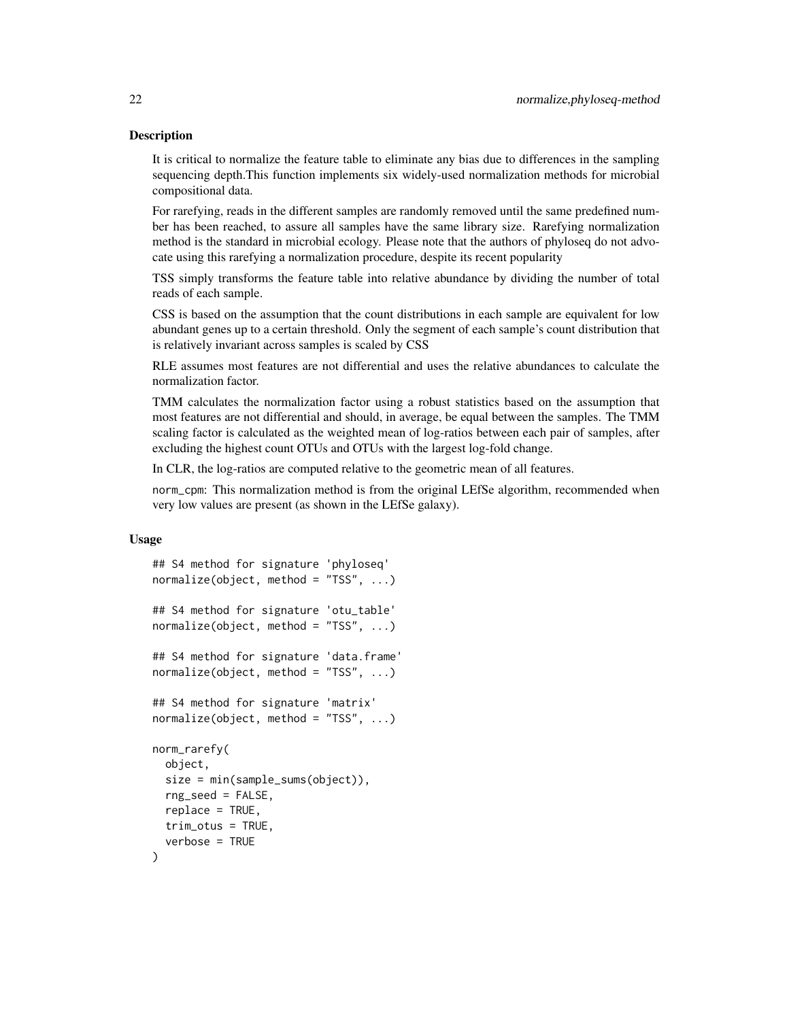It is critical to normalize the feature table to eliminate any bias due to differences in the sampling sequencing depth.This function implements six widely-used normalization methods for microbial compositional data.

For rarefying, reads in the different samples are randomly removed until the same predefined number has been reached, to assure all samples have the same library size. Rarefying normalization method is the standard in microbial ecology. Please note that the authors of phyloseq do not advocate using this rarefying a normalization procedure, despite its recent popularity

TSS simply transforms the feature table into relative abundance by dividing the number of total reads of each sample.

CSS is based on the assumption that the count distributions in each sample are equivalent for low abundant genes up to a certain threshold. Only the segment of each sample's count distribution that is relatively invariant across samples is scaled by CSS

RLE assumes most features are not differential and uses the relative abundances to calculate the normalization factor.

TMM calculates the normalization factor using a robust statistics based on the assumption that most features are not differential and should, in average, be equal between the samples. The TMM scaling factor is calculated as the weighted mean of log-ratios between each pair of samples, after excluding the highest count OTUs and OTUs with the largest log-fold change.

In CLR, the log-ratios are computed relative to the geometric mean of all features.

norm\_cpm: This normalization method is from the original LEfSe algorithm, recommended when very low values are present (as shown in the LEfSe galaxy).

#### Usage

```
## S4 method for signature 'phyloseq'
normalize(object, method = "TSS", ...)
## S4 method for signature 'otu_table'
normalize(object, method = "TSS", ...)
## S4 method for signature 'data.frame'
normalize(object, method = "TSS", ...)
## S4 method for signature 'matrix'
normalize(object, method = "TSS", ...)
norm_rarefy(
 object,
  size = min(sample_sums(object)),
  rng_seed = FALSE,
  replace = TRUE,trim_otus = TRUE,
  verbose = TRUE
)
```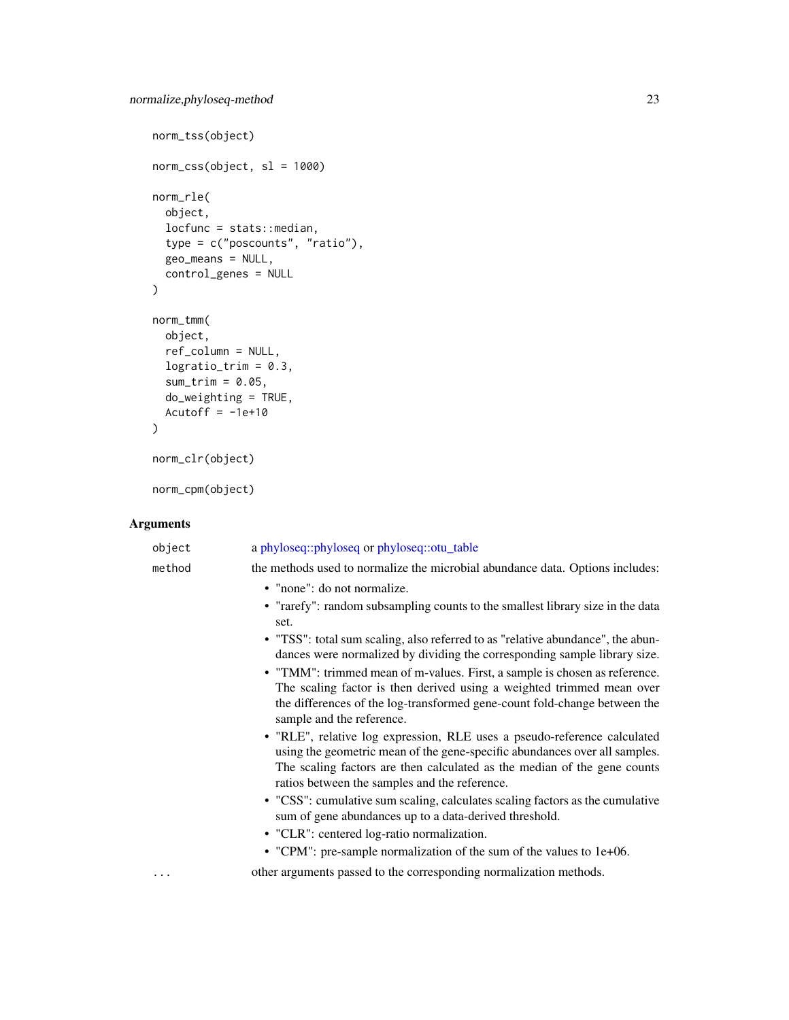```
norm_tss(object)
norm\_CSS(object, sl = 1000)norm_rle(
  object,
  locfunc = stats::median,type = c("poscounts", "ratio"),
  geo_means = NULL,
  control_genes = NULL
\mathcal{L}norm_tmm(
  object,
  ref_column = NULL,
  logratio\_trim = 0.3,sum_time = 0.05,do_weighting = TRUE,
  Acutoff = -1e+10\mathcal{L}norm_clr(object)
```
norm\_cpm(object)

# Arguments

| object | a phyloseq::phyloseq or phyloseq::otu_table                                                                                                                                                                                                                                                                                                                                                                                                                                                                                                            |
|--------|--------------------------------------------------------------------------------------------------------------------------------------------------------------------------------------------------------------------------------------------------------------------------------------------------------------------------------------------------------------------------------------------------------------------------------------------------------------------------------------------------------------------------------------------------------|
| method | the methods used to normalize the microbial abundance data. Options includes:                                                                                                                                                                                                                                                                                                                                                                                                                                                                          |
|        | • "none": do not normalize.<br>• "rarefy": random subsampling counts to the smallest library size in the data<br>set.<br>• "TSS": total sum scaling, also referred to as "relative abundance", the abun-<br>dances were normalized by dividing the corresponding sample library size.<br>• "TMM": trimmed mean of m-values. First, a sample is chosen as reference.<br>The scaling factor is then derived using a weighted trimmed mean over<br>the differences of the log-transformed gene-count fold-change between the<br>sample and the reference. |
|        | · "RLE", relative log expression, RLE uses a pseudo-reference calculated<br>using the geometric mean of the gene-specific abundances over all samples.<br>The scaling factors are then calculated as the median of the gene counts<br>ratios between the samples and the reference.                                                                                                                                                                                                                                                                    |
|        | • "CSS": cumulative sum scaling, calculates scaling factors as the cumulative<br>sum of gene abundances up to a data-derived threshold.                                                                                                                                                                                                                                                                                                                                                                                                                |
|        | • "CLR": centered log-ratio normalization.                                                                                                                                                                                                                                                                                                                                                                                                                                                                                                             |
|        | • "CPM": pre-sample normalization of the sum of the values to 1e+06.                                                                                                                                                                                                                                                                                                                                                                                                                                                                                   |
|        | other arguments passed to the corresponding normalization methods.                                                                                                                                                                                                                                                                                                                                                                                                                                                                                     |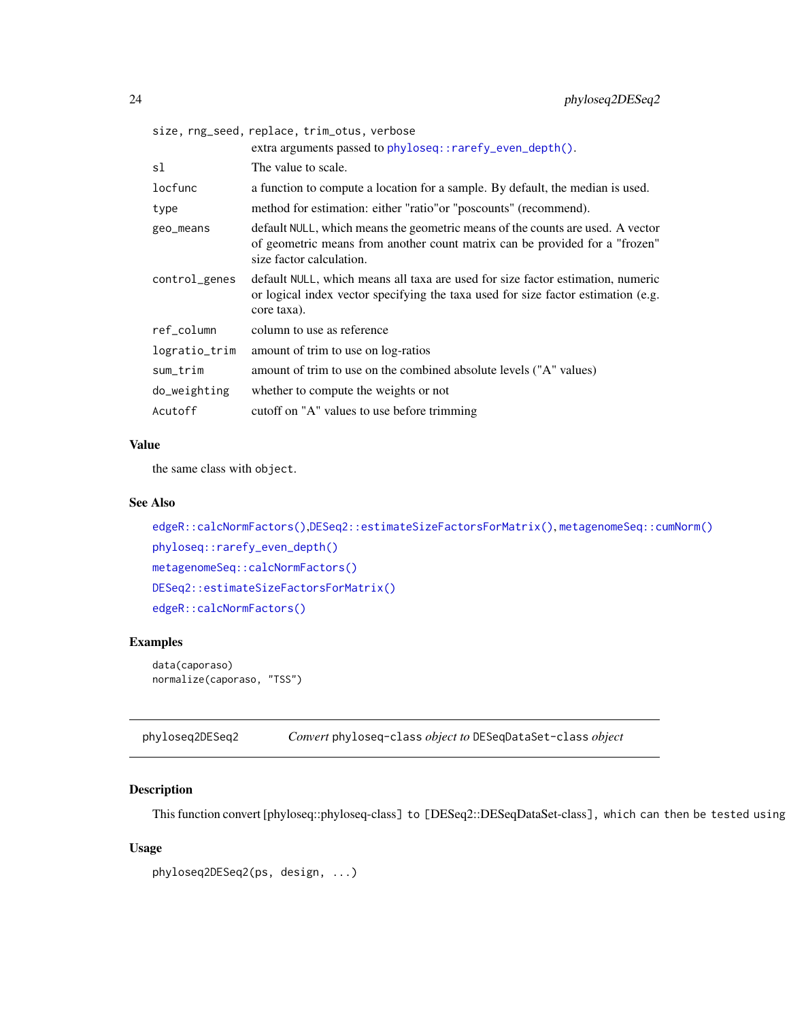<span id="page-23-0"></span>

|               | size, rng_seed, replace, trim_otus, verbose                                                                                                                                               |
|---------------|-------------------------------------------------------------------------------------------------------------------------------------------------------------------------------------------|
|               | extra arguments passed to phyloseq::rarefy_even_depth().                                                                                                                                  |
| sl            | The value to scale.                                                                                                                                                                       |
| locfunc       | a function to compute a location for a sample. By default, the median is used.                                                                                                            |
| type          | method for estimation: either "ratio" or "poscounts" (recommend).                                                                                                                         |
| geo_means     | default NULL, which means the geometric means of the counts are used. A vector<br>of geometric means from another count matrix can be provided for a "frozen"<br>size factor calculation. |
| control_genes | default NULL, which means all taxa are used for size factor estimation, numeric<br>or logical index vector specifying the taxa used for size factor estimation (e.g.<br>core taxa).       |
| ref_column    | column to use as reference                                                                                                                                                                |
| logratio_trim | amount of trim to use on log-ratios                                                                                                                                                       |
| sum_trim      | amount of trim to use on the combined absolute levels ("A" values)                                                                                                                        |
| do_weighting  | whether to compute the weights or not                                                                                                                                                     |
| Acutoff       | cutoff on "A" values to use before trimming                                                                                                                                               |

# Value

the same class with object.

## See Also

```
edgeR::calcNormFactors(),DESeq2::estimateSizeFactorsForMatrix(), metagenomeSeq::cumNorm()
phyloseq::rarefy_even_depth()
metagenomeSeq::calcNormFactors()
DESeq2::estimateSizeFactorsForMatrix()
edgeR::calcNormFactors()
```
#### Examples

```
data(caporaso)
normalize(caporaso, "TSS")
```
phyloseq2DESeq2 *Convert* phyloseq-class *object to* DESeqDataSet-class *object*

# Description

This function convert [phyloseq::phyloseq-class] to [DESeq2::DESeqDataSet-class], which can then be tested using

# Usage

```
phyloseq2DESeq2(ps, design, ...)
```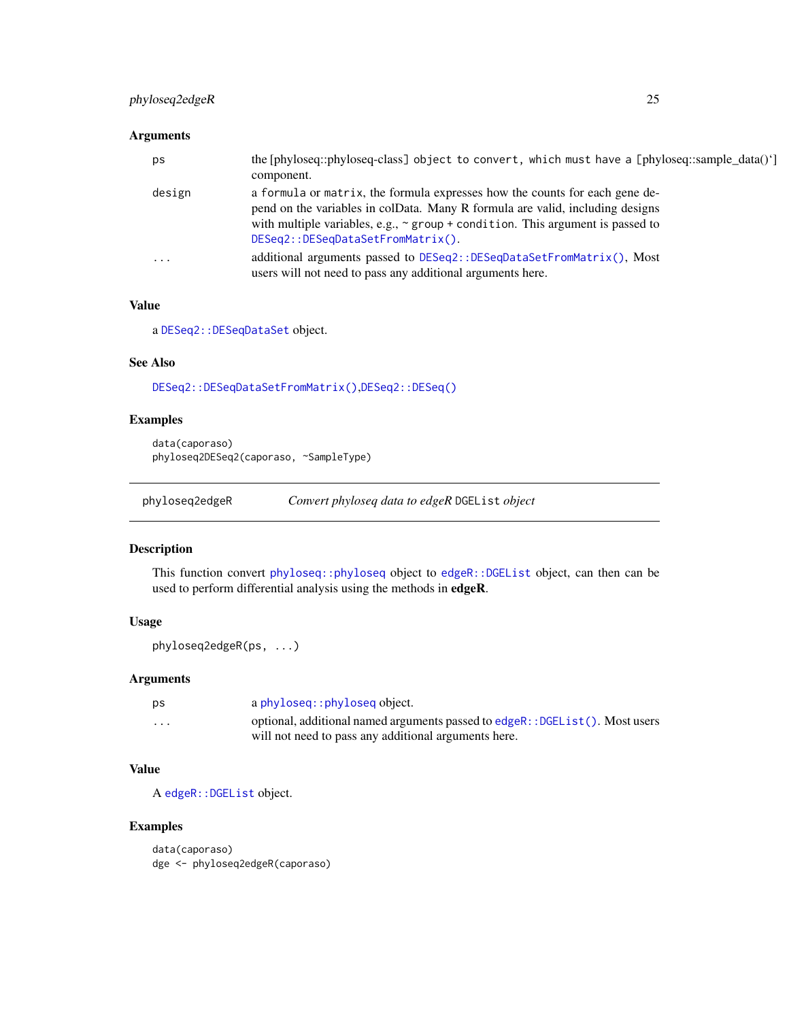# <span id="page-24-0"></span>phyloseq2edgeR 25

## Arguments

| ps        | the [phyloseq::phyloseq-class] object to convert, which must have a [phyloseq::sample_data()']<br>component.                                                                                                                                                                             |
|-----------|------------------------------------------------------------------------------------------------------------------------------------------------------------------------------------------------------------------------------------------------------------------------------------------|
| design    | a formula or matrix, the formula expresses how the counts for each gene de-<br>pend on the variables in colData. Many R formula are valid, including designs<br>with multiple variables, e.g., $\sim$ group + condition. This argument is passed to<br>DESeq2::DESeqDataSetFromMatrix(). |
| $\ddotsc$ | additional arguments passed to DESeq2::DESeqDataSetFromMatrix(), Most<br>users will not need to pass any additional arguments here.                                                                                                                                                      |

# Value

a [DESeq2::DESeqDataSet](#page-0-0) object.

# See Also

[DESeq2::DESeqDataSetFromMatrix\(\)](#page-0-0),[DESeq2::DESeq\(\)](#page-0-0)

# Examples

```
data(caporaso)
phyloseq2DESeq2(caporaso, ~SampleType)
```

```
phyloseq2edgeR Convert phyloseq data to edgeR DGEList object
```
#### Description

This function convert [phyloseq::phyloseq](#page-0-0) object to [edgeR::DGEList](#page-0-0) object, can then can be used to perform differential analysis using the methods in edgeR.

#### Usage

```
phyloseq2edgeR(ps, ...)
```
# Arguments

| рs                      | a phyloseq:: phyloseq object.                                                |
|-------------------------|------------------------------------------------------------------------------|
| $\cdot$ $\cdot$ $\cdot$ | optional, additional named arguments passed to edgeR:: DGEList(). Most users |
|                         | will not need to pass any additional arguments here.                         |

# Value

A [edgeR::DGEList](#page-0-0) object.

```
data(caporaso)
dge <- phyloseq2edgeR(caporaso)
```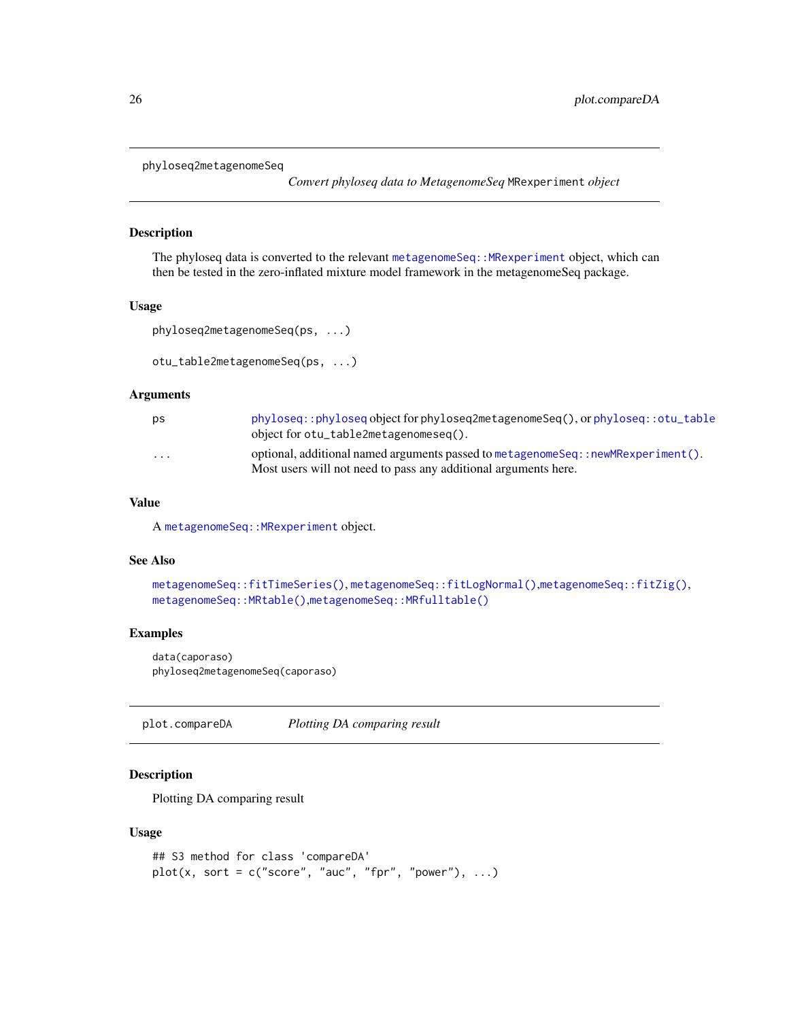```
phyloseq2metagenomeSeq
```
*Convert phyloseq data to MetagenomeSeq* MRexperiment *object*

# Description

The phyloseq data is converted to the relevant [metagenomeSeq::MRexperiment](#page-0-0) object, which can then be tested in the zero-inflated mixture model framework in the metagenomeSeq package.

#### Usage

```
phyloseq2metagenomeSeq(ps, ...)
```

```
otu_table2metagenomeSeq(ps, ...)
```
#### Arguments

| ps | phyloseq::phyloseq object for phyloseq2metagenomeSeq(), or phyloseq::otu_table           |
|----|------------------------------------------------------------------------------------------|
|    | object for otu_table2metagenomeseq().                                                    |
| .  | optional, additional named arguments passed to metagenome Seq: : new MRexperiment $()$ . |
|    | Most users will not need to pass any additional arguments here.                          |

# Value

A [metagenomeSeq::MRexperiment](#page-0-0) object.

#### See Also

```
metagenomeSeq::fitTimeSeries(), metagenomeSeq::fitLogNormal(),metagenomeSeq::fitZig(),
metagenomeSeq::MRtable(),metagenomeSeq::MRfulltable()
```
# Examples

```
data(caporaso)
phyloseq2metagenomeSeq(caporaso)
```
plot.compareDA *Plotting DA comparing result*

#### Description

Plotting DA comparing result

#### Usage

```
## S3 method for class 'compareDA'
plot(x, sort = c("score", "auc", "fpr", "power"), ...)
```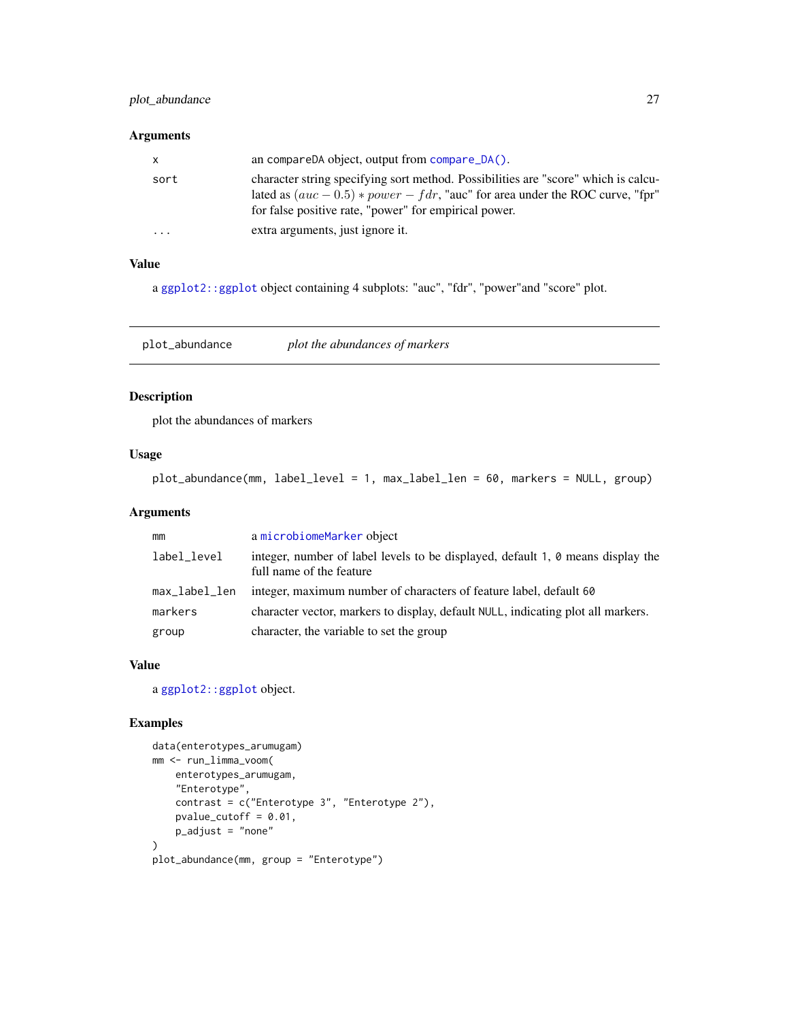# <span id="page-26-0"></span>plot\_abundance 27

#### Arguments

| $\mathsf{X}$ | an compareDA object, output from $compare\_DA()$ .                                                                                                                                                                               |
|--------------|----------------------------------------------------------------------------------------------------------------------------------------------------------------------------------------------------------------------------------|
| sort         | character string specifying sort method. Possibilities are "score" which is calcu-<br>lated as $(auc - 0.5) * power - f dr$ , "auc" for area under the ROC curve, "fpr"<br>for false positive rate, "power" for empirical power. |
| $\cdots$     | extra arguments, just ignore it.                                                                                                                                                                                                 |

# Value

a [ggplot2::ggplot](#page-0-0) object containing 4 subplots: "auc", "fdr", "power"and "score" plot.

plot\_abundance *plot the abundances of markers*

# Description

plot the abundances of markers

# Usage

plot\_abundance(mm, label\_level = 1, max\_label\_len = 60, markers = NULL, group)

# Arguments

| mm            | a microbiomeMarker object                                                                                   |
|---------------|-------------------------------------------------------------------------------------------------------------|
| label_level   | integer, number of label levels to be displayed, default 1, 0 means display the<br>full name of the feature |
| max_label_len | integer, maximum number of characters of feature label, default 60                                          |
| markers       | character vector, markers to display, default NULL, indicating plot all markers.                            |
| group         | character, the variable to set the group                                                                    |

# Value

a [ggplot2::ggplot](#page-0-0) object.

```
data(enterotypes_arumugam)
mm <- run_limma_voom(
   enterotypes_arumugam,
   "Enterotype",
   contrast = c("Enterotype 3", "Enterotype 2"),
   pvalue_cutoff = 0.01,
   p\_adjust = "none"\lambdaplot_abundance(mm, group = "Enterotype")
```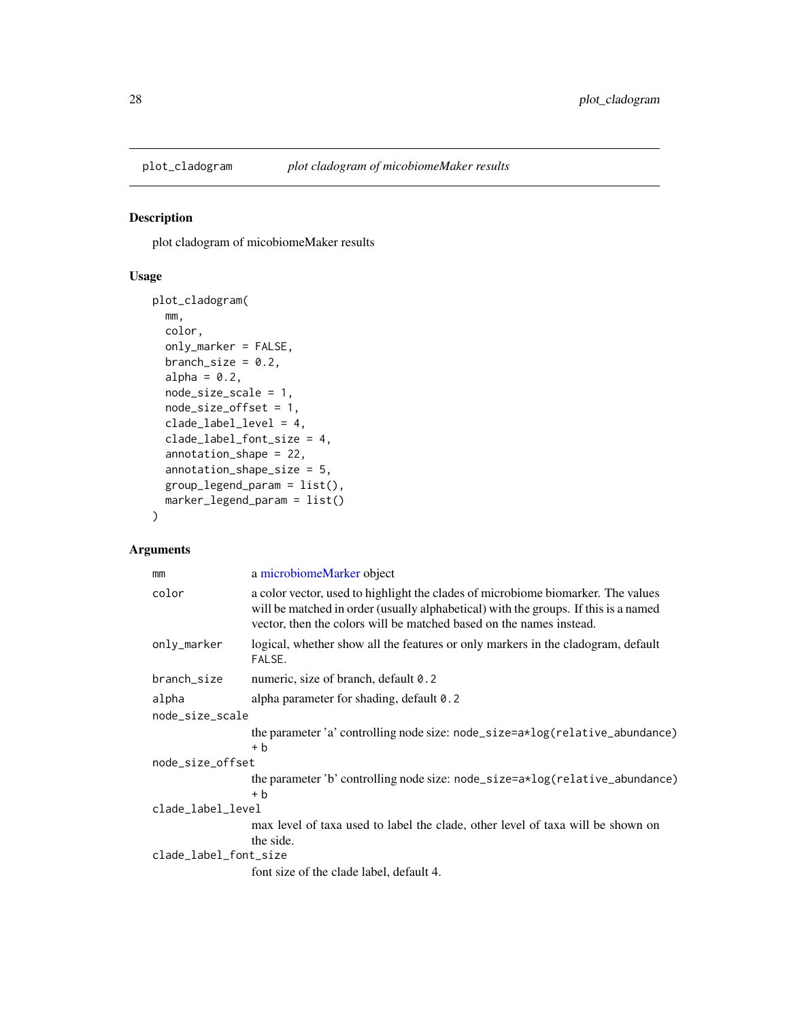<span id="page-27-0"></span>

plot cladogram of micobiomeMaker results

# Usage

```
plot_cladogram(
 mm,
 color,
  only_marker = FALSE,
 branch_size = 0.2,
  alpha = 0.2,
 node_size_scale = 1,
  node_size_offset = 1,
  clade_label_level = 4,
  clade_label_font_size = 4,
  annotation_shape = 22,
  annotation_shape_size = 5,
  group_legend_param = list(),
 marker_legend_param = list()
\mathcal{E}
```
# Arguments

| mm                    | a microbiomeMarker object                                                                                                                                                                                                                      |  |
|-----------------------|------------------------------------------------------------------------------------------------------------------------------------------------------------------------------------------------------------------------------------------------|--|
| color                 | a color vector, used to highlight the clades of microbiome biomarker. The values<br>will be matched in order (usually alphabetical) with the groups. If this is a named<br>vector, then the colors will be matched based on the names instead. |  |
| only_marker           | logical, whether show all the features or only markers in the cladogram, default<br>FALSE.                                                                                                                                                     |  |
| branch_size           | numeric, size of branch, default 0.2                                                                                                                                                                                                           |  |
| alpha                 | alpha parameter for shading, default 0.2                                                                                                                                                                                                       |  |
| node_size_scale       |                                                                                                                                                                                                                                                |  |
|                       | the parameter 'a' controlling node size: node_size=a*log(relative_abundance)<br>+ b                                                                                                                                                            |  |
| node_size_offset      |                                                                                                                                                                                                                                                |  |
|                       | the parameter 'b' controlling node size: node_size=a*log(relative_abundance)<br>+ b                                                                                                                                                            |  |
| clade_label_level     |                                                                                                                                                                                                                                                |  |
|                       | max level of taxa used to label the clade, other level of taxa will be shown on<br>the side.                                                                                                                                                   |  |
| clade_label_font_size |                                                                                                                                                                                                                                                |  |
|                       | font size of the clade label, default 4.                                                                                                                                                                                                       |  |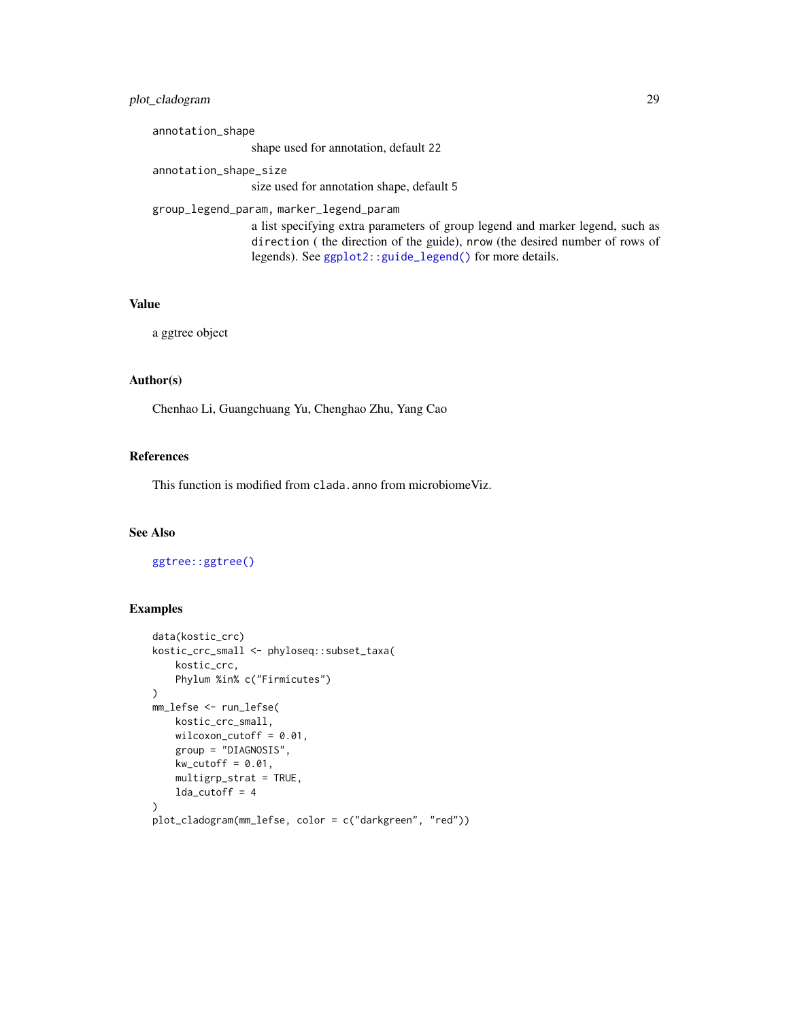# plot\_cladogram 29

annotation\_shape shape used for annotation, default 22 annotation\_shape\_size size used for annotation shape, default 5 group\_legend\_param, marker\_legend\_param a list specifying extra parameters of group legend and marker legend, such as direction ( the direction of the guide), nrow (the desired number of rows of legends). See [ggplot2::guide\\_legend\(\)](#page-0-0) for more details.

## Value

a ggtree object

#### Author(s)

Chenhao Li, Guangchuang Yu, Chenghao Zhu, Yang Cao

# References

This function is modified from clada.anno from microbiomeViz.

#### See Also

[ggtree::ggtree\(\)](#page-0-0)

```
data(kostic_crc)
kostic_crc_small <- phyloseq::subset_taxa(
    kostic_crc,
    Phylum %in% c("Firmicutes")
\mathcal{L}mm_lefse <- run_lefse(
    kostic_crc_small,
    wilcoxon_cutoff = 0.01,
    group = "DIAGNOSIS",
    kw\_cutoff = 0.01,multigrp_strat = TRUE,
    lda_cutoff = 4\lambdaplot_cladogram(mm_lefse, color = c("darkgreen", "red"))
```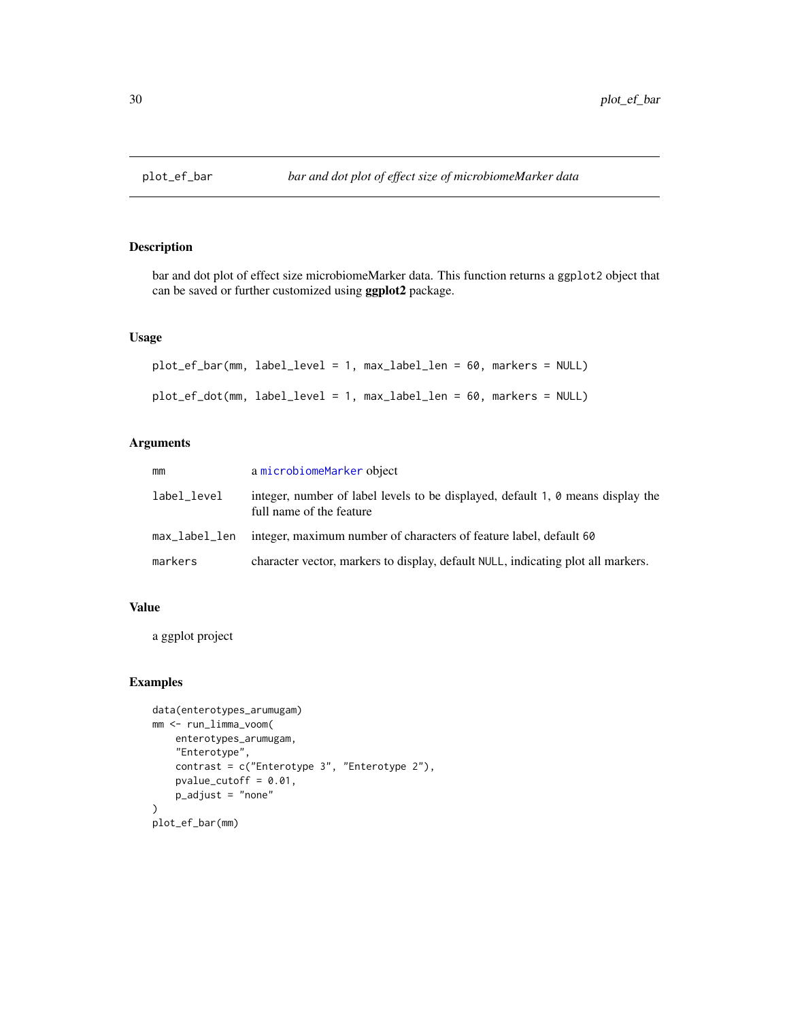<span id="page-29-0"></span>

bar and dot plot of effect size microbiomeMarker data. This function returns a ggplot2 object that can be saved or further customized using ggplot2 package.

# Usage

```
plot_ef_bar(mm, label_level = 1, max_label_len = 60, markers = NULL)
plot_ef_dot(mm, label_level = 1, max_label_len = 60, markers = NULL)
```
# Arguments

| mm            | a microbiomeMarker object                                                                                   |
|---------------|-------------------------------------------------------------------------------------------------------------|
| label_level   | integer, number of label levels to be displayed, default 1, 0 means display the<br>full name of the feature |
| max_label_len | integer, maximum number of characters of feature label, default 60                                          |
| markers       | character vector, markers to display, default NULL, indicating plot all markers.                            |

# Value

a ggplot project

```
data(enterotypes_arumugam)
mm <- run_limma_voom(
    enterotypes_arumugam,
    "Enterotype",
    contrast = c("Enterotype 3", "Enterotype 2"),
    pvalue_cutoff = 0.01,
    p_adjust = "none"
\mathcal{L}plot_ef_bar(mm)
```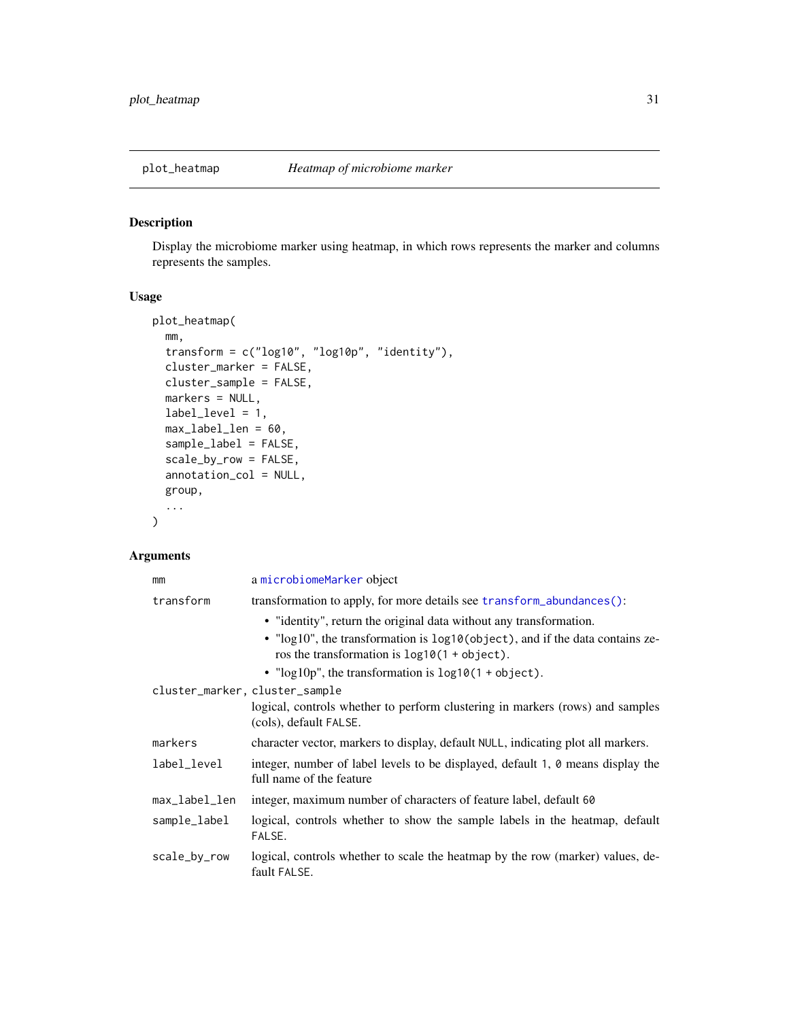<span id="page-30-0"></span>

Display the microbiome marker using heatmap, in which rows represents the marker and columns represents the samples.

# Usage

```
plot_heatmap(
 mm,
  transform = c("log10", "log10p", "identity"),
  cluster_marker = FALSE,
 cluster_sample = FALSE,
 markers = NULL,
 label_level = 1,
 max_label_len = 60,
  sample_label = FALSE,
  scale_by_row = FALSE,
  annotation_col = NULL,
 group,
  ...
)
```
# Arguments

| mm                             | a microbiomeMarker object                                                                                                       |  |  |  |
|--------------------------------|---------------------------------------------------------------------------------------------------------------------------------|--|--|--|
| transform                      | transformation to apply, for more details see transform_abundances():                                                           |  |  |  |
|                                | • "identity", return the original data without any transformation.                                                              |  |  |  |
|                                | • "log10", the transformation is log10(object), and if the data contains ze-<br>ros the transformation is $log10(1 + object)$ . |  |  |  |
|                                | • " $log 10p$ ", the transformation is $log 10(1 + object)$ .                                                                   |  |  |  |
| cluster_marker, cluster_sample |                                                                                                                                 |  |  |  |
|                                | logical, controls whether to perform clustering in markers (rows) and samples<br>(cols), default FALSE.                         |  |  |  |
| markers                        | character vector, markers to display, default NULL, indicating plot all markers.                                                |  |  |  |
| label_level                    | integer, number of label levels to be displayed, default 1, 0 means display the<br>full name of the feature                     |  |  |  |
| max_label_len                  | integer, maximum number of characters of feature label, default 60                                                              |  |  |  |
| sample_label                   | logical, controls whether to show the sample labels in the heatmap, default<br>FALSE.                                           |  |  |  |
| scale_by_row                   | logical, controls whether to scale the heatmap by the row (marker) values, de-<br>fault FALSE.                                  |  |  |  |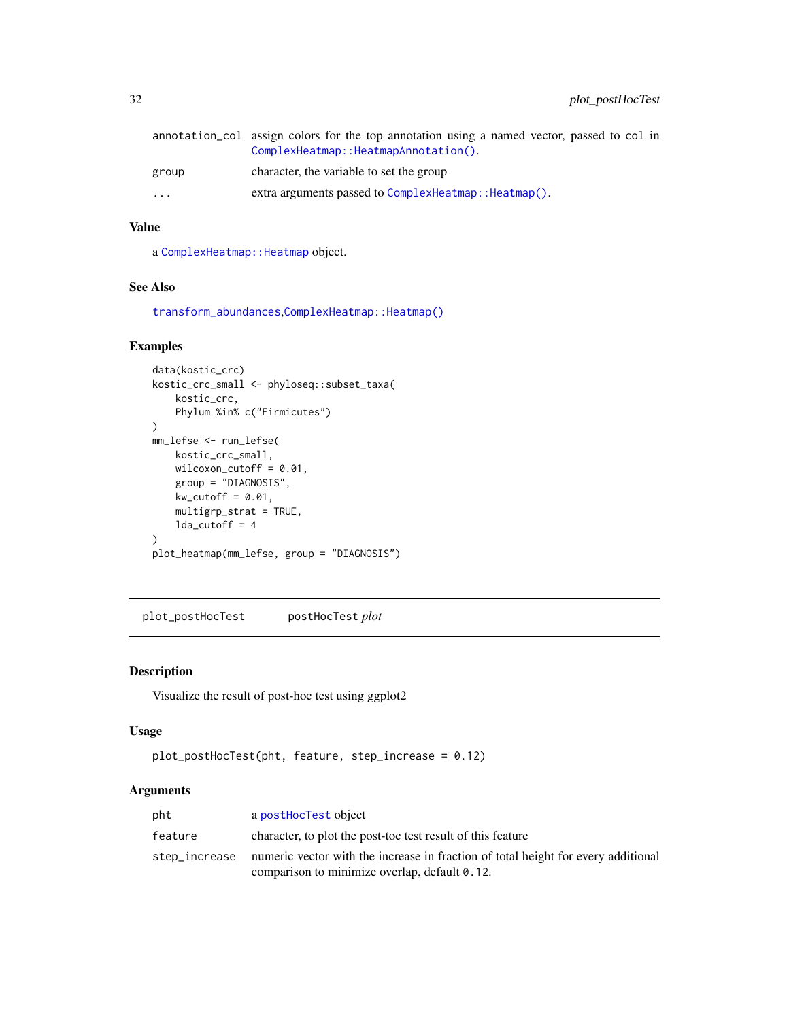<span id="page-31-0"></span>

|                         | annotation col assign colors for the top annotation using a named vector, passed to col in<br>ComplexHeatmap:: HeatmapAnnotation(). |
|-------------------------|-------------------------------------------------------------------------------------------------------------------------------------|
| group                   | character, the variable to set the group                                                                                            |
| $\cdot$ $\cdot$ $\cdot$ | extra arguments passed to ComplexHeatmap:: Heatmap().                                                                               |

# Value

a [ComplexHeatmap::Heatmap](#page-0-0) object.

## See Also

[transform\\_abundances](#page-70-1),[ComplexHeatmap::Heatmap\(\)](#page-0-0)

# Examples

```
data(kostic_crc)
kostic_crc_small <- phyloseq::subset_taxa(
    kostic_crc,
    Phylum %in% c("Firmicutes")
\lambdamm_lefse <- run_lefse(
    kostic_crc_small,
    wilcoxon_cutoff = 0.01,
    group = "DIAGNOSIS",
    kw\_cutoff = 0.01,multigrp_strat = TRUE,
    lda_cutoff = 4\mathcal{L}plot_heatmap(mm_lefse, group = "DIAGNOSIS")
```
plot\_postHocTest postHocTest *plot*

# Description

Visualize the result of post-hoc test using ggplot2

#### Usage

```
plot_postHocTest(pht, feature, step_increase = 0.12)
```
# Arguments

| pht           | a postHocTest object                                                              |
|---------------|-----------------------------------------------------------------------------------|
| feature       | character, to plot the post-toc test result of this feature                       |
| step_increase | numeric vector with the increase in fraction of total height for every additional |
|               | comparison to minimize overlap, default 0.12.                                     |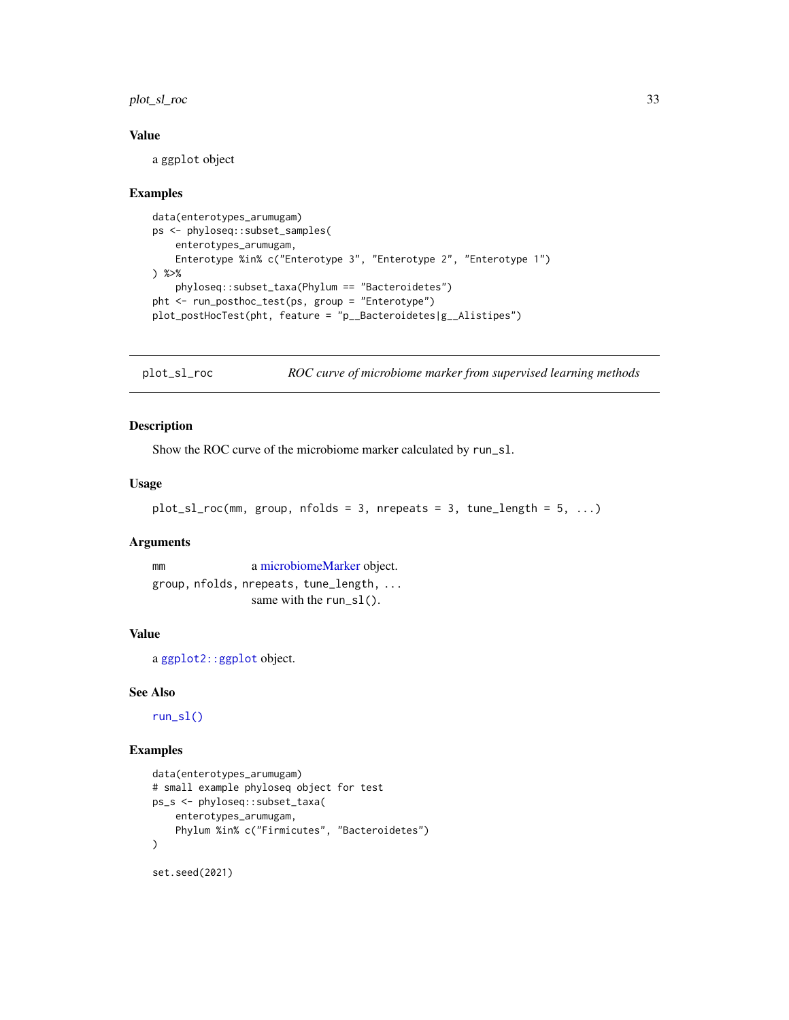# <span id="page-32-0"></span>plot\_sl\_roc 33

#### Value

a ggplot object

#### Examples

```
data(enterotypes_arumugam)
ps <- phyloseq::subset_samples(
    enterotypes_arumugam,
    Enterotype %in% c("Enterotype 3", "Enterotype 2", "Enterotype 1")
) %>%
    phyloseq::subset_taxa(Phylum == "Bacteroidetes")
pht <- run_posthoc_test(ps, group = "Enterotype")
plot_postHocTest(pht, feature = "p__Bacteroidetes|g__Alistipes")
```
plot\_sl\_roc *ROC curve of microbiome marker from supervised learning methods*

# Description

Show the ROC curve of the microbiome marker calculated by run\_sl.

#### Usage

```
plot_s1\_roc(mm, group, nfollows = 3, n repeats = 3, tune_length = 5, ...)
```
#### Arguments

mm a [microbiomeMarker](#page-19-1) object. group, nfolds, nrepeats, tune\_length, ... same with the run\_sl().

# Value

a [ggplot2::ggplot](#page-0-0) object.

#### See Also

[run\\_sl\(\)](#page-61-1)

```
data(enterotypes_arumugam)
# small example phyloseq object for test
ps_s <- phyloseq::subset_taxa(
    enterotypes_arumugam,
    Phylum %in% c("Firmicutes", "Bacteroidetes")
\mathcal{L}set.seed(2021)
```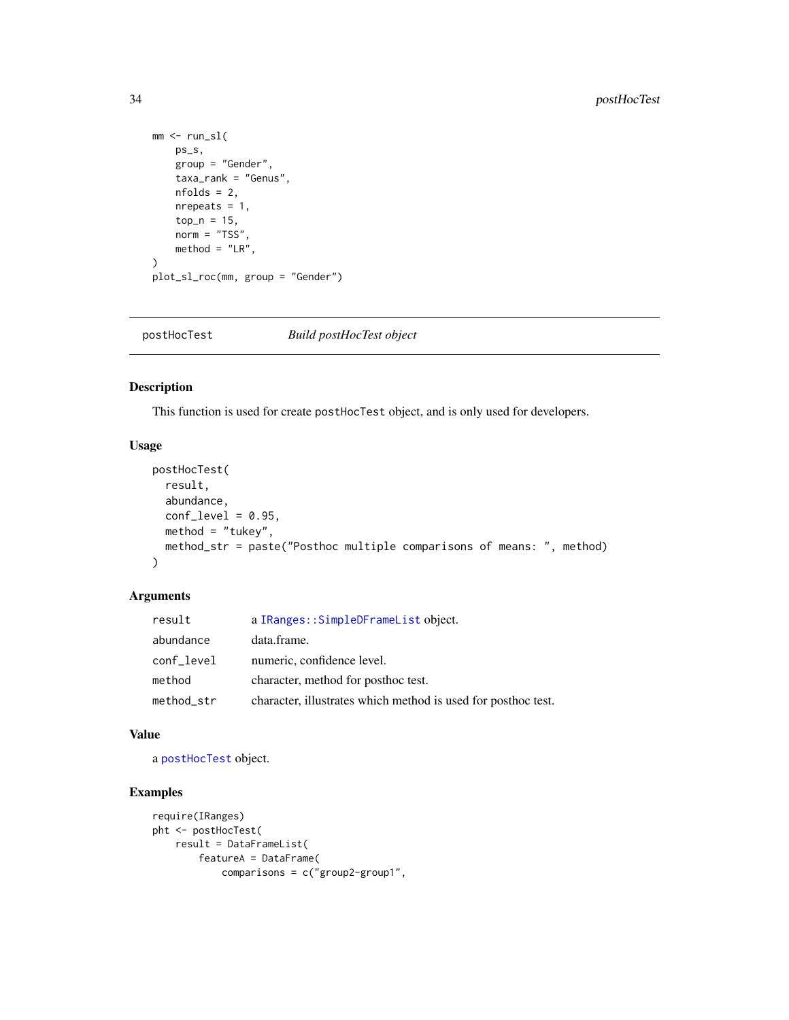```
mm < - run_s1(ps_s,
    group = "Gender",
    taxa_rank = "Genus",
    nfolds = 2,
    nrepeats = 1,
    top_n = 15,
    norm = "TSS",method = "LR",\mathcal{L}plot_sl_roc(mm, group = "Gender")
```
postHocTest *Build postHocTest object*

#### Description

This function is used for create postHocTest object, and is only used for developers.

# Usage

```
postHocTest(
 result,
  abundance,
 conf\_level = 0.95,
 method = "tukey",
 method_str = paste("Posthoc multiple comparisons of means: ", method)
\mathcal{L}
```
# Arguments

| result     | a IRanges:: SimpleDFrameList object.                          |
|------------|---------------------------------------------------------------|
| abundance  | data.frame.                                                   |
| conf_level | numeric, confidence level.                                    |
| method     | character, method for posthoc test.                           |
| method_str | character, illustrates which method is used for posthoc test. |

#### Value

a [postHocTest](#page-34-1) object.

```
require(IRanges)
pht <- postHocTest(
   result = DataFrameList(
       featureA = DataFrame(
            comparisons = c("group2-group1",
```
<span id="page-33-0"></span>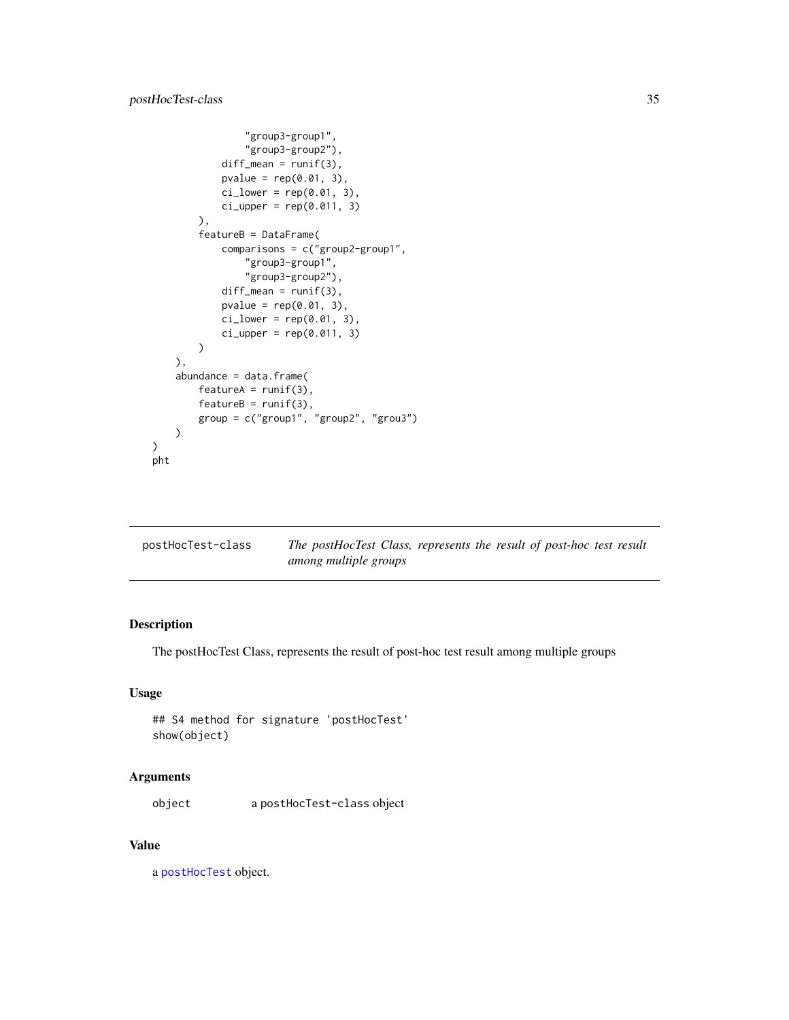```
"group3-group1",
                "group3-group2"),
            diff\_mean = runif(3),
            pvalue = rep(0.01, 3),
            ci_lower = rep(0.01, 3),ci\_upper = rep(0.011, 3)),
        featureB = DataFrame(
            comparisons = c("group2-group1",
                "group3-group1",
                "group3-group2"),
            diff\_mean = runif(3),
            pvalue = rep(0.01, 3),ci_lower = rep(0.01, 3),ci\_upper = rep(0.011, 3))
   ),
    abundance = data.frame(
        featureA = runif(3),featureB = runif(3),
        group = c("group1", "group2", "grou3")
   )
pht
```
<span id="page-34-1"></span>

| postHocTest-class | The postHocTest Class, represents the result of post-hoc test result |  |  |  |
|-------------------|----------------------------------------------------------------------|--|--|--|
|                   | among multiple groups                                                |  |  |  |

)

The postHocTest Class, represents the result of post-hoc test result among multiple groups

## Usage

```
## S4 method for signature 'postHocTest'
show(object)
```
#### Arguments

object a postHocTest-class object

# Value

a [postHocTest](#page-34-1) object.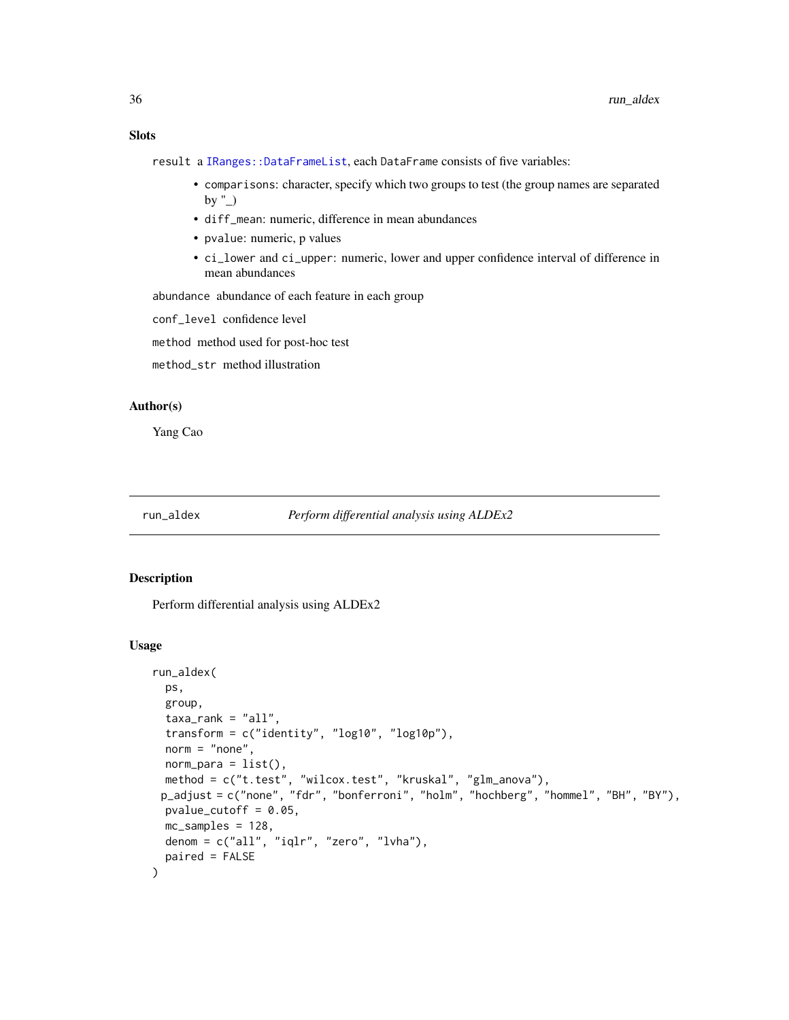<span id="page-35-0"></span>result a [IRanges::DataFrameList](#page-0-0), each DataFrame consists of five variables:

- comparisons: character, specify which two groups to test (the group names are separated by  $"$ )
- diff\_mean: numeric, difference in mean abundances
- pvalue: numeric, p values
- ci\_lower and ci\_upper: numeric, lower and upper confidence interval of difference in mean abundances

abundance abundance of each feature in each group

conf\_level confidence level

method method used for post-hoc test

method\_str method illustration

#### Author(s)

Yang Cao

#### run\_aldex *Perform differential analysis using ALDEx2*

#### Description

Perform differential analysis using ALDEx2

#### Usage

```
run_aldex(
 ps,
  group,
  taxa_rank = "all",
  transform = c("identity", "log10", "log10p"),
  norm = "none",norm\_para = list(),
 method = c("t.test", "wilcox.test", "kruskal", "glm_anova"),
 p_adjust = c("none", "fdr", "bonferroni", "holm", "hochberg", "hommel", "BH", "BY"),
 pvalue_cutoff = 0.05,
 mc_samples = 128,
 denom = c("all", "iqlr", "zero", "lvha"),
 paired = FALSE
)
```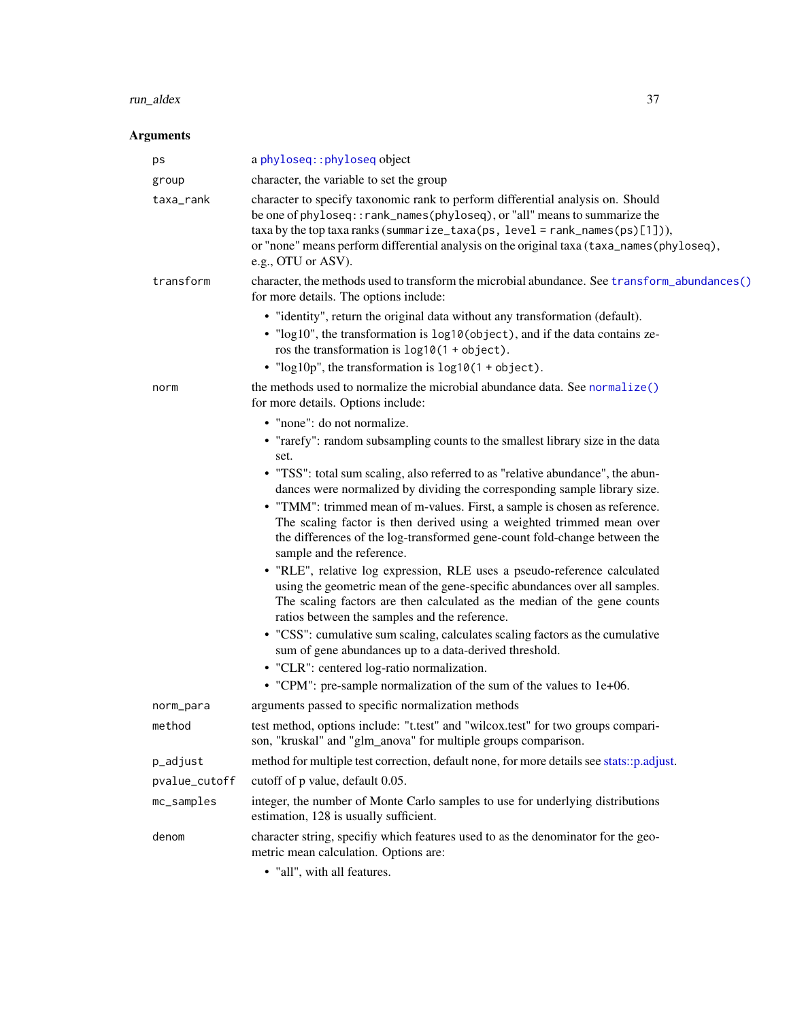#### run\_aldex 37

# Arguments

| ps                  | a phyloseq:: phyloseq object                                                                                                                                                                                                                                                                                                                                                                                                                                                                                                                                                                                                                                                                                                                                                                                                                                                                                                                                                                                                           |
|---------------------|----------------------------------------------------------------------------------------------------------------------------------------------------------------------------------------------------------------------------------------------------------------------------------------------------------------------------------------------------------------------------------------------------------------------------------------------------------------------------------------------------------------------------------------------------------------------------------------------------------------------------------------------------------------------------------------------------------------------------------------------------------------------------------------------------------------------------------------------------------------------------------------------------------------------------------------------------------------------------------------------------------------------------------------|
| group               | character, the variable to set the group                                                                                                                                                                                                                                                                                                                                                                                                                                                                                                                                                                                                                                                                                                                                                                                                                                                                                                                                                                                               |
| taxa_rank           | character to specify taxonomic rank to perform differential analysis on. Should<br>be one of phyloseq:: rank_names(phyloseq), or "all" means to summarize the<br>$taxa$ by the top taxa ranks (summarize_taxa(ps, level = rank_names(ps)[1])),<br>or "none" means perform differential analysis on the original taxa (taxa_names(phyloseq),<br>e.g., OTU or ASV).                                                                                                                                                                                                                                                                                                                                                                                                                                                                                                                                                                                                                                                                      |
| transform           | character, the methods used to transform the microbial abundance. See transform_abundances()<br>for more details. The options include:                                                                                                                                                                                                                                                                                                                                                                                                                                                                                                                                                                                                                                                                                                                                                                                                                                                                                                 |
|                     | • "identity", return the original data without any transformation (default).<br>• "log10", the transformation is log10(object), and if the data contains ze-<br>ros the transformation is $log10(1 + object)$ .<br>• " $log 10p$ ", the transformation is $log 10(1 + object)$ .                                                                                                                                                                                                                                                                                                                                                                                                                                                                                                                                                                                                                                                                                                                                                       |
| norm                | the methods used to normalize the microbial abundance data. See normalize()<br>for more details. Options include:                                                                                                                                                                                                                                                                                                                                                                                                                                                                                                                                                                                                                                                                                                                                                                                                                                                                                                                      |
|                     | • "none": do not normalize.<br>• "rarefy": random subsampling counts to the smallest library size in the data<br>set.<br>• "TSS": total sum scaling, also referred to as "relative abundance", the abun-<br>dances were normalized by dividing the corresponding sample library size.<br>• "TMM": trimmed mean of m-values. First, a sample is chosen as reference.<br>The scaling factor is then derived using a weighted trimmed mean over<br>the differences of the log-transformed gene-count fold-change between the<br>sample and the reference.<br>· "RLE", relative log expression, RLE uses a pseudo-reference calculated<br>using the geometric mean of the gene-specific abundances over all samples.<br>The scaling factors are then calculated as the median of the gene counts<br>ratios between the samples and the reference.<br>• "CSS": cumulative sum scaling, calculates scaling factors as the cumulative<br>sum of gene abundances up to a data-derived threshold.<br>• "CLR": centered log-ratio normalization. |
|                     | • "CPM": pre-sample normalization of the sum of the values to 1e+06.<br>arguments passed to specific normalization methods                                                                                                                                                                                                                                                                                                                                                                                                                                                                                                                                                                                                                                                                                                                                                                                                                                                                                                             |
| norm_para<br>method | test method, options include: "t.test" and "wilcox.test" for two groups compari-<br>son, "kruskal" and "glm_anova" for multiple groups comparison.                                                                                                                                                                                                                                                                                                                                                                                                                                                                                                                                                                                                                                                                                                                                                                                                                                                                                     |
| p_adjust            | method for multiple test correction, default none, for more details see stats::p.adjust.                                                                                                                                                                                                                                                                                                                                                                                                                                                                                                                                                                                                                                                                                                                                                                                                                                                                                                                                               |
| pvalue_cutoff       | cutoff of p value, default 0.05.                                                                                                                                                                                                                                                                                                                                                                                                                                                                                                                                                                                                                                                                                                                                                                                                                                                                                                                                                                                                       |
| mc_samples          | integer, the number of Monte Carlo samples to use for underlying distributions<br>estimation, 128 is usually sufficient.                                                                                                                                                                                                                                                                                                                                                                                                                                                                                                                                                                                                                                                                                                                                                                                                                                                                                                               |
| denom               | character string, specifiy which features used to as the denominator for the geo-<br>metric mean calculation. Options are:                                                                                                                                                                                                                                                                                                                                                                                                                                                                                                                                                                                                                                                                                                                                                                                                                                                                                                             |
|                     |                                                                                                                                                                                                                                                                                                                                                                                                                                                                                                                                                                                                                                                                                                                                                                                                                                                                                                                                                                                                                                        |

• "all", with all features.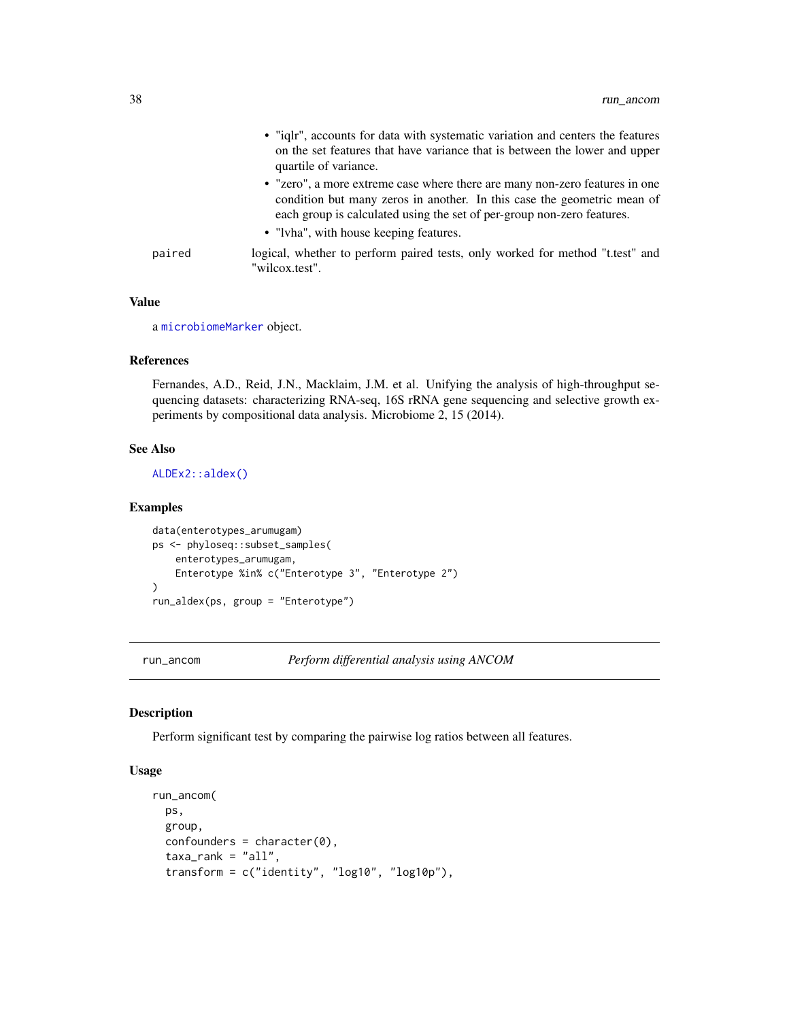|        | • "ight", accounts for data with systematic variation and centers the features<br>on the set features that have variance that is between the lower and upper<br>quartile of variance.                                                                                      |
|--------|----------------------------------------------------------------------------------------------------------------------------------------------------------------------------------------------------------------------------------------------------------------------------|
|        | • "zero", a more extreme case where there are many non-zero features in one<br>condition but many zeros in another. In this case the geometric mean of<br>each group is calculated using the set of per-group non-zero features.<br>• "Ivha", with house keeping features. |
| paired | logical, whether to perform paired tests, only worked for method "t.test" and<br>"wilcox.test".                                                                                                                                                                            |

a [microbiomeMarker](#page-19-0) object.

## References

Fernandes, A.D., Reid, J.N., Macklaim, J.M. et al. Unifying the analysis of high-throughput sequencing datasets: characterizing RNA-seq, 16S rRNA gene sequencing and selective growth experiments by compositional data analysis. Microbiome 2, 15 (2014).

## See Also

[ALDEx2::aldex\(\)](#page-0-0)

#### Examples

```
data(enterotypes_arumugam)
ps <- phyloseq::subset_samples(
   enterotypes_arumugam,
   Enterotype %in% c("Enterotype 3", "Enterotype 2")
)
run_aldex(ps, group = "Enterotype")
```
<span id="page-37-0"></span>run\_ancom *Perform differential analysis using ANCOM*

#### Description

Perform significant test by comparing the pairwise log ratios between all features.

## Usage

```
run_ancom(
 ps,
 group,
 confounders = character(0),
  taxa\_rank = "all",transform = c("identity", "log10", "log10p"),
```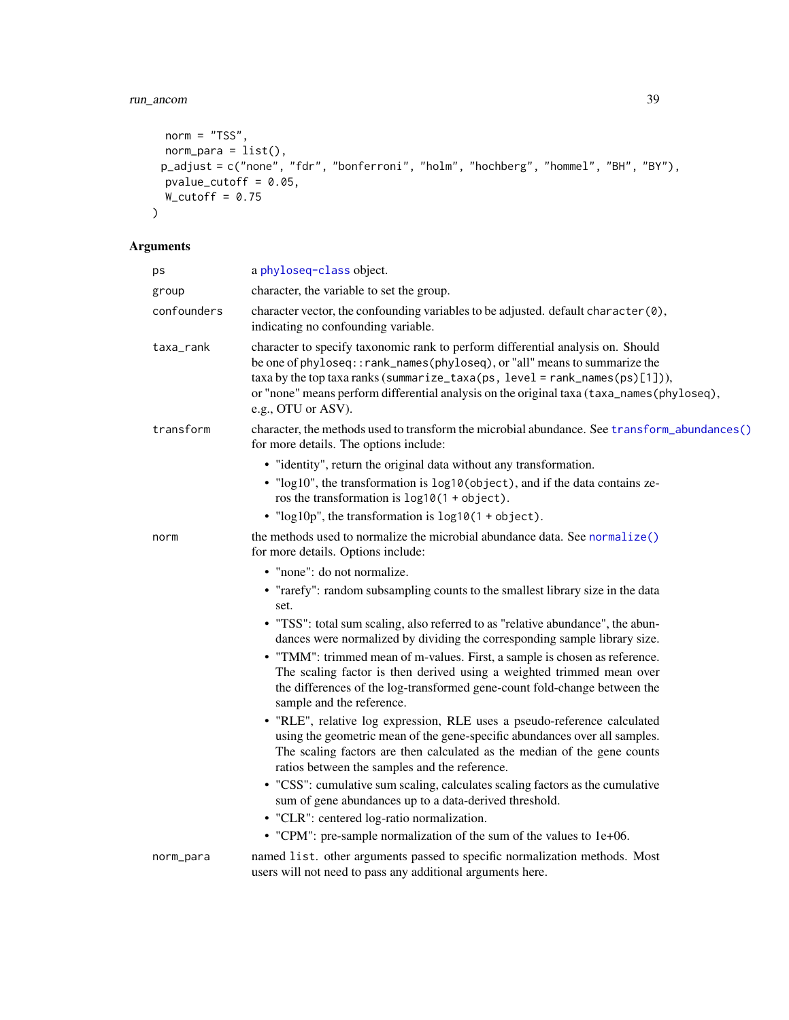```
norm = "TSS",norm_para = list(),
 p_adjust = c("none", "fdr", "bonferroni", "holm", "hochberg", "hommel", "BH", "BY"),
 pvalue_cutoff = 0.05,
 W_{\text{cutoff}} = 0.75\mathcal{L}
```

| ps          | a phyloseq-class object.                                                                                                                                                                                                                                                                                                                                                                                                                                                                                                                                                                                                                                                                                                                                                                                                                                                                                                                                                                                                               |
|-------------|----------------------------------------------------------------------------------------------------------------------------------------------------------------------------------------------------------------------------------------------------------------------------------------------------------------------------------------------------------------------------------------------------------------------------------------------------------------------------------------------------------------------------------------------------------------------------------------------------------------------------------------------------------------------------------------------------------------------------------------------------------------------------------------------------------------------------------------------------------------------------------------------------------------------------------------------------------------------------------------------------------------------------------------|
| group       | character, the variable to set the group.                                                                                                                                                                                                                                                                                                                                                                                                                                                                                                                                                                                                                                                                                                                                                                                                                                                                                                                                                                                              |
| confounders | character vector, the confounding variables to be adjusted. default character (0),<br>indicating no confounding variable.                                                                                                                                                                                                                                                                                                                                                                                                                                                                                                                                                                                                                                                                                                                                                                                                                                                                                                              |
| taxa_rank   | character to specify taxonomic rank to perform differential analysis on. Should<br>be one of phyloseq:: rank_names(phyloseq), or "all" means to summarize the<br>$taxa$ by the top taxa ranks (summarize_taxa(ps, level = rank_names(ps)[1])),<br>or "none" means perform differential analysis on the original taxa (taxa_names(phyloseq),<br>e.g., OTU or ASV).                                                                                                                                                                                                                                                                                                                                                                                                                                                                                                                                                                                                                                                                      |
| transform   | character, the methods used to transform the microbial abundance. See transform_abundances()<br>for more details. The options include:                                                                                                                                                                                                                                                                                                                                                                                                                                                                                                                                                                                                                                                                                                                                                                                                                                                                                                 |
|             | • "identity", return the original data without any transformation.<br>• "log10", the transformation is log10(object), and if the data contains ze-<br>ros the transformation is $log10(1 + object)$ .<br>• " $log 10p$ ", the transformation is $log 10(1 + object)$ .                                                                                                                                                                                                                                                                                                                                                                                                                                                                                                                                                                                                                                                                                                                                                                 |
| norm        | the methods used to normalize the microbial abundance data. See normalize()<br>for more details. Options include:                                                                                                                                                                                                                                                                                                                                                                                                                                                                                                                                                                                                                                                                                                                                                                                                                                                                                                                      |
|             | • "none": do not normalize.<br>• "rarefy": random subsampling counts to the smallest library size in the data<br>set.<br>• "TSS": total sum scaling, also referred to as "relative abundance", the abun-<br>dances were normalized by dividing the corresponding sample library size.<br>• "TMM": trimmed mean of m-values. First, a sample is chosen as reference.<br>The scaling factor is then derived using a weighted trimmed mean over<br>the differences of the log-transformed gene-count fold-change between the<br>sample and the reference.<br>• "RLE", relative log expression, RLE uses a pseudo-reference calculated<br>using the geometric mean of the gene-specific abundances over all samples.<br>The scaling factors are then calculated as the median of the gene counts<br>ratios between the samples and the reference.<br>• "CSS": cumulative sum scaling, calculates scaling factors as the cumulative<br>sum of gene abundances up to a data-derived threshold.<br>• "CLR": centered log-ratio normalization. |
|             | • "CPM": pre-sample normalization of the sum of the values to 1e+06.                                                                                                                                                                                                                                                                                                                                                                                                                                                                                                                                                                                                                                                                                                                                                                                                                                                                                                                                                                   |
| norm_para   | named list. other arguments passed to specific normalization methods. Most<br>users will not need to pass any additional arguments here.                                                                                                                                                                                                                                                                                                                                                                                                                                                                                                                                                                                                                                                                                                                                                                                                                                                                                               |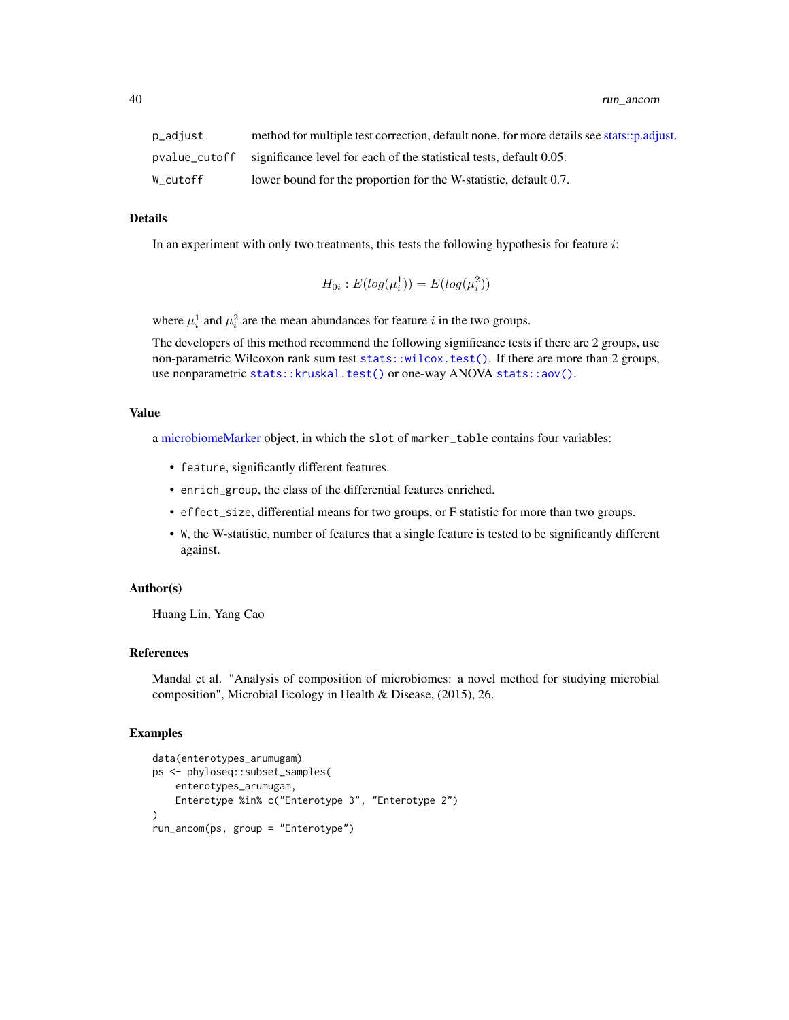| p_adjust | method for multiple test correction, default none, for more details see stats::p.adjust. |
|----------|------------------------------------------------------------------------------------------|
|          | position position of the statistical tests, default 0.05.                                |
| W cutoff | lower bound for the proportion for the W-statistic, default 0.7.                         |

In an experiment with only two treatments, this tests the following hypothesis for feature  $i$ :

$$
H_{0i}: E(log(\mu_i^1)) = E(log(\mu_i^2))
$$

where  $\mu_i^1$  and  $\mu_i^2$  are the mean abundances for feature i in the two groups.

The developers of this method recommend the following significance tests if there are 2 groups, use non-parametric Wilcoxon rank sum test [stats::wilcox.test\(\)](#page-0-0). If there are more than 2 groups, use nonparametric [stats::kruskal.test\(\)](#page-0-0) or one-way ANOVA [stats::aov\(\)](#page-0-0).

#### Value

a [microbiomeMarker](#page-19-0) object, in which the slot of marker\_table contains four variables:

- feature, significantly different features.
- enrich\_group, the class of the differential features enriched.
- effect\_size, differential means for two groups, or F statistic for more than two groups.
- W, the W-statistic, number of features that a single feature is tested to be significantly different against.

#### Author(s)

Huang Lin, Yang Cao

#### References

Mandal et al. "Analysis of composition of microbiomes: a novel method for studying microbial composition", Microbial Ecology in Health & Disease, (2015), 26.

#### Examples

```
data(enterotypes_arumugam)
ps <- phyloseq::subset_samples(
    enterotypes_arumugam,
    Enterotype %in% c("Enterotype 3", "Enterotype 2")
\mathcal{L}run_ancom(ps, group = "Enterotype")
```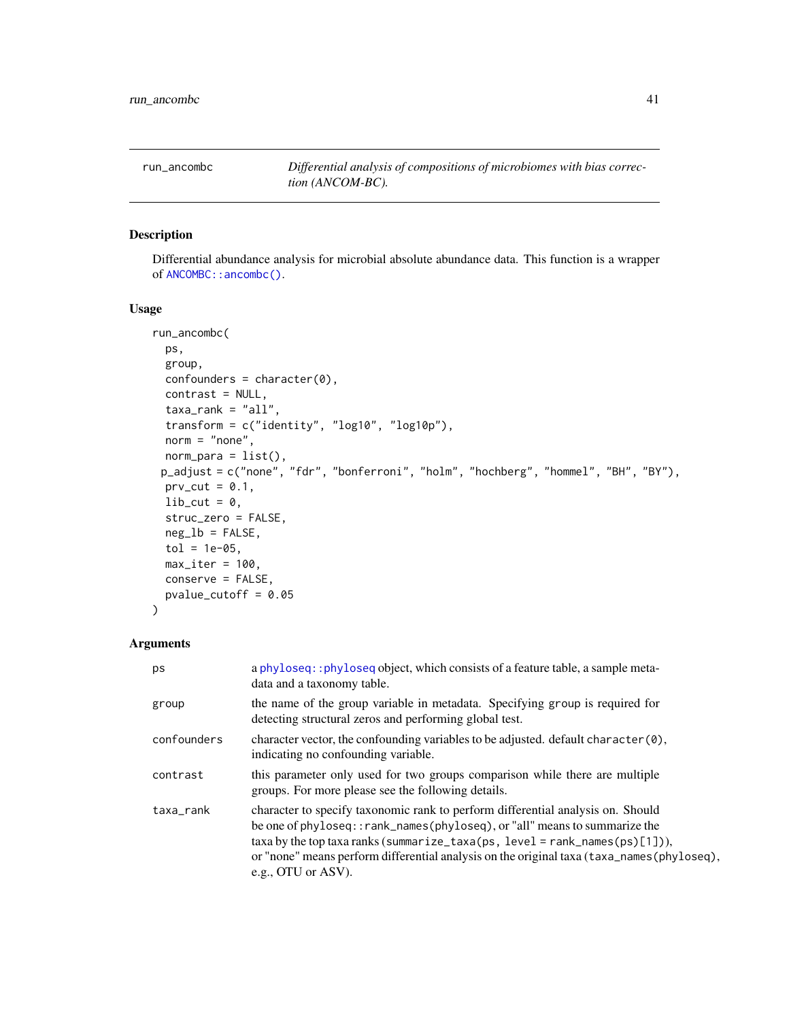<span id="page-40-0"></span>run\_ancombc *Differential analysis of compositions of microbiomes with bias correction (ANCOM-BC).*

## Description

Differential abundance analysis for microbial absolute abundance data. This function is a wrapper of [ANCOMBC::ancombc\(\)](#page-0-0).

#### Usage

```
run_ancombc(
 ps,
 group,
 confounders = character(0),
 contrast = NULL,
 taxa\_rank = "all",transform = c("identity", "log10", "log10p"),
 norm = "none",norm\_para = list(),
 p_adjust = c("none", "fdr", "bonferroni", "holm", "hochberg", "hommel", "BH", "BY"),
 prv_cut = 0.1,
 lib-cut = 0,struc_zero = FALSE,
 neg\_lb = FALSE,tol = 1e-05,max\_iter = 100,
 conserve = FALSE,
 pvalue_cutoff = 0.05
)
```

| ps          | a phyloseq::phyloseq object, which consists of a feature table, a sample meta-<br>data and a taxonomy table.                                                                                                                                                                                                                                                      |
|-------------|-------------------------------------------------------------------------------------------------------------------------------------------------------------------------------------------------------------------------------------------------------------------------------------------------------------------------------------------------------------------|
| group       | the name of the group variable in metadata. Specifying group is required for<br>detecting structural zeros and performing global test.                                                                                                                                                                                                                            |
| confounders | character vector, the confounding variables to be adjusted. default character $(0)$ ,<br>indicating no confounding variable.                                                                                                                                                                                                                                      |
| contrast    | this parameter only used for two groups comparison while there are multiple<br>groups. For more please see the following details.                                                                                                                                                                                                                                 |
| taxa_rank   | character to specify taxonomic rank to perform differential analysis on. Should<br>be one of phyloseq::rank_names(phyloseq), or "all" means to summarize the<br>taxa by the top taxa ranks (summarize_taxa(ps, level = rank_names(ps)[1])),<br>or "none" means perform differential analysis on the original taxa (taxa_names(phyloseq),<br>e.g., OTU or $ASV$ ). |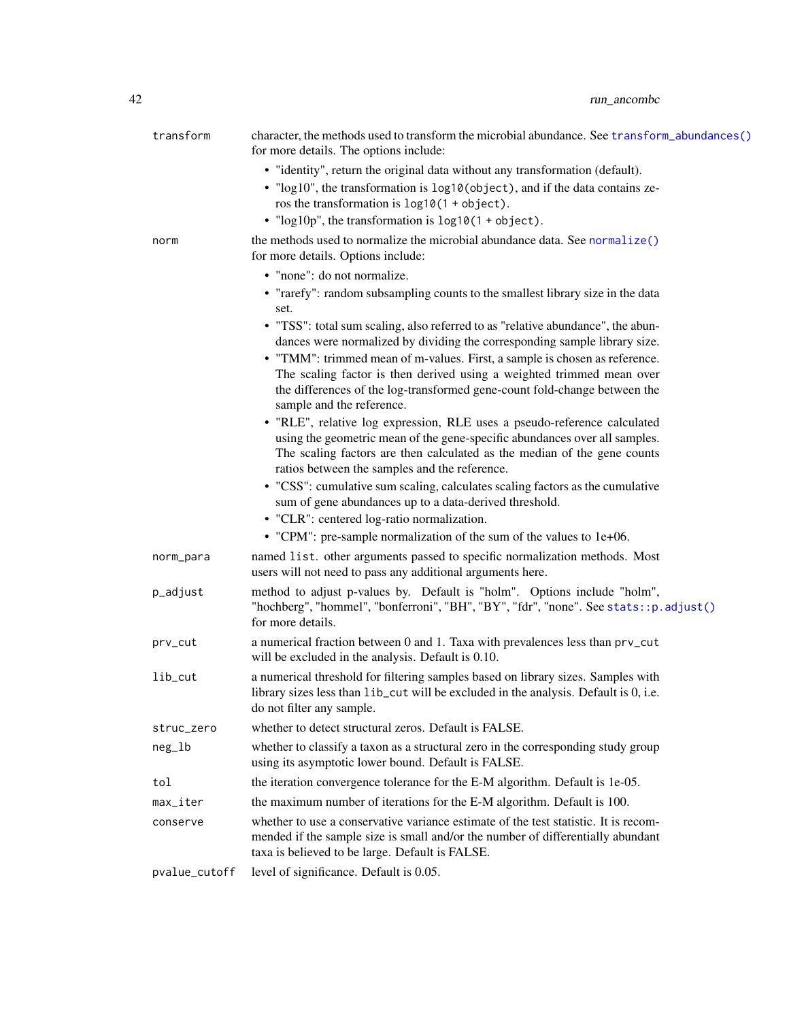| transform     | character, the methods used to transform the microbial abundance. See transform_abundances()<br>for more details. The options include:                                                                |
|---------------|-------------------------------------------------------------------------------------------------------------------------------------------------------------------------------------------------------|
|               | • "identity", return the original data without any transformation (default).                                                                                                                          |
|               | • "log10", the transformation is log10(object), and if the data contains ze-<br>ros the transformation is $log10(1 + object)$ .                                                                       |
|               | • " $log 10p$ ", the transformation is $log 10(1 + object)$ .                                                                                                                                         |
| norm          | the methods used to normalize the microbial abundance data. See normalize()<br>for more details. Options include:                                                                                     |
|               | • "none": do not normalize.                                                                                                                                                                           |
|               | • "rarefy": random subsampling counts to the smallest library size in the data<br>set.                                                                                                                |
|               | • "TSS": total sum scaling, also referred to as "relative abundance", the abun-<br>dances were normalized by dividing the corresponding sample library size.                                          |
|               | • "TMM": trimmed mean of m-values. First, a sample is chosen as reference.                                                                                                                            |
|               | The scaling factor is then derived using a weighted trimmed mean over                                                                                                                                 |
|               | the differences of the log-transformed gene-count fold-change between the<br>sample and the reference.                                                                                                |
|               | • "RLE", relative log expression, RLE uses a pseudo-reference calculated                                                                                                                              |
|               | using the geometric mean of the gene-specific abundances over all samples.                                                                                                                            |
|               | The scaling factors are then calculated as the median of the gene counts<br>ratios between the samples and the reference.                                                                             |
|               | • "CSS": cumulative sum scaling, calculates scaling factors as the cumulative<br>sum of gene abundances up to a data-derived threshold.                                                               |
|               | • "CLR": centered log-ratio normalization.                                                                                                                                                            |
|               | • "CPM": pre-sample normalization of the sum of the values to 1e+06.                                                                                                                                  |
| norm_para     | named list. other arguments passed to specific normalization methods. Most<br>users will not need to pass any additional arguments here.                                                              |
| p_adjust      | method to adjust p-values by. Default is "holm". Options include "holm",<br>"hochberg", "hommel", "bonferroni", "BH", "BY", "fdr", "none". See stats::p.adjust()<br>for more details.                 |
| prv_cut       | a numerical fraction between 0 and 1. Taxa with prevalences less than prv_cut<br>will be excluded in the analysis. Default is 0.10.                                                                   |
| lib_cut       | a numerical threshold for filtering samples based on library sizes. Samples with<br>library sizes less than lib_cut will be excluded in the analysis. Default is 0, i.e.<br>do not filter any sample. |
| struc_zero    | whether to detect structural zeros. Default is FALSE.                                                                                                                                                 |
| $neg_l$       | whether to classify a taxon as a structural zero in the corresponding study group<br>using its asymptotic lower bound. Default is FALSE.                                                              |
| tol           | the iteration convergence tolerance for the E-M algorithm. Default is 1e-05.                                                                                                                          |
| max_iter      | the maximum number of iterations for the E-M algorithm. Default is 100.                                                                                                                               |
| conserve      | whether to use a conservative variance estimate of the test statistic. It is recom-                                                                                                                   |
|               | mended if the sample size is small and/or the number of differentially abundant<br>taxa is believed to be large. Default is FALSE.                                                                    |
| pvalue_cutoff | level of significance. Default is 0.05.                                                                                                                                                               |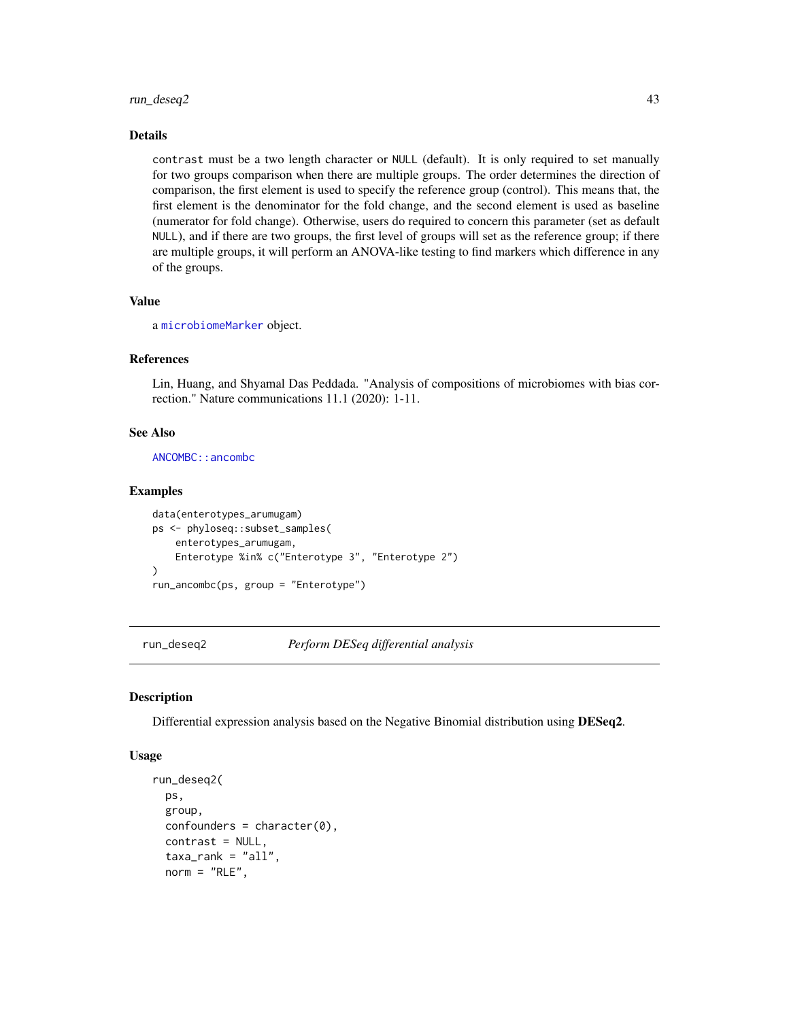## run\_deseq2 43

## Details

contrast must be a two length character or NULL (default). It is only required to set manually for two groups comparison when there are multiple groups. The order determines the direction of comparison, the first element is used to specify the reference group (control). This means that, the first element is the denominator for the fold change, and the second element is used as baseline (numerator for fold change). Otherwise, users do required to concern this parameter (set as default NULL), and if there are two groups, the first level of groups will set as the reference group; if there are multiple groups, it will perform an ANOVA-like testing to find markers which difference in any of the groups.

#### Value

a [microbiomeMarker](#page-19-0) object.

#### References

Lin, Huang, and Shyamal Das Peddada. "Analysis of compositions of microbiomes with bias correction." Nature communications 11.1 (2020): 1-11.

## See Also

[ANCOMBC::ancombc](#page-0-0)

#### Examples

```
data(enterotypes_arumugam)
ps <- phyloseq::subset_samples(
    enterotypes_arumugam,
   Enterotype %in% c("Enterotype 3", "Enterotype 2")
)
run_ancombc(ps, group = "Enterotype")
```
<span id="page-42-0"></span>run\_deseq2 *Perform DESeq differential analysis*

#### Description

Differential expression analysis based on the Negative Binomial distribution using DESeq2.

#### Usage

```
run_deseq2(
  ps,
  group,
  confounders = character(0),
  contrast = NULL,
  taxa<sub>rank</sub> = "all",norm = "RLE",
```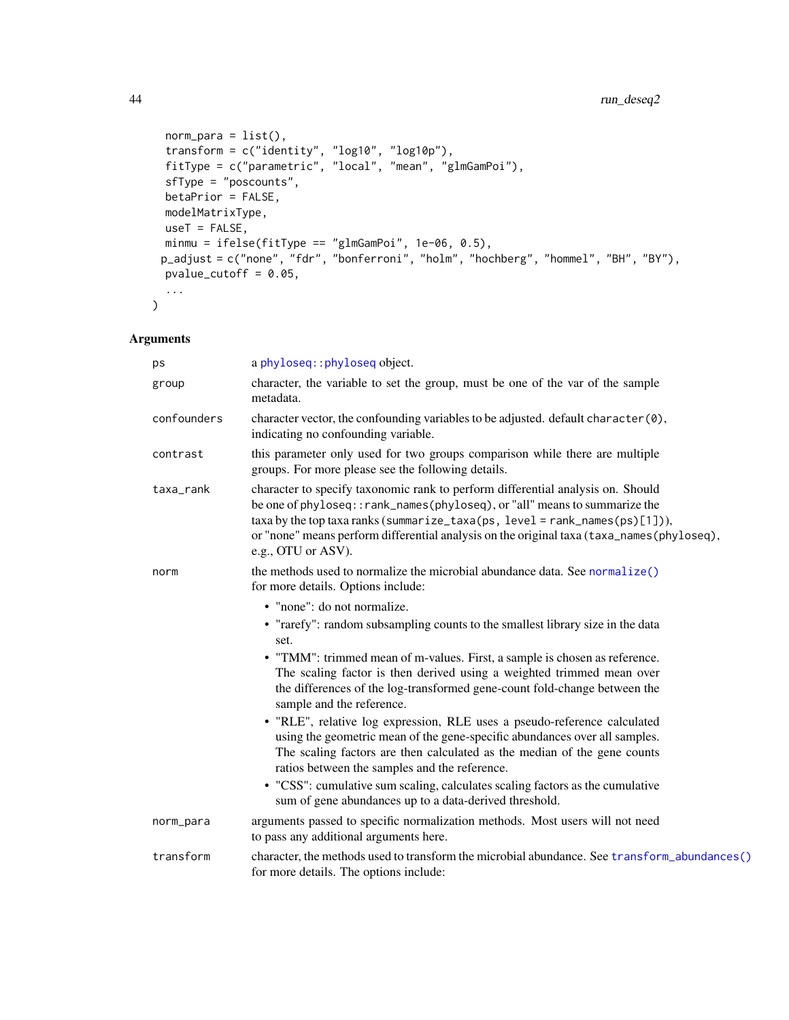# 44 run\_deseq2

```
norm\_para = list(),
  transform = c("identity", "log10", "log10p"),
  fitType = c("parametric", "local", "mean", "glmGamPoi"),
 sfType = "poscounts",
 betaPrior = FALSE,
 modelMatrixType,
 useT = FALSE,minmu = ifelse(fitType == "glmGamPoi", 1e-06, 0.5),
 p_adjust = c("none", "fdr", "bonferroni", "holm", "hochberg", "hommel", "BH", "BY"),
 pvalue_cutoff = 0.05,
  ...
\mathcal{L}
```

| ps          | a phyloseq:: phyloseq object.                                                                                                                                                                                                                                                                                                                                     |
|-------------|-------------------------------------------------------------------------------------------------------------------------------------------------------------------------------------------------------------------------------------------------------------------------------------------------------------------------------------------------------------------|
| group       | character, the variable to set the group, must be one of the var of the sample<br>metadata.                                                                                                                                                                                                                                                                       |
| confounders | character vector, the confounding variables to be adjusted. default character (0),<br>indicating no confounding variable.                                                                                                                                                                                                                                         |
| contrast    | this parameter only used for two groups comparison while there are multiple<br>groups. For more please see the following details.                                                                                                                                                                                                                                 |
| taxa_rank   | character to specify taxonomic rank to perform differential analysis on. Should<br>be one of phyloseq:: rank_names(phyloseq), or "all" means to summarize the<br>$taxa by the top taxa ranks (summarize\_taxa(ps, level = rank_names(ps)[1]),$<br>or "none" means perform differential analysis on the original taxa (taxa_names(phyloseq),<br>e.g., OTU or ASV). |
| norm        | the methods used to normalize the microbial abundance data. See normalize()<br>for more details. Options include:                                                                                                                                                                                                                                                 |
|             | • "none": do not normalize.                                                                                                                                                                                                                                                                                                                                       |
|             | • "rarefy": random subsampling counts to the smallest library size in the data<br>set.                                                                                                                                                                                                                                                                            |
|             | • "TMM": trimmed mean of m-values. First, a sample is chosen as reference.                                                                                                                                                                                                                                                                                        |
|             | The scaling factor is then derived using a weighted trimmed mean over                                                                                                                                                                                                                                                                                             |
|             | the differences of the log-transformed gene-count fold-change between the<br>sample and the reference.                                                                                                                                                                                                                                                            |
|             | • "RLE", relative log expression, RLE uses a pseudo-reference calculated                                                                                                                                                                                                                                                                                          |
|             | using the geometric mean of the gene-specific abundances over all samples.                                                                                                                                                                                                                                                                                        |
|             | The scaling factors are then calculated as the median of the gene counts<br>ratios between the samples and the reference.                                                                                                                                                                                                                                         |
|             | • "CSS": cumulative sum scaling, calculates scaling factors as the cumulative<br>sum of gene abundances up to a data-derived threshold.                                                                                                                                                                                                                           |
| norm_para   | arguments passed to specific normalization methods. Most users will not need<br>to pass any additional arguments here.                                                                                                                                                                                                                                            |
| transform   | character, the methods used to transform the microbial abundance. See transform_abundances()<br>for more details. The options include:                                                                                                                                                                                                                            |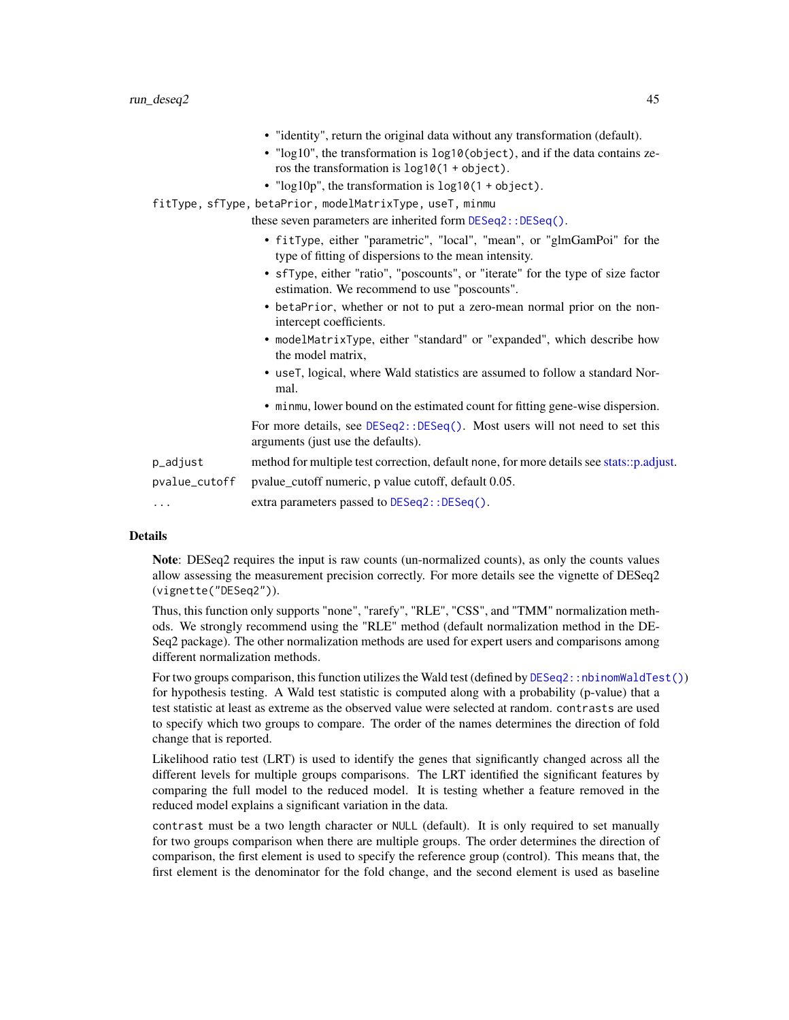|               | • "identity", return the original data without any transformation (default).<br>• "log10", the transformation is log10(object), and if the data contains ze-<br>ros the transformation is $log10(1 + object)$ .<br>• " $log 10p$ ", the transformation is $log 10(1 + object)$ .<br>fitType, sfType, betaPrior, modelMatrixType, useT, minmu |
|---------------|----------------------------------------------------------------------------------------------------------------------------------------------------------------------------------------------------------------------------------------------------------------------------------------------------------------------------------------------|
|               | these seven parameters are inherited form DESeq2::DESeq().                                                                                                                                                                                                                                                                                   |
|               | • fitType, either "parametric", "local", "mean", or "glmGamPoi" for the<br>type of fitting of dispersions to the mean intensity.                                                                                                                                                                                                             |
|               | • sfType, either "ratio", "poscounts", or "iterate" for the type of size factor<br>estimation. We recommend to use "poscounts".                                                                                                                                                                                                              |
|               | • betaPrior, whether or not to put a zero-mean normal prior on the non-<br>intercept coefficients.                                                                                                                                                                                                                                           |
|               | • modelMatrixType, either "standard" or "expanded", which describe how<br>the model matrix,                                                                                                                                                                                                                                                  |
|               | • use T, logical, where Wald statistics are assumed to follow a standard Nor-<br>mal.                                                                                                                                                                                                                                                        |
|               | • minmu, lower bound on the estimated count for fitting gene-wise dispersion.                                                                                                                                                                                                                                                                |
|               | For more details, see DESeq2::DESeq(). Most users will not need to set this<br>arguments (just use the defaults).                                                                                                                                                                                                                            |
| p_adjust      | method for multiple test correction, default none, for more details see stats::p.adjust.                                                                                                                                                                                                                                                     |
| pvalue_cutoff | pvalue_cutoff numeric, p value cutoff, default 0.05.                                                                                                                                                                                                                                                                                         |
| $\cdots$      | extra parameters passed to DESeq2:: DESeq().                                                                                                                                                                                                                                                                                                 |
|               |                                                                                                                                                                                                                                                                                                                                              |

Note: DESeq2 requires the input is raw counts (un-normalized counts), as only the counts values allow assessing the measurement precision correctly. For more details see the vignette of DESeq2 (vignette("DESeq2")).

Thus, this function only supports "none", "rarefy", "RLE", "CSS", and "TMM" normalization methods. We strongly recommend using the "RLE" method (default normalization method in the DE-Seq2 package). The other normalization methods are used for expert users and comparisons among different normalization methods.

For two groups comparison, this function utilizes the Wald test (defined by [DESeq2::nbinomWaldTest\(\)](#page-0-0)) for hypothesis testing. A Wald test statistic is computed along with a probability (p-value) that a test statistic at least as extreme as the observed value were selected at random. contrasts are used to specify which two groups to compare. The order of the names determines the direction of fold change that is reported.

Likelihood ratio test (LRT) is used to identify the genes that significantly changed across all the different levels for multiple groups comparisons. The LRT identified the significant features by comparing the full model to the reduced model. It is testing whether a feature removed in the reduced model explains a significant variation in the data.

contrast must be a two length character or NULL (default). It is only required to set manually for two groups comparison when there are multiple groups. The order determines the direction of comparison, the first element is used to specify the reference group (control). This means that, the first element is the denominator for the fold change, and the second element is used as baseline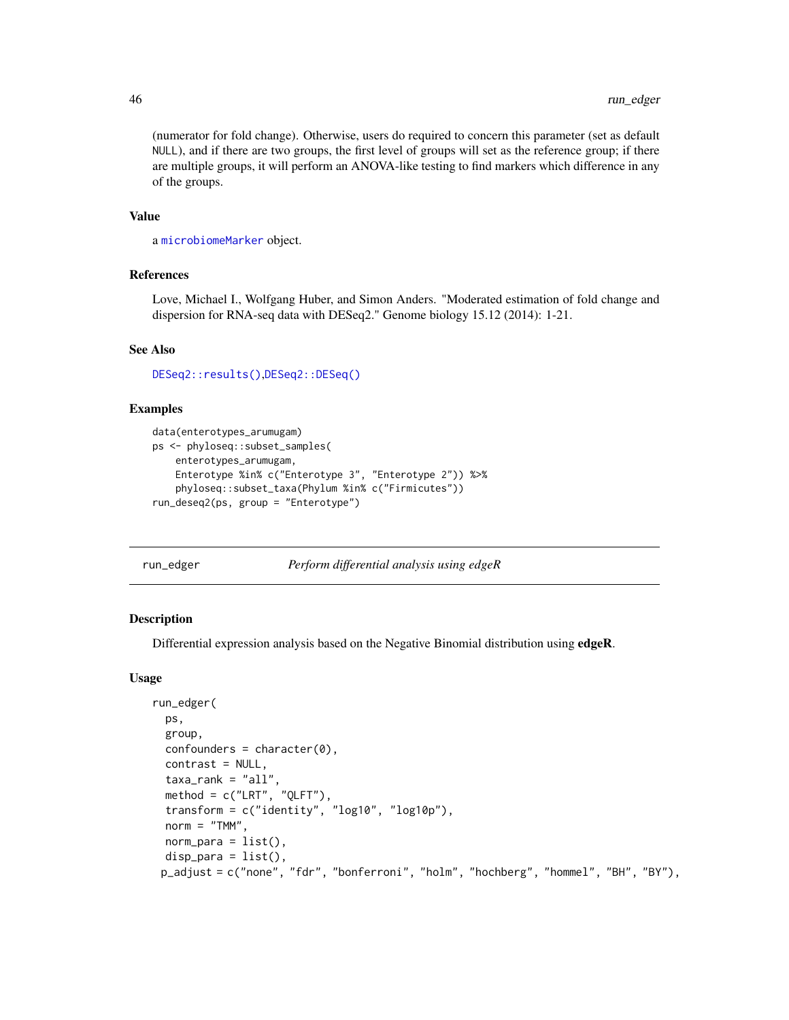(numerator for fold change). Otherwise, users do required to concern this parameter (set as default NULL), and if there are two groups, the first level of groups will set as the reference group; if there are multiple groups, it will perform an ANOVA-like testing to find markers which difference in any of the groups.

#### Value

a [microbiomeMarker](#page-19-0) object.

#### References

Love, Michael I., Wolfgang Huber, and Simon Anders. "Moderated estimation of fold change and dispersion for RNA-seq data with DESeq2." Genome biology 15.12 (2014): 1-21.

#### See Also

[DESeq2::results\(\)](#page-0-0),[DESeq2::DESeq\(\)](#page-0-0)

## Examples

```
data(enterotypes_arumugam)
ps <- phyloseq::subset_samples(
    enterotypes_arumugam,
   Enterotype %in% c("Enterotype 3", "Enterotype 2")) %>%
   phyloseq::subset_taxa(Phylum %in% c("Firmicutes"))
run_deseq2(ps, group = "Enterotype")
```
<span id="page-45-0"></span>run\_edger *Perform differential analysis using edgeR*

#### Description

Differential expression analysis based on the Negative Binomial distribution using edgeR.

#### Usage

```
run_edger(
 ps,
  group,
  confounders = character(0),
  contrast = NULL,
  taxa\_rank = "all",method = c("LRT", "QLFT"),
  transform = c("identity", "log10", "log10p"),
  norm = "TMM".norm\_para = list(),
 disp\_para = list(),
 p_adjust = c("none", "fdr", "bonferroni", "holm", "hochberg", "hommel", "BH", "BY"),
```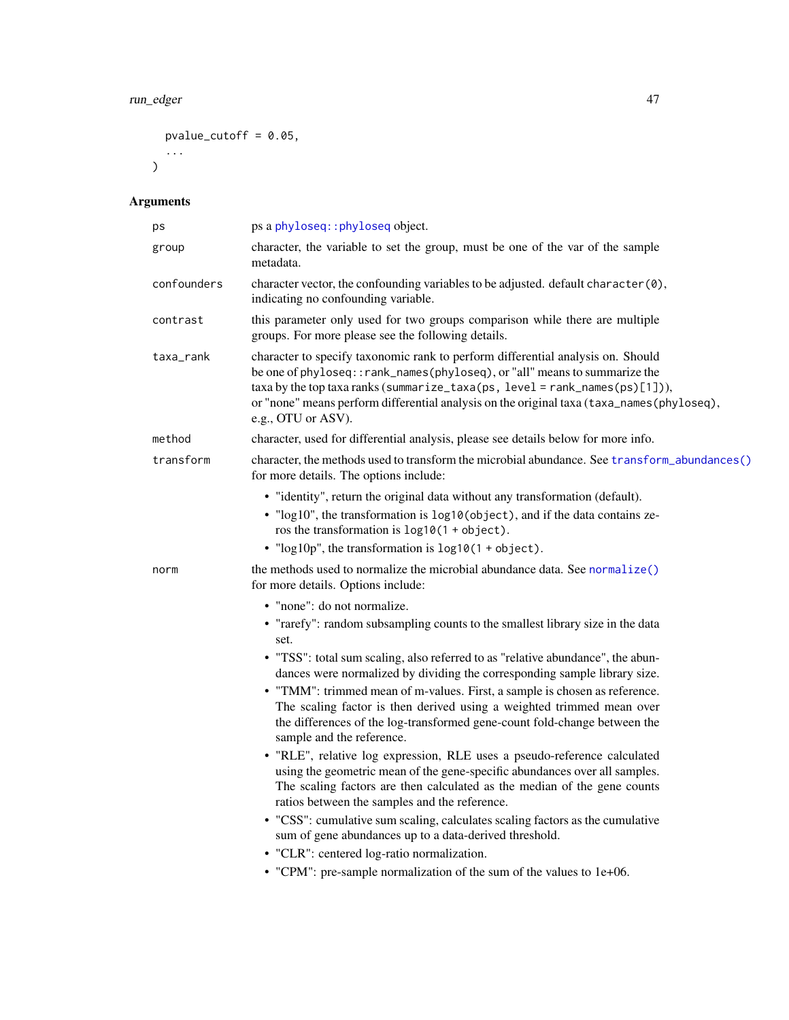# run\_edger 47

```
pvalue_cutoff = 0.05,
 ...
\big)
```

| ps          | ps a phyloseq:: phyloseq object.                                                                                                                                                                                                                                                                                                                                  |
|-------------|-------------------------------------------------------------------------------------------------------------------------------------------------------------------------------------------------------------------------------------------------------------------------------------------------------------------------------------------------------------------|
| group       | character, the variable to set the group, must be one of the var of the sample<br>metadata.                                                                                                                                                                                                                                                                       |
| confounders | character vector, the confounding variables to be adjusted. default character (0),<br>indicating no confounding variable.                                                                                                                                                                                                                                         |
| contrast    | this parameter only used for two groups comparison while there are multiple<br>groups. For more please see the following details.                                                                                                                                                                                                                                 |
| taxa_rank   | character to specify taxonomic rank to perform differential analysis on. Should<br>be one of phyloseq:: rank_names(phyloseq), or "all" means to summarize the<br>$taxa by the top taxa ranks (summarize\_taxa(ps, level = rank_names(ps)[1]),$<br>or "none" means perform differential analysis on the original taxa (taxa_names(phyloseq),<br>e.g., OTU or ASV). |
| method      | character, used for differential analysis, please see details below for more info.                                                                                                                                                                                                                                                                                |
| transform   | character, the methods used to transform the microbial abundance. See transform_abundances()<br>for more details. The options include:                                                                                                                                                                                                                            |
|             | • "identity", return the original data without any transformation (default).<br>• "log10", the transformation is log10(object), and if the data contains ze-<br>ros the transformation is $log10(1 + object)$ .<br>• " $log 10p$ ", the transformation is $log 10(1 + object)$ .                                                                                  |
| norm        | the methods used to normalize the microbial abundance data. See normalize()<br>for more details. Options include:                                                                                                                                                                                                                                                 |
|             | • "none": do not normalize.                                                                                                                                                                                                                                                                                                                                       |
|             | • "rarefy": random subsampling counts to the smallest library size in the data<br>set.                                                                                                                                                                                                                                                                            |
|             | • "TSS": total sum scaling, also referred to as "relative abundance", the abun-<br>dances were normalized by dividing the corresponding sample library size.                                                                                                                                                                                                      |
|             | • "TMM": trimmed mean of m-values. First, a sample is chosen as reference.<br>The scaling factor is then derived using a weighted trimmed mean over<br>the differences of the log-transformed gene-count fold-change between the<br>sample and the reference.                                                                                                     |
|             | • "RLE", relative log expression, RLE uses a pseudo-reference calculated<br>using the geometric mean of the gene-specific abundances over all samples.<br>The scaling factors are then calculated as the median of the gene counts<br>ratios between the samples and the reference.                                                                               |
|             | • "CSS": cumulative sum scaling, calculates scaling factors as the cumulative<br>sum of gene abundances up to a data-derived threshold.                                                                                                                                                                                                                           |
|             | • "CLR": centered log-ratio normalization.                                                                                                                                                                                                                                                                                                                        |
|             | • "CPM": pre-sample normalization of the sum of the values to 1e+06.                                                                                                                                                                                                                                                                                              |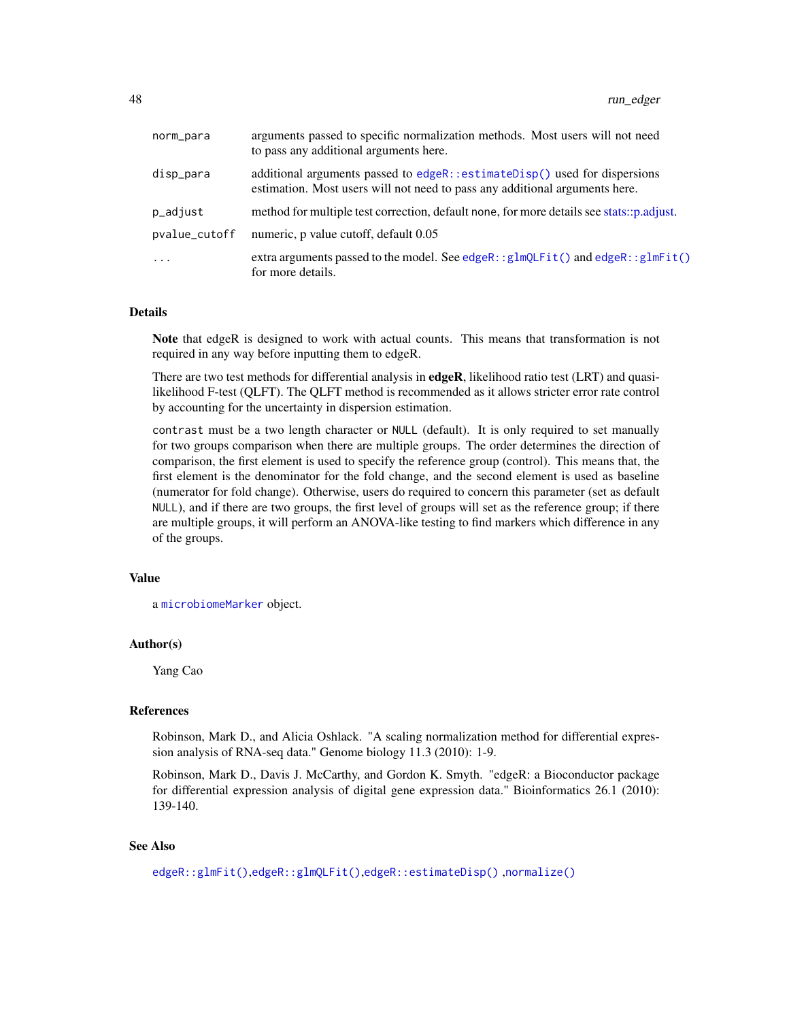| norm_para     | arguments passed to specific normalization methods. Most users will not need<br>to pass any additional arguments here.                                   |
|---------------|----------------------------------------------------------------------------------------------------------------------------------------------------------|
| disp_para     | additional arguments passed to edgeR::estimateDisp() used for dispersions<br>estimation. Most users will not need to pass any additional arguments here. |
| p_adjust      | method for multiple test correction, default none, for more details see stats::p.adjust.                                                                 |
| pvalue_cutoff | numeric, p value cutoff, default 0.05                                                                                                                    |
| $\ddotsc$     | extra arguments passed to the model. See edgeR:: $g1mQLFit()$ and edgeR:: $g1mFit()$<br>for more details.                                                |

Note that edgeR is designed to work with actual counts. This means that transformation is not required in any way before inputting them to edgeR.

There are two test methods for differential analysis in  $edge$ , likelihood ratio test (LRT) and quasilikelihood F-test (QLFT). The QLFT method is recommended as it allows stricter error rate control by accounting for the uncertainty in dispersion estimation.

contrast must be a two length character or NULL (default). It is only required to set manually for two groups comparison when there are multiple groups. The order determines the direction of comparison, the first element is used to specify the reference group (control). This means that, the first element is the denominator for the fold change, and the second element is used as baseline (numerator for fold change). Otherwise, users do required to concern this parameter (set as default NULL), and if there are two groups, the first level of groups will set as the reference group; if there are multiple groups, it will perform an ANOVA-like testing to find markers which difference in any of the groups.

#### Value

a [microbiomeMarker](#page-19-0) object.

# Author(s)

Yang Cao

#### References

Robinson, Mark D., and Alicia Oshlack. "A scaling normalization method for differential expression analysis of RNA-seq data." Genome biology 11.3 (2010): 1-9.

Robinson, Mark D., Davis J. McCarthy, and Gordon K. Smyth. "edgeR: a Bioconductor package for differential expression analysis of digital gene expression data." Bioinformatics 26.1 (2010): 139-140.

#### See Also

```
edgeR::glmFit(),edgeR::glmQLFit(),edgeR::estimateDisp() ,normalize()
```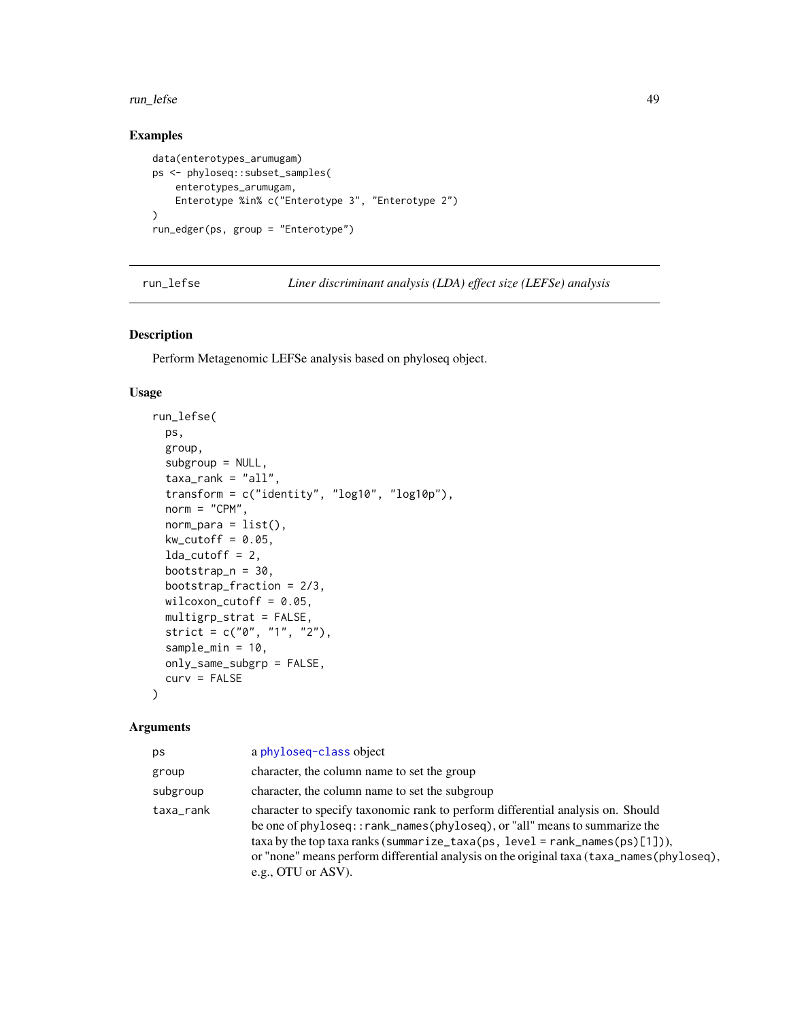#### run\_lefse 49

## Examples

```
data(enterotypes_arumugam)
ps <- phyloseq::subset_samples(
    enterotypes_arumugam,
    Enterotype %in% c("Enterotype 3", "Enterotype 2")
\lambdarun_edger(ps, group = "Enterotype")
```
<span id="page-48-0"></span>run\_lefse *Liner discriminant analysis (LDA) effect size (LEFSe) analysis*

#### Description

Perform Metagenomic LEFSe analysis based on phyloseq object.

#### Usage

```
run_lefse(
 ps,
  group,
  subgroup = NULL,
  taxa<sub>rank</sub> = "all",transform = c("identity", "log10", "log10p"),
  norm = "CPM",norm\_para = list(),
 kw\_cutoff = 0.05,
 lda_cutoff = 2,
 bootstrap_n = 30,
 bootstrap_fraction = 2/3,
 wilcoxon_cutoff = 0.05,
 multigrp_strat = FALSE,
 strict = c("0", "1", "2"),
  sample_min = 10,
 only_same_subgrp = FALSE,
  curv = FALSE)
```

| ps        | a phyloseq-class object                                                                                                                                                                                                                                                                                                                                          |
|-----------|------------------------------------------------------------------------------------------------------------------------------------------------------------------------------------------------------------------------------------------------------------------------------------------------------------------------------------------------------------------|
| group     | character, the column name to set the group                                                                                                                                                                                                                                                                                                                      |
| subgroup  | character, the column name to set the subgroup                                                                                                                                                                                                                                                                                                                   |
| taxa_rank | character to specify taxonomic rank to perform differential analysis on. Should<br>be one of phyloseq::rank_names(phyloseq), or "all" means to summarize the<br>$taxa$ by the top taxa ranks (summarize_taxa(ps, level = rank_names(ps)[1])),<br>or "none" means perform differential analysis on the original taxa (taxa_names(phyloseq),<br>e.g., OTU or ASV). |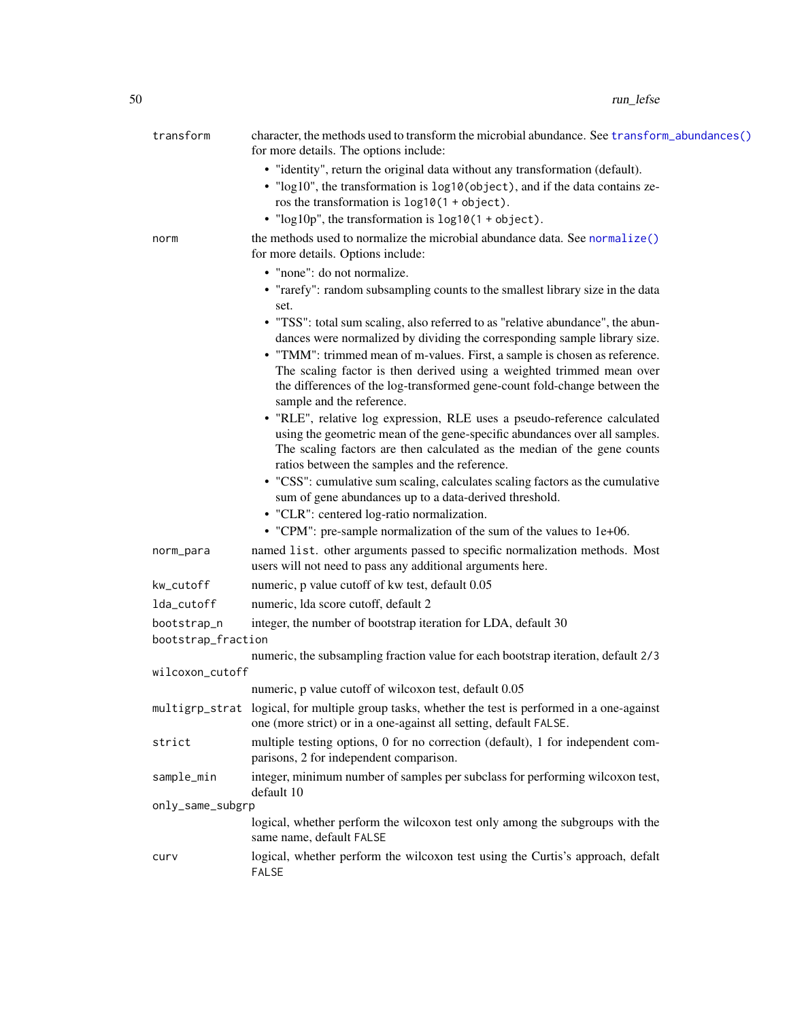| transform                         | character, the methods used to transform the microbial abundance. See transform_abundances()<br>for more details. The options include:                                                                                                                                                                           |
|-----------------------------------|------------------------------------------------------------------------------------------------------------------------------------------------------------------------------------------------------------------------------------------------------------------------------------------------------------------|
|                                   | • "identity", return the original data without any transformation (default).<br>· "log10", the transformation is log10(object), and if the data contains ze-<br>ros the transformation is $log10(1 + object)$ .                                                                                                  |
|                                   | • " $log 10p$ ", the transformation is $log 10(1 + object)$ .                                                                                                                                                                                                                                                    |
| norm                              | the methods used to normalize the microbial abundance data. See normalize()<br>for more details. Options include:                                                                                                                                                                                                |
|                                   | • "none": do not normalize.                                                                                                                                                                                                                                                                                      |
|                                   | • "rarefy": random subsampling counts to the smallest library size in the data<br>set.                                                                                                                                                                                                                           |
|                                   | • "TSS": total sum scaling, also referred to as "relative abundance", the abun-<br>dances were normalized by dividing the corresponding sample library size.                                                                                                                                                     |
|                                   | • "TMM": trimmed mean of m-values. First, a sample is chosen as reference.<br>The scaling factor is then derived using a weighted trimmed mean over<br>the differences of the log-transformed gene-count fold-change between the                                                                                 |
|                                   | sample and the reference.<br>• "RLE", relative log expression, RLE uses a pseudo-reference calculated<br>using the geometric mean of the gene-specific abundances over all samples.<br>The scaling factors are then calculated as the median of the gene counts<br>ratios between the samples and the reference. |
|                                   | • "CSS": cumulative sum scaling, calculates scaling factors as the cumulative<br>sum of gene abundances up to a data-derived threshold.<br>• "CLR": centered log-ratio normalization.<br>• "CPM": pre-sample normalization of the sum of the values to 1e+06.                                                    |
| norm_para                         | named list. other arguments passed to specific normalization methods. Most<br>users will not need to pass any additional arguments here.                                                                                                                                                                         |
| kw_cutoff                         | numeric, p value cutoff of kw test, default 0.05                                                                                                                                                                                                                                                                 |
| lda_cutoff                        | numeric, Ida score cutoff, default 2                                                                                                                                                                                                                                                                             |
| bootstrap_n<br>bootstrap_fraction | integer, the number of bootstrap iteration for LDA, default 30                                                                                                                                                                                                                                                   |
|                                   | numeric, the subsampling fraction value for each bootstrap iteration, default 2/3                                                                                                                                                                                                                                |
| wilcoxon_cutoff                   |                                                                                                                                                                                                                                                                                                                  |
|                                   | numeric, p value cutoff of wilcoxon test, default 0.05                                                                                                                                                                                                                                                           |
|                                   | multigrp_strat logical, for multiple group tasks, whether the test is performed in a one-against<br>one (more strict) or in a one-against all setting, default FALSE.                                                                                                                                            |
| strict                            | multiple testing options, 0 for no correction (default), 1 for independent com-<br>parisons, 2 for independent comparison.                                                                                                                                                                                       |
| sample_min                        | integer, minimum number of samples per subclass for performing wilcoxon test,<br>default 10                                                                                                                                                                                                                      |
| only_same_subgrp                  |                                                                                                                                                                                                                                                                                                                  |
|                                   | logical, whether perform the wilcoxon test only among the subgroups with the<br>same name, default FALSE                                                                                                                                                                                                         |
| curv                              | logical, whether perform the wilcoxon test using the Curtis's approach, defalt<br><b>FALSE</b>                                                                                                                                                                                                                   |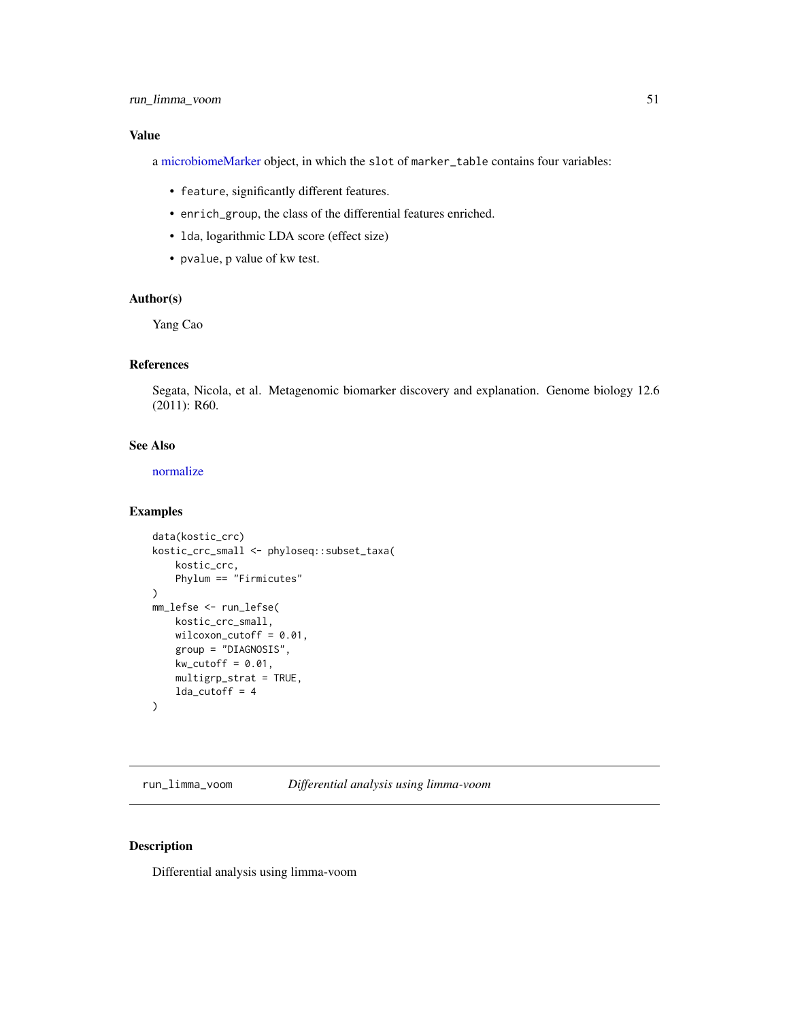a [microbiomeMarker](#page-19-0) object, in which the slot of marker\_table contains four variables:

- feature, significantly different features.
- enrich\_group, the class of the differential features enriched.
- lda, logarithmic LDA score (effect size)
- pvalue, p value of kw test.

## Author(s)

Yang Cao

## References

Segata, Nicola, et al. Metagenomic biomarker discovery and explanation. Genome biology 12.6 (2011): R60.

## See Also

[normalize](#page-20-0)

## Examples

```
data(kostic_crc)
kostic_crc_small <- phyloseq::subset_taxa(
    kostic_crc,
    Phylum == "Firmicutes"
\mathcal{L}mm_lefse <- run_lefse(
    kostic_crc_small,
    wilcoxon_cutoff = 0.01,
    group = "DIAGNOSIS",
    kw\_cutoff = 0.01,multigrp_strat = TRUE,
    lda_cutoff = 4)
```
<span id="page-50-0"></span>run\_limma\_voom *Differential analysis using limma-voom*

#### Description

Differential analysis using limma-voom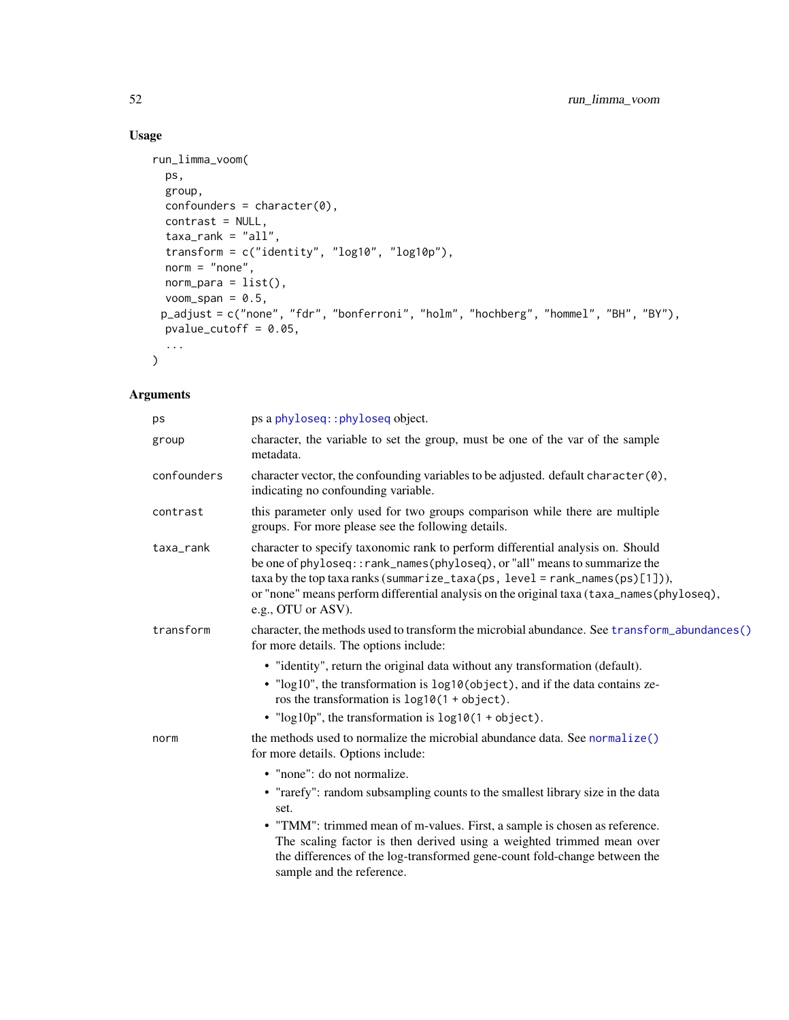# Usage

```
run_limma_voom(
 ps,
 group,
 confounders = character(0),contrast = NULL,
 taxa\_rank = "all",transform = c("identity", "log10", "log10p"),
 norm = "none",norm\_para = list(),
 voom_span = 0.5,
 p_adjust = c("none", "fdr", "bonferroni", "holm", "hochberg", "hommel", "BH", "BY"),
 pvalue_cutoff = 0.05,
  ...
\lambda
```

| ps a phyloseq:: phyloseq object.                                                                                                                                                                                                                                                                                                                                                                                                                                                                            |
|-------------------------------------------------------------------------------------------------------------------------------------------------------------------------------------------------------------------------------------------------------------------------------------------------------------------------------------------------------------------------------------------------------------------------------------------------------------------------------------------------------------|
| character, the variable to set the group, must be one of the var of the sample<br>metadata.                                                                                                                                                                                                                                                                                                                                                                                                                 |
| character vector, the confounding variables to be adjusted. default character (0),<br>indicating no confounding variable.                                                                                                                                                                                                                                                                                                                                                                                   |
| this parameter only used for two groups comparison while there are multiple<br>groups. For more please see the following details.                                                                                                                                                                                                                                                                                                                                                                           |
| character to specify taxonomic rank to perform differential analysis on. Should<br>be one of phyloseq:: rank_names(phyloseq), or "all" means to summarize the<br>$taxa$ by the top taxa ranks (summarize_taxa(ps, level = rank_names(ps)[1])),<br>or "none" means perform differential analysis on the original taxa (taxa_names(phyloseq),<br>e.g., OTU or ASV).                                                                                                                                           |
| character, the methods used to transform the microbial abundance. See transform_abundances()<br>for more details. The options include:<br>• "identity", return the original data without any transformation (default).<br>• "log10", the transformation is log10(object), and if the data contains ze-<br>ros the transformation is $log10(1 + object)$ .<br>• " $log 10p$ ", the transformation is $log 10(1 + object)$ .                                                                                  |
| the methods used to normalize the microbial abundance data. See normalize()<br>for more details. Options include:<br>• "none": do not normalize.<br>• "rarefy": random subsampling counts to the smallest library size in the data<br>set.<br>• "TMM": trimmed mean of m-values. First, a sample is chosen as reference.<br>The scaling factor is then derived using a weighted trimmed mean over<br>the differences of the log-transformed gene-count fold-change between the<br>sample and the reference. |
|                                                                                                                                                                                                                                                                                                                                                                                                                                                                                                             |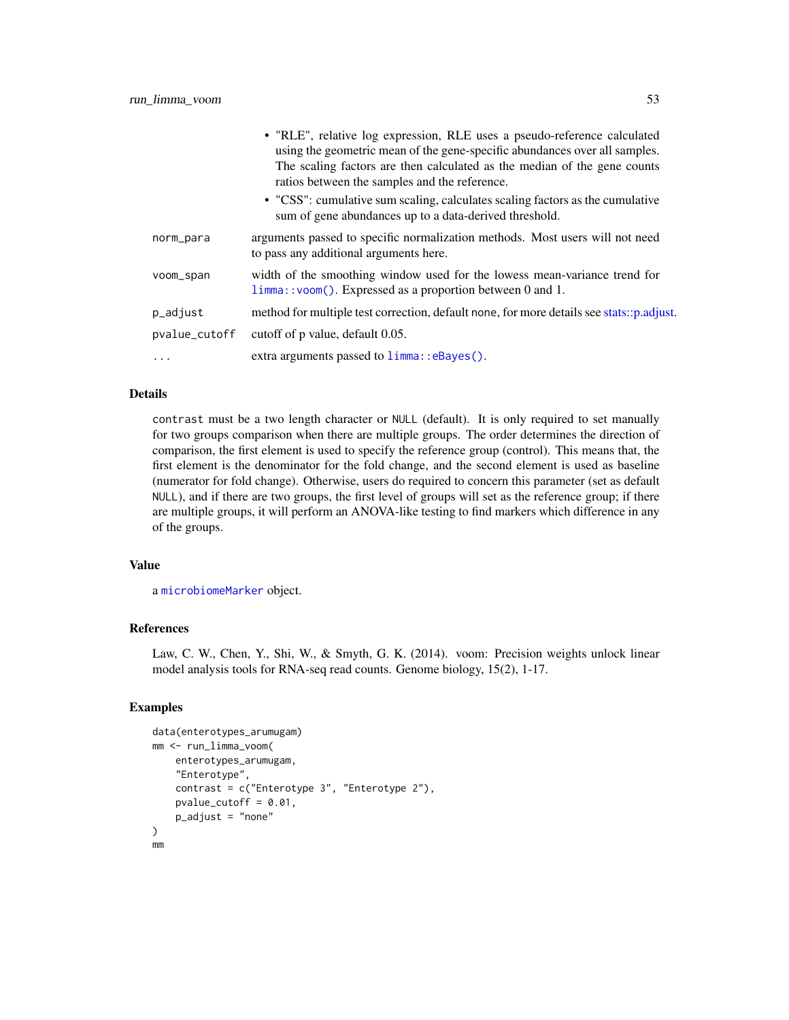|               | • "RLE", relative log expression, RLE uses a pseudo-reference calculated<br>using the geometric mean of the gene-specific abundances over all samples.<br>The scaling factors are then calculated as the median of the gene counts<br>ratios between the samples and the reference.<br>• "CSS": cumulative sum scaling, calculates scaling factors as the cumulative<br>sum of gene abundances up to a data-derived threshold. |
|---------------|--------------------------------------------------------------------------------------------------------------------------------------------------------------------------------------------------------------------------------------------------------------------------------------------------------------------------------------------------------------------------------------------------------------------------------|
| norm_para     | arguments passed to specific normalization methods. Most users will not need<br>to pass any additional arguments here.                                                                                                                                                                                                                                                                                                         |
| voom_span     | width of the smoothing window used for the lowess mean-variance trend for<br>$limma$ : : voom(). Expressed as a proportion between 0 and 1.                                                                                                                                                                                                                                                                                    |
| p_adjust      | method for multiple test correction, default none, for more details see stats::p.adjust.                                                                                                                                                                                                                                                                                                                                       |
| pvalue_cutoff | cutoff of p value, default 0.05.                                                                                                                                                                                                                                                                                                                                                                                               |
| .             | extra arguments passed to $limmax:$ eBayes ().                                                                                                                                                                                                                                                                                                                                                                                 |

contrast must be a two length character or NULL (default). It is only required to set manually for two groups comparison when there are multiple groups. The order determines the direction of comparison, the first element is used to specify the reference group (control). This means that, the first element is the denominator for the fold change, and the second element is used as baseline (numerator for fold change). Otherwise, users do required to concern this parameter (set as default NULL), and if there are two groups, the first level of groups will set as the reference group; if there are multiple groups, it will perform an ANOVA-like testing to find markers which difference in any of the groups.

#### Value

a [microbiomeMarker](#page-19-0) object.

#### References

Law, C. W., Chen, Y., Shi, W., & Smyth, G. K. (2014). voom: Precision weights unlock linear model analysis tools for RNA-seq read counts. Genome biology, 15(2), 1-17.

## Examples

```
data(enterotypes_arumugam)
mm <- run_limma_voom(
    enterotypes_arumugam,
    "Enterotype",
    contrast = c("Enterotype 3", "Enterotype 2"),
    pvalue_cutoff = 0.01,
    p\_adjust = "none")
mm
```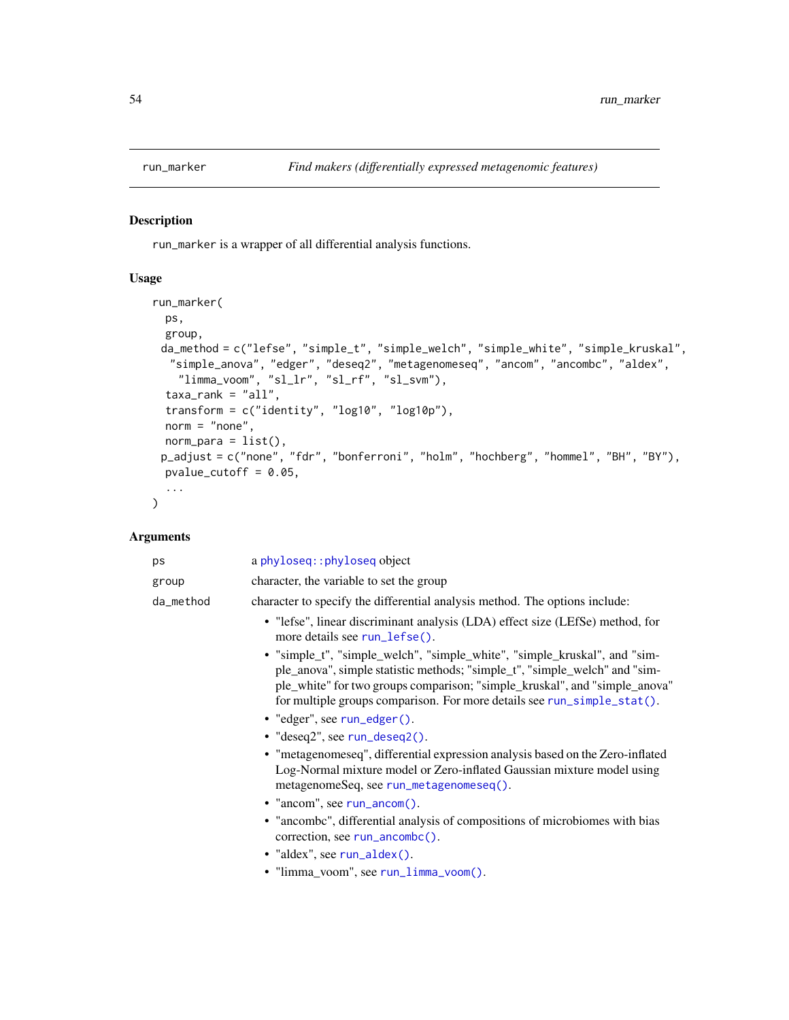## Description

run\_marker is a wrapper of all differential analysis functions.

#### Usage

```
run_marker(
 ps,
 group,
 da_method = c("lefse", "simple_t", "simple_welch", "simple_white", "simple_kruskal",
  "simple_anova", "edger", "deseq2", "metagenomeseq", "ancom", "ancombc", "aldex",
   "limma_voom", "sl_lr", "sl_rf", "sl_svm"),
  taxa\_rank = "all",transform = c("identity", "log10", "log10p"),
 norm = "none",norm\_para = list(),
 p_adjust = c("none", "fdr", "bonferroni", "holm", "hochberg", "hommel", "BH", "BY"),
 pvalue_cutoff = 0.05,
  ...
)
```

| ps        | a phyloseq:: phyloseq object                                                                                                                                                                                                                                                                                                                                                                                                                                                                                                                                                                                                                                                                                                                                                                                                                                                                                                                                          |
|-----------|-----------------------------------------------------------------------------------------------------------------------------------------------------------------------------------------------------------------------------------------------------------------------------------------------------------------------------------------------------------------------------------------------------------------------------------------------------------------------------------------------------------------------------------------------------------------------------------------------------------------------------------------------------------------------------------------------------------------------------------------------------------------------------------------------------------------------------------------------------------------------------------------------------------------------------------------------------------------------|
| group     | character, the variable to set the group                                                                                                                                                                                                                                                                                                                                                                                                                                                                                                                                                                                                                                                                                                                                                                                                                                                                                                                              |
| da_method | character to specify the differential analysis method. The options include:                                                                                                                                                                                                                                                                                                                                                                                                                                                                                                                                                                                                                                                                                                                                                                                                                                                                                           |
|           | • "lefse", linear discriminant analysis (LDA) effect size (LEfSe) method, for<br>more details see run_lefse().<br>• "simple_t", "simple_welch", "simple_white", "simple_kruskal", and "sim-<br>ple_anova", simple statistic methods; "simple_t", "simple_welch" and "sim-<br>ple_white" for two groups comparison; "simple_kruskal", and "simple_anova"<br>for multiple groups comparison. For more details see run_simple_stat().<br>$\bullet$ "edger", see run_edger().<br>$\bullet$ "deseq2", see run_deseq2().<br>• "metagenomeseq", differential expression analysis based on the Zero-inflated<br>Log-Normal mixture model or Zero-inflated Gaussian mixture model using<br>metagenomeSeq, see run_metagenomeseq().<br>$\bullet$ "ancom", see run_ancom().<br>• "ancombe", differential analysis of compositions of microbiomes with bias<br>$correction, see run\_ancombc()$ .<br>$\bullet$ "aldex", see run_aldex().<br>• "limma_voom", see run_limma_voom(). |
|           |                                                                                                                                                                                                                                                                                                                                                                                                                                                                                                                                                                                                                                                                                                                                                                                                                                                                                                                                                                       |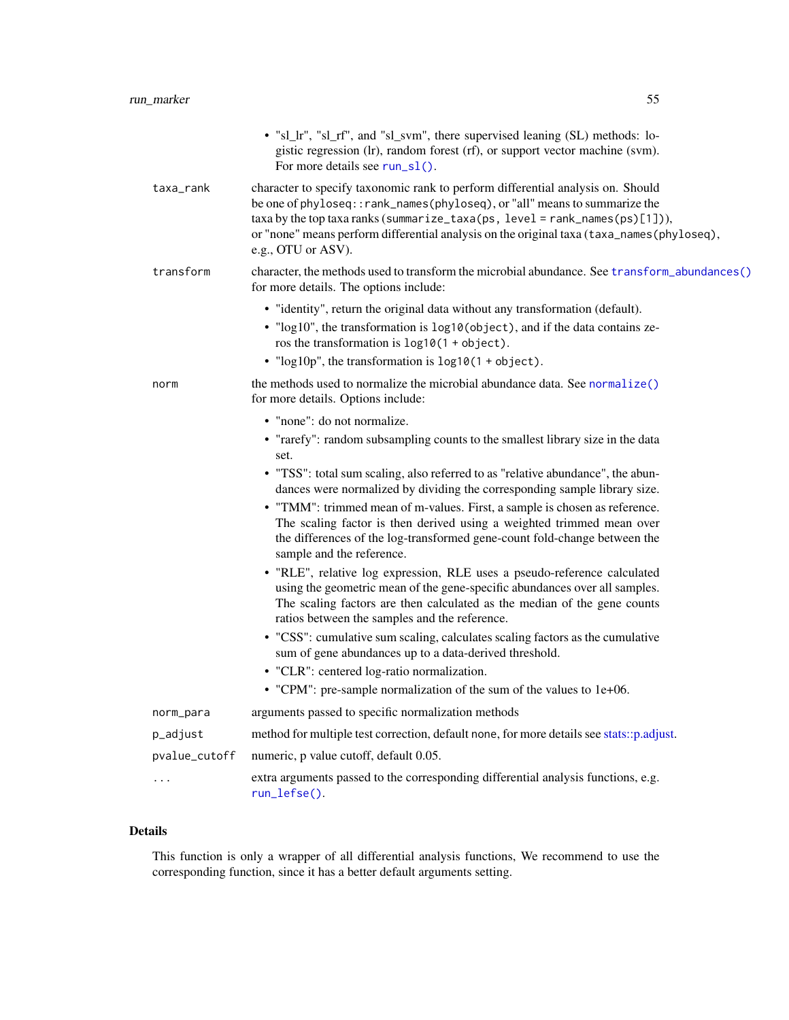|                         | • "sl_lr", "sl_rf", and "sl_svm", there supervised leaning (SL) methods: lo-<br>gistic regression (lr), random forest (rf), or support vector machine (svm).<br>For more details see run_s1().                                                                                                                                                                                                                                                                                                                                                         |
|-------------------------|--------------------------------------------------------------------------------------------------------------------------------------------------------------------------------------------------------------------------------------------------------------------------------------------------------------------------------------------------------------------------------------------------------------------------------------------------------------------------------------------------------------------------------------------------------|
| taxa_rank               | character to specify taxonomic rank to perform differential analysis on. Should<br>be one of phyloseq:: rank_names(phyloseq), or "all" means to summarize the<br>$taxa$ by the top taxa ranks (summarize_taxa(ps, level = rank_names(ps)[1])),<br>or "none" means perform differential analysis on the original taxa (taxa_names(phyloseq),<br>e.g., OTU or ASV).                                                                                                                                                                                      |
| transform               | character, the methods used to transform the microbial abundance. See transform_abundances()<br>for more details. The options include:                                                                                                                                                                                                                                                                                                                                                                                                                 |
|                         | • "identity", return the original data without any transformation (default).<br>• "log10", the transformation is log10(object), and if the data contains ze-<br>ros the transformation is $log10(1 + object)$ .<br>• " $log 10p$ ", the transformation is $log 10(1 + object)$ .                                                                                                                                                                                                                                                                       |
| norm                    | the methods used to normalize the microbial abundance data. See normalize()<br>for more details. Options include:                                                                                                                                                                                                                                                                                                                                                                                                                                      |
|                         | • "none": do not normalize.<br>• "rarefy": random subsampling counts to the smallest library size in the data<br>set.<br>• "TSS": total sum scaling, also referred to as "relative abundance", the abun-<br>dances were normalized by dividing the corresponding sample library size.<br>• "TMM": trimmed mean of m-values. First, a sample is chosen as reference.<br>The scaling factor is then derived using a weighted trimmed mean over<br>the differences of the log-transformed gene-count fold-change between the<br>sample and the reference. |
|                         | • "RLE", relative log expression, RLE uses a pseudo-reference calculated<br>using the geometric mean of the gene-specific abundances over all samples.<br>The scaling factors are then calculated as the median of the gene counts<br>ratios between the samples and the reference.<br>• "CSS": cumulative sum scaling, calculates scaling factors as the cumulative<br>sum of gene abundances up to a data-derived threshold.<br>• "CLR": centered log-ratio normalization.                                                                           |
|                         | • "CPM": pre-sample normalization of the sum of the values to 1e+06.                                                                                                                                                                                                                                                                                                                                                                                                                                                                                   |
| norm_para               | arguments passed to specific normalization methods                                                                                                                                                                                                                                                                                                                                                                                                                                                                                                     |
| p_adjust                | method for multiple test correction, default none, for more details see stats::p.adjust.                                                                                                                                                                                                                                                                                                                                                                                                                                                               |
| pvalue_cutoff           | numeric, p value cutoff, default 0.05.                                                                                                                                                                                                                                                                                                                                                                                                                                                                                                                 |
| $\cdot$ $\cdot$ $\cdot$ | extra arguments passed to the corresponding differential analysis functions, e.g.                                                                                                                                                                                                                                                                                                                                                                                                                                                                      |

This function is only a wrapper of all differential analysis functions, We recommend to use the corresponding function, since it has a better default arguments setting.

[run\\_lefse\(\)](#page-48-0).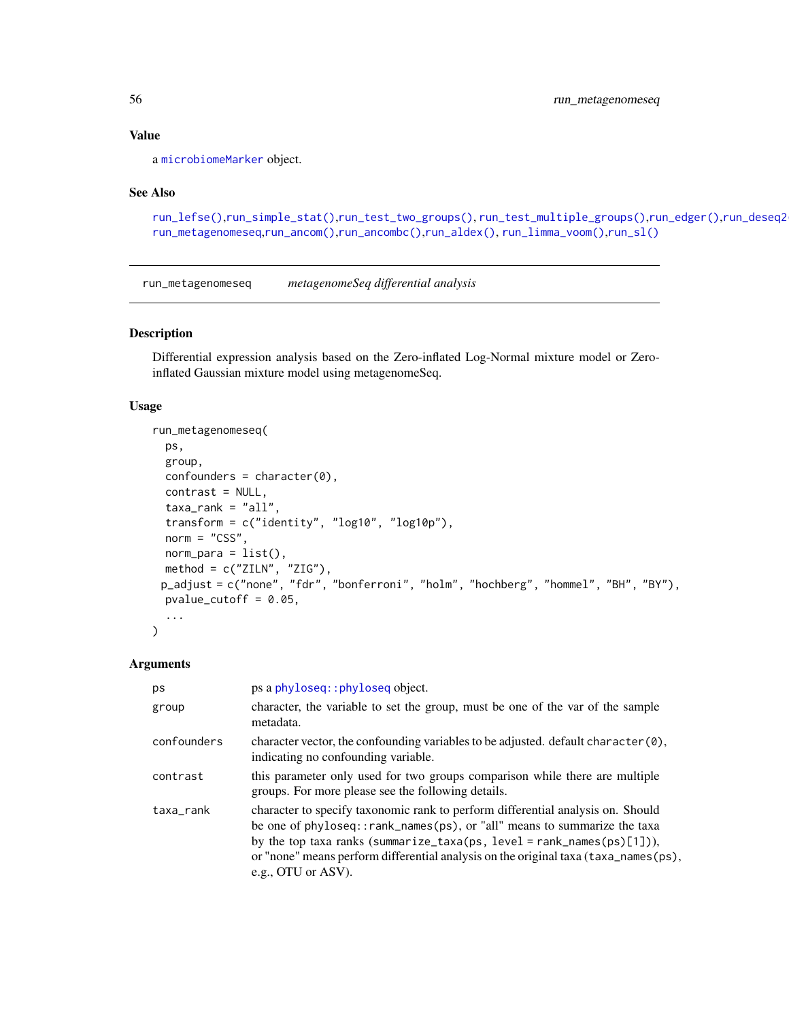a [microbiomeMarker](#page-19-0) object.

#### See Also

```
run_lefse(),run_simple_stat(),run_test_two_groups(), run_test_multiple_groups(),run_edger(),run_deseq2(),
run_metagenomeseq,run_ancom(),run_ancombc(),run_aldex(), run_limma_voom(),run_sl()
```
<span id="page-55-0"></span>run\_metagenomeseq *metagenomeSeq differential analysis*

## Description

Differential expression analysis based on the Zero-inflated Log-Normal mixture model or Zeroinflated Gaussian mixture model using metagenomeSeq.

#### Usage

```
run_metagenomeseq(
 ps,
 group,
 confounders = character(0),
 contrast = NULL,taxa<sub>rank</sub> = "all",transform = c("identity", "log10", "log10p"),
 norm = "CSS",norm\_para = list(),
 method = c("ZILN", "ZIG"),
 p_adjust = c("none", "fdr", "bonferroni", "holm", "hochberg", "hommel", "BH", "BY"),
 pvalue_cutoff = 0.05,
  ...
)
```

| ps          | ps a phyloseq:: phyloseq object.                                                                                                                                                                                                                                                                                                                      |
|-------------|-------------------------------------------------------------------------------------------------------------------------------------------------------------------------------------------------------------------------------------------------------------------------------------------------------------------------------------------------------|
| group       | character, the variable to set the group, must be one of the var of the sample<br>metadata.                                                                                                                                                                                                                                                           |
| confounders | character vector, the confounding variables to be adjusted. default character $(0)$ ,<br>indicating no confounding variable.                                                                                                                                                                                                                          |
| contrast    | this parameter only used for two groups comparison while there are multiple<br>groups. For more please see the following details.                                                                                                                                                                                                                     |
| taxa_rank   | character to specify taxonomic rank to perform differential analysis on. Should<br>be one of phyloseq::rank_names(ps), or "all" means to summarize the taxa<br>by the top taxa ranks (summarize_taxa(ps, level = rank_names(ps)[1])),<br>or "none" means perform differential analysis on the original taxa (taxa_names(ps),<br>e.g., OTU or $ASV$ ). |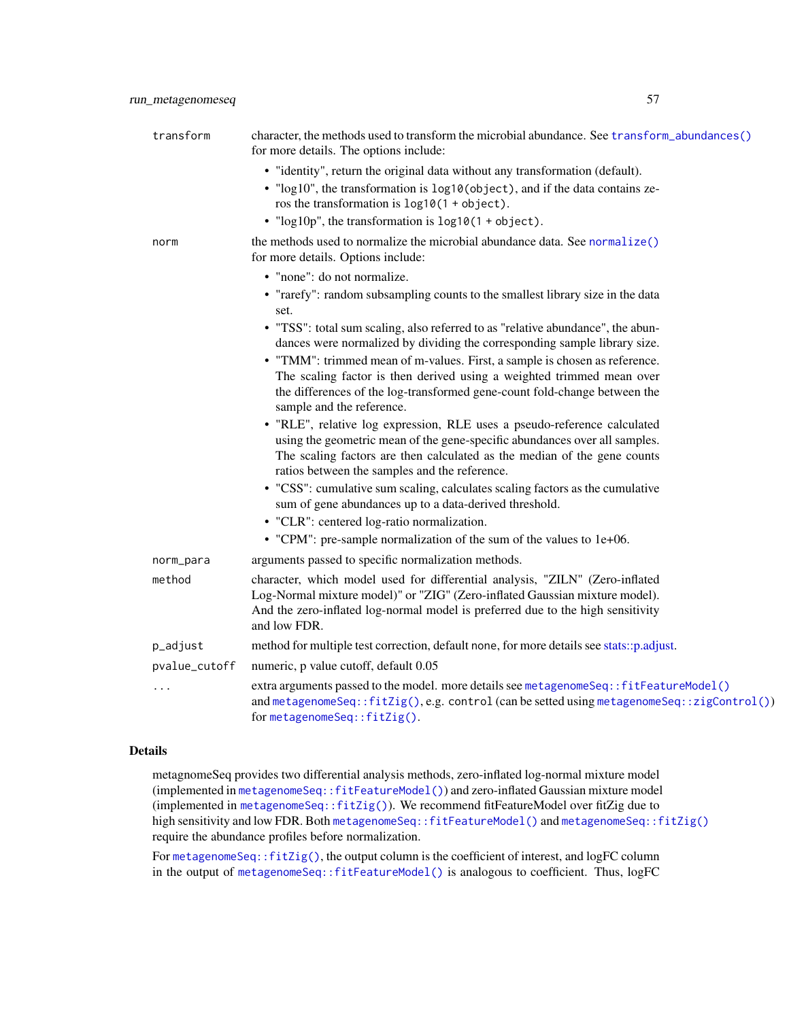| transform     | character, the methods used to transform the microbial abundance. See transform_abundances()<br>for more details. The options include:                                                                                                                                              |
|---------------|-------------------------------------------------------------------------------------------------------------------------------------------------------------------------------------------------------------------------------------------------------------------------------------|
|               | • "identity", return the original data without any transformation (default).<br>• "log10", the transformation is log10(object), and if the data contains ze-<br>ros the transformation is $log10(1 + object)$ .<br>• " $log 10p$ ", the transformation is $log 10(1 + object)$ .    |
| norm          | the methods used to normalize the microbial abundance data. See normalize()<br>for more details. Options include:                                                                                                                                                                   |
|               | • "none": do not normalize.<br>• "rarefy": random subsampling counts to the smallest library size in the data<br>set.<br>• "TSS": total sum scaling, also referred to as "relative abundance", the abun-                                                                            |
|               | dances were normalized by dividing the corresponding sample library size.                                                                                                                                                                                                           |
|               | • "TMM": trimmed mean of m-values. First, a sample is chosen as reference.                                                                                                                                                                                                          |
|               | The scaling factor is then derived using a weighted trimmed mean over                                                                                                                                                                                                               |
|               | the differences of the log-transformed gene-count fold-change between the<br>sample and the reference.                                                                                                                                                                              |
|               | • "RLE", relative log expression, RLE uses a pseudo-reference calculated<br>using the geometric mean of the gene-specific abundances over all samples.<br>The scaling factors are then calculated as the median of the gene counts<br>ratios between the samples and the reference. |
|               | • "CSS": cumulative sum scaling, calculates scaling factors as the cumulative<br>sum of gene abundances up to a data-derived threshold.                                                                                                                                             |
|               | • "CLR": centered log-ratio normalization.                                                                                                                                                                                                                                          |
|               | • "CPM": pre-sample normalization of the sum of the values to 1e+06.                                                                                                                                                                                                                |
| norm_para     | arguments passed to specific normalization methods.                                                                                                                                                                                                                                 |
| method        | character, which model used for differential analysis, "ZILN" (Zero-inflated<br>Log-Normal mixture model)" or "ZIG" (Zero-inflated Gaussian mixture model).<br>And the zero-inflated log-normal model is preferred due to the high sensitivity<br>and low FDR.                      |
| p_adjust      | method for multiple test correction, default none, for more details see stats::p.adjust.                                                                                                                                                                                            |
| pvalue_cutoff | numeric, p value cutoff, default 0.05                                                                                                                                                                                                                                               |
| $\cdots$      | extra arguments passed to the model. more details see metagenomeSeq::fitFeatureModel()<br>and metagenomeSeq::fitZig(),e.g. control (can be setted using metagenomeSeq::zigControl())<br>for metagenomeSeq::fitZig().                                                                |

metagnomeSeq provides two differential analysis methods, zero-inflated log-normal mixture model (implemented in [metagenomeSeq::fitFeatureModel\(\)](#page-0-0)) and zero-inflated Gaussian mixture model (implemented in [metagenomeSeq::fitZig\(\)](#page-0-0)). We recommend fitFeatureModel over fitZig due to high sensitivity and low FDR. Both [metagenomeSeq::fitFeatureModel\(\)](#page-0-0) and [metagenomeSeq::fitZig\(\)](#page-0-0) require the abundance profiles before normalization.

For [metagenomeSeq::fitZig\(\)](#page-0-0), the output column is the coefficient of interest, and logFC column in the output of [metagenomeSeq::fitFeatureModel\(\)](#page-0-0) is analogous to coefficient. Thus, logFC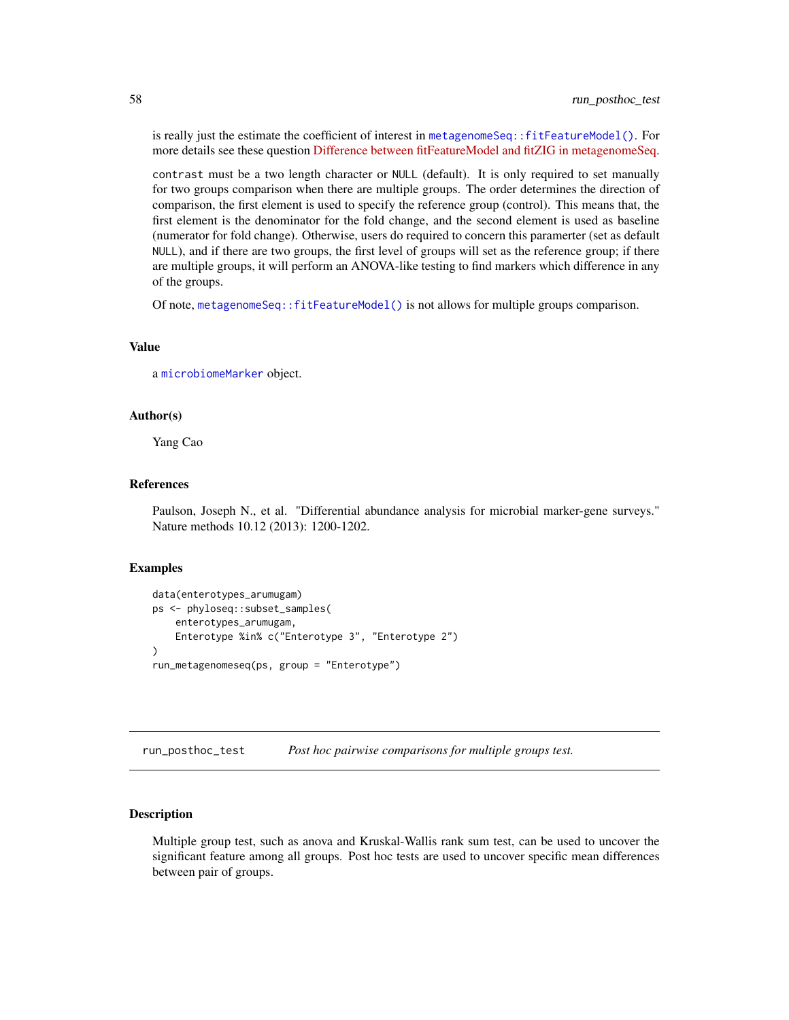is really just the estimate the coefficient of interest in [metagenomeSeq::fitFeatureModel\(\)](#page-0-0). For more details see these question [Difference between fitFeatureModel and fitZIG in metagenomeSeq.](https://support.bioconductor.org/p/94138/)

contrast must be a two length character or NULL (default). It is only required to set manually for two groups comparison when there are multiple groups. The order determines the direction of comparison, the first element is used to specify the reference group (control). This means that, the first element is the denominator for the fold change, and the second element is used as baseline (numerator for fold change). Otherwise, users do required to concern this paramerter (set as default NULL), and if there are two groups, the first level of groups will set as the reference group; if there are multiple groups, it will perform an ANOVA-like testing to find markers which difference in any of the groups.

Of note, [metagenomeSeq::fitFeatureModel\(\)](#page-0-0) is not allows for multiple groups comparison.

## Value

a [microbiomeMarker](#page-19-0) object.

#### Author(s)

Yang Cao

#### References

Paulson, Joseph N., et al. "Differential abundance analysis for microbial marker-gene surveys." Nature methods 10.12 (2013): 1200-1202.

#### Examples

```
data(enterotypes_arumugam)
ps <- phyloseq::subset_samples(
    enterotypes_arumugam,
    Enterotype %in% c("Enterotype 3", "Enterotype 2")
\lambdarun_metagenomeseq(ps, group = "Enterotype")
```
<span id="page-57-0"></span>run\_posthoc\_test *Post hoc pairwise comparisons for multiple groups test.*

## Description

Multiple group test, such as anova and Kruskal-Wallis rank sum test, can be used to uncover the significant feature among all groups. Post hoc tests are used to uncover specific mean differences between pair of groups.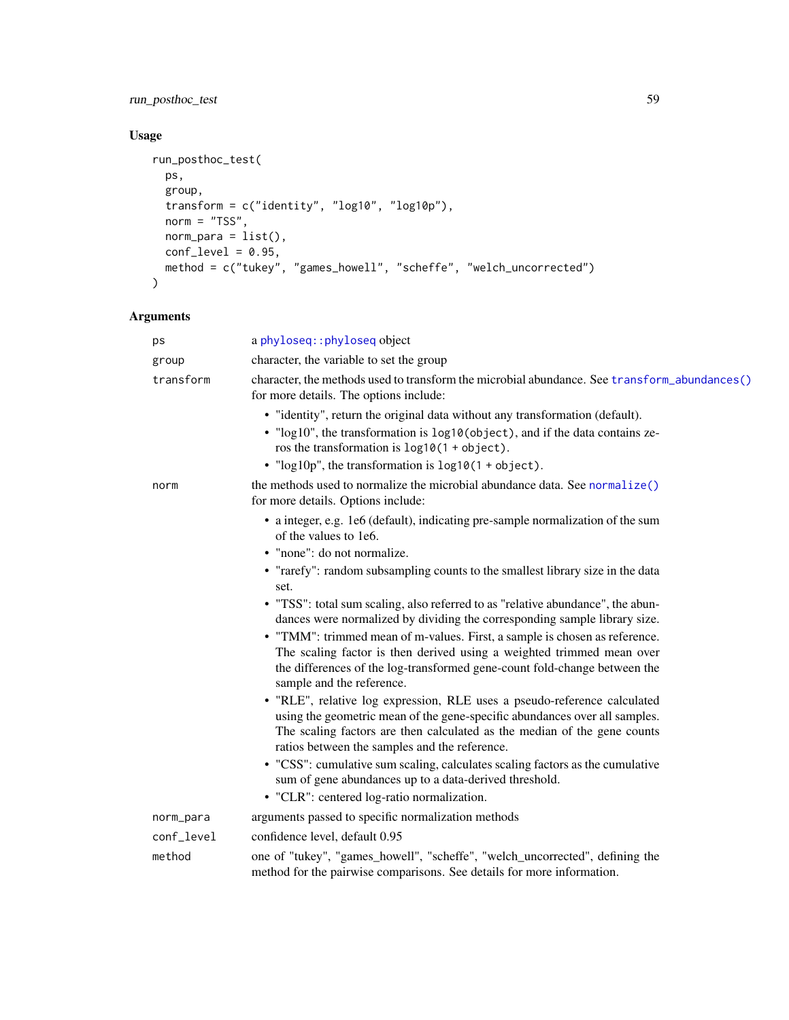run\_posthoc\_test 59

## Usage

```
run_posthoc_test(
 ps,
 group,
 transform = c("identity", "log10", "log10p"),
 norm = "TSS",norm\_para = list(),
 conf\_level = 0.95,
 method = c("tukey", "games_howell", "scheffe", "welch_uncorrected")
)
```

| ps         | a phyloseq:: phyloseq object                                                                                                                                                                                                                                                        |
|------------|-------------------------------------------------------------------------------------------------------------------------------------------------------------------------------------------------------------------------------------------------------------------------------------|
| group      | character, the variable to set the group                                                                                                                                                                                                                                            |
| transform  | character, the methods used to transform the microbial abundance. See transform_abundances()<br>for more details. The options include:                                                                                                                                              |
|            | • "identity", return the original data without any transformation (default).<br>• "log10", the transformation is log10(object), and if the data contains ze-<br>ros the transformation is $log10(1 + object)$ .                                                                     |
|            | • " $log 10p$ ", the transformation is $log 10(1 + object)$ .                                                                                                                                                                                                                       |
| norm       | the methods used to normalize the microbial abundance data. See normalize()<br>for more details. Options include:                                                                                                                                                                   |
|            | • a integer, e.g. 1e6 (default), indicating pre-sample normalization of the sum<br>of the values to 1e6.                                                                                                                                                                            |
|            | • "none": do not normalize.                                                                                                                                                                                                                                                         |
|            | • "rarefy": random subsampling counts to the smallest library size in the data<br>set.                                                                                                                                                                                              |
|            | • "TSS": total sum scaling, also referred to as "relative abundance", the abun-<br>dances were normalized by dividing the corresponding sample library size.                                                                                                                        |
|            | • "TMM": trimmed mean of m-values. First, a sample is chosen as reference.                                                                                                                                                                                                          |
|            | The scaling factor is then derived using a weighted trimmed mean over<br>the differences of the log-transformed gene-count fold-change between the<br>sample and the reference.                                                                                                     |
|            | • "RLE", relative log expression, RLE uses a pseudo-reference calculated<br>using the geometric mean of the gene-specific abundances over all samples.<br>The scaling factors are then calculated as the median of the gene counts<br>ratios between the samples and the reference. |
|            | • "CSS": cumulative sum scaling, calculates scaling factors as the cumulative<br>sum of gene abundances up to a data-derived threshold.                                                                                                                                             |
|            | • "CLR": centered log-ratio normalization.                                                                                                                                                                                                                                          |
| norm_para  | arguments passed to specific normalization methods                                                                                                                                                                                                                                  |
| conf_level | confidence level, default 0.95                                                                                                                                                                                                                                                      |
| method     | one of "tukey", "games_howell", "scheffe", "welch_uncorrected", defining the<br>method for the pairwise comparisons. See details for more information.                                                                                                                              |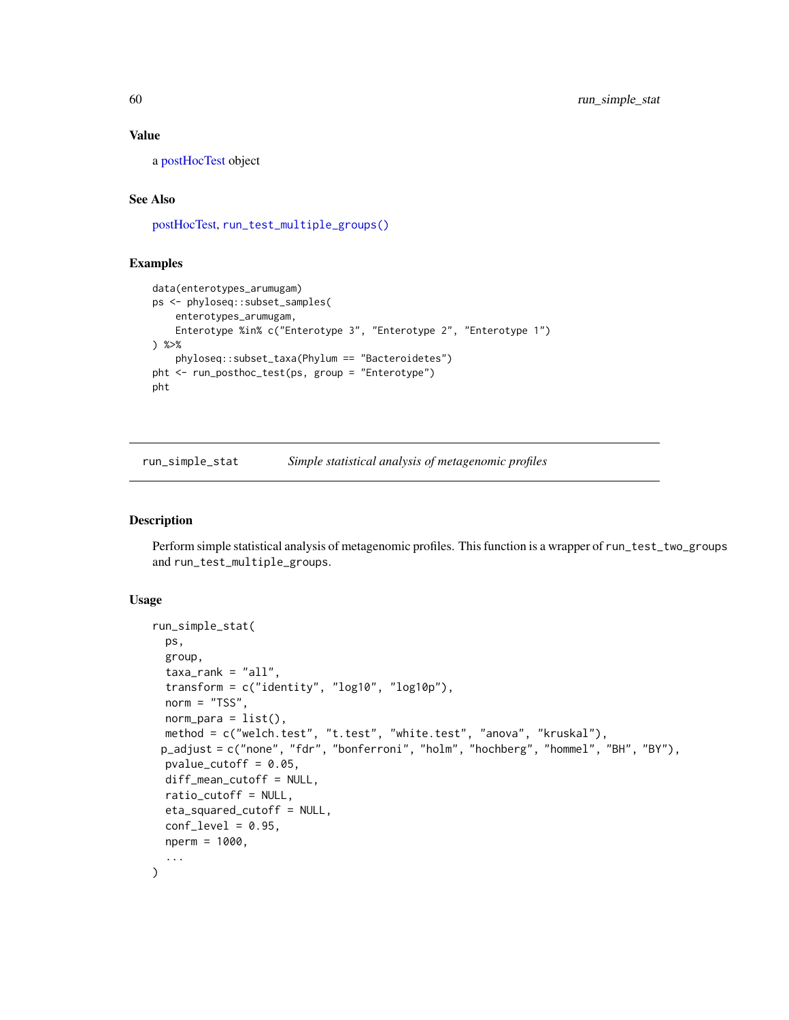a [postHocTest](#page-34-0) object

## See Also

[postHocTest,](#page-34-0) [run\\_test\\_multiple\\_groups\(\)](#page-64-0)

## Examples

```
data(enterotypes_arumugam)
ps <- phyloseq::subset_samples(
   enterotypes_arumugam,
   Enterotype %in% c("Enterotype 3", "Enterotype 2", "Enterotype 1")
) %>%
    phyloseq::subset_taxa(Phylum == "Bacteroidetes")
pht <- run_posthoc_test(ps, group = "Enterotype")
pht
```
<span id="page-59-0"></span>run\_simple\_stat *Simple statistical analysis of metagenomic profiles*

#### Description

Perform simple statistical analysis of metagenomic profiles. This function is a wrapper of run\_test\_two\_groups and run\_test\_multiple\_groups.

#### Usage

```
run_simple_stat(
 ps,
 group,
  taxa_rank = "all",transform = c("identity", "log10", "log10p"),
 norm = "TSS",norm\_para = list(),
 method = c("welch.test", "t.test", "white.test", "anova", "kruskal"),
 p_adjust = c("none", "fdr", "bonferroni", "holm", "hochberg", "hommel", "BH", "BY"),
 pvalue_cutoff = 0.05,
 diff_mean_cutoff = NULL,
  ratio_cutoff = NULL,
 eta_squared_cutoff = NULL,
 conf\_level = 0.95,
 nperm = 1000,
  ...
)
```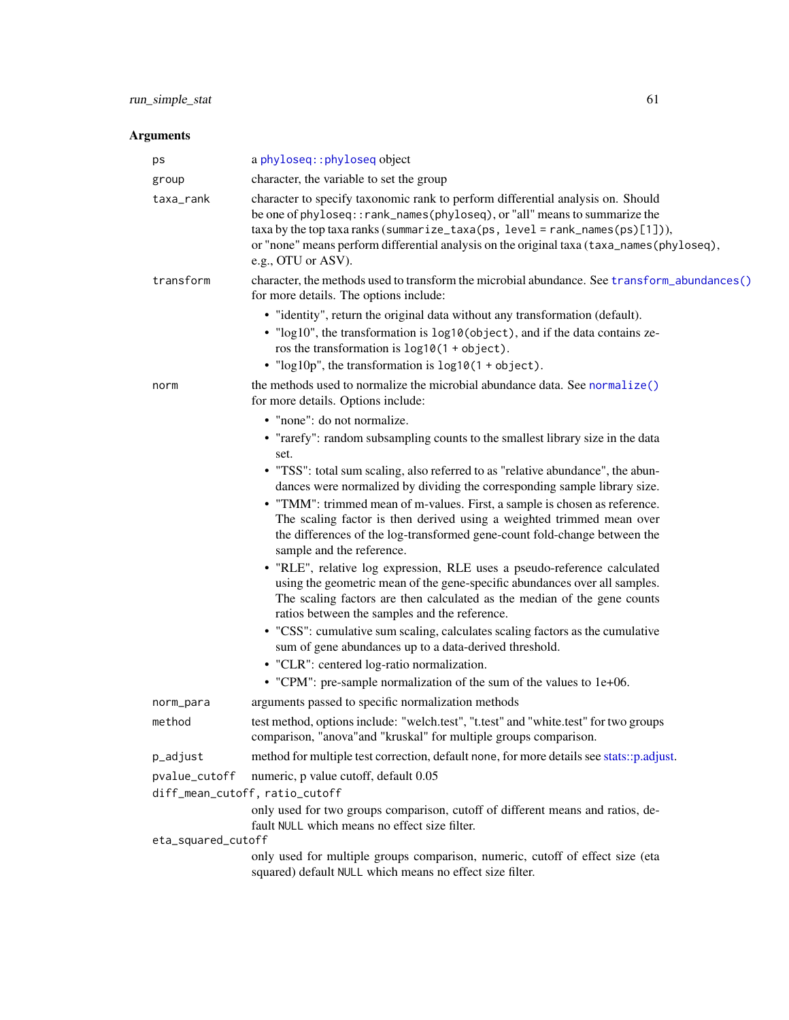| ps                 | a phyloseq:: phyloseq object                                                                                                                                                                                                                                                                                                                                      |
|--------------------|-------------------------------------------------------------------------------------------------------------------------------------------------------------------------------------------------------------------------------------------------------------------------------------------------------------------------------------------------------------------|
| group              | character, the variable to set the group                                                                                                                                                                                                                                                                                                                          |
| taxa_rank          | character to specify taxonomic rank to perform differential analysis on. Should<br>be one of phyloseq:: rank_names(phyloseq), or "all" means to summarize the<br>$taxa$ by the top taxa ranks (summarize_taxa(ps, level = rank_names(ps)[1])),<br>or "none" means perform differential analysis on the original taxa (taxa_names(phyloseq),<br>e.g., OTU or ASV). |
| transform          | character, the methods used to transform the microbial abundance. See transform_abundances()<br>for more details. The options include:                                                                                                                                                                                                                            |
|                    | • "identity", return the original data without any transformation (default).                                                                                                                                                                                                                                                                                      |
|                    | • "log10", the transformation is log10(object), and if the data contains ze-<br>ros the transformation is $log10(1 + object)$ .<br>• " $log 10p$ ", the transformation is $log 10(1 + object)$ .                                                                                                                                                                  |
|                    |                                                                                                                                                                                                                                                                                                                                                                   |
| norm               | the methods used to normalize the microbial abundance data. See normalize()<br>for more details. Options include:                                                                                                                                                                                                                                                 |
|                    | • "none": do not normalize.                                                                                                                                                                                                                                                                                                                                       |
|                    | • "rarefy": random subsampling counts to the smallest library size in the data<br>set.                                                                                                                                                                                                                                                                            |
|                    | • "TSS": total sum scaling, also referred to as "relative abundance", the abun-                                                                                                                                                                                                                                                                                   |
|                    | dances were normalized by dividing the corresponding sample library size.<br>• "TMM": trimmed mean of m-values. First, a sample is chosen as reference.                                                                                                                                                                                                           |
|                    | The scaling factor is then derived using a weighted trimmed mean over<br>the differences of the log-transformed gene-count fold-change between the<br>sample and the reference.                                                                                                                                                                                   |
|                    | • "RLE", relative log expression, RLE uses a pseudo-reference calculated<br>using the geometric mean of the gene-specific abundances over all samples.<br>The scaling factors are then calculated as the median of the gene counts<br>ratios between the samples and the reference.                                                                               |
|                    | • "CSS": cumulative sum scaling, calculates scaling factors as the cumulative<br>sum of gene abundances up to a data-derived threshold.                                                                                                                                                                                                                           |
|                    | • "CLR": centered log-ratio normalization.                                                                                                                                                                                                                                                                                                                        |
|                    | • "CPM": pre-sample normalization of the sum of the values to 1e+06.                                                                                                                                                                                                                                                                                              |
| norm_para          | arguments passed to specific normalization methods                                                                                                                                                                                                                                                                                                                |
| method             | test method, options include: "welch.test", "t.test" and "white.test" for two groups<br>comparison, "anova" and "kruskal" for multiple groups comparison.                                                                                                                                                                                                         |
| p_adjust           | method for multiple test correction, default none, for more details see stats::p.adjust.                                                                                                                                                                                                                                                                          |
| pvalue_cutoff      | numeric, p value cutoff, default 0.05                                                                                                                                                                                                                                                                                                                             |
|                    | diff_mean_cutoff, ratio_cutoff                                                                                                                                                                                                                                                                                                                                    |
|                    | only used for two groups comparison, cutoff of different means and ratios, de-<br>fault NULL which means no effect size filter.                                                                                                                                                                                                                                   |
| eta_squared_cutoff |                                                                                                                                                                                                                                                                                                                                                                   |
|                    | only used for multiple groups comparison, numeric, cutoff of effect size (eta<br>squared) default NULL which means no effect size filter.                                                                                                                                                                                                                         |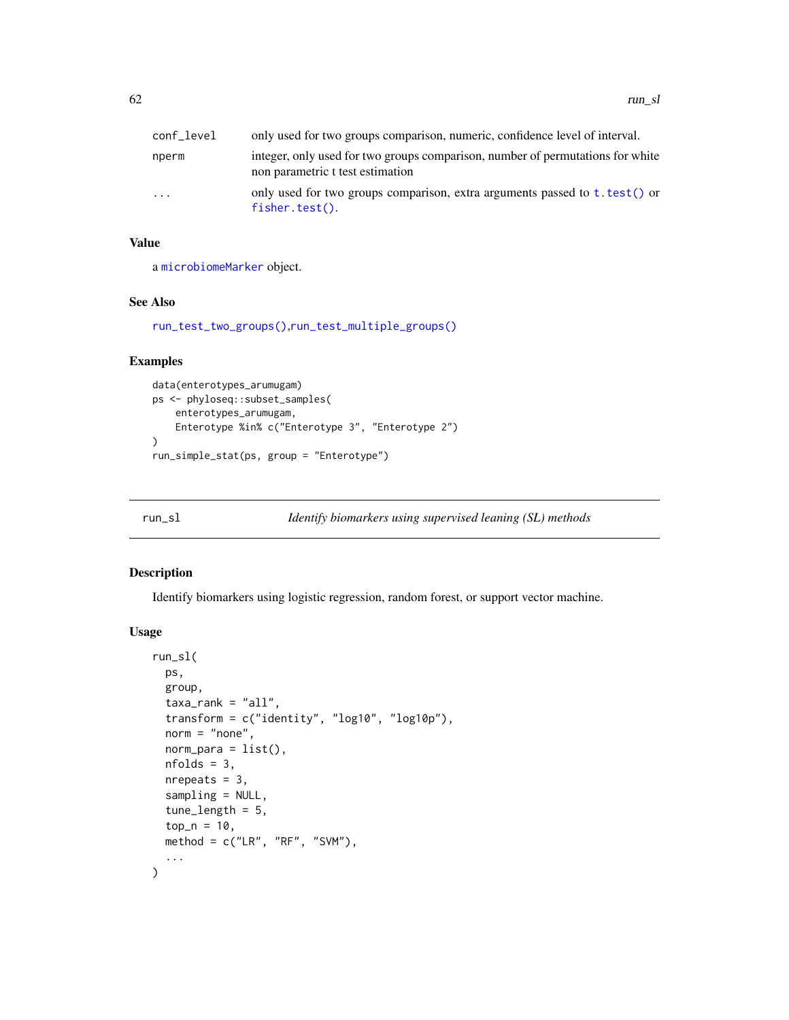| conf level              | only used for two groups comparison, numeric, confidence level of interval.                                        |
|-------------------------|--------------------------------------------------------------------------------------------------------------------|
| nperm                   | integer, only used for two groups comparison, number of permutations for white<br>non parametric t test estimation |
| $\cdot$ $\cdot$ $\cdot$ | only used for two groups comparison, extra arguments passed to t. test() or<br>$fisher.test()$ .                   |

a [microbiomeMarker](#page-19-0) object.

#### See Also

[run\\_test\\_two\\_groups\(\)](#page-66-0),[run\\_test\\_multiple\\_groups\(\)](#page-64-0)

## Examples

```
data(enterotypes_arumugam)
ps <- phyloseq::subset_samples(
    enterotypes_arumugam,
   Enterotype %in% c("Enterotype 3", "Enterotype 2")
)
run_simple_stat(ps, group = "Enterotype")
```
<span id="page-61-0"></span>

## Description

Identify biomarkers using logistic regression, random forest, or support vector machine.

## Usage

```
run_sl(
  ps,
 group,
  taxa<sub>rank</sub> = "all",transform = c("identity", "log10", "log10p"),
  norm = "none",norm\_para = list(),
 nfolds = 3,
 nrepeats = 3,
  sampling = NULL,
  tune_length = 5,
  top_n = 10,
 method = c("LR", "RF", "SVM"),
  ...
)
```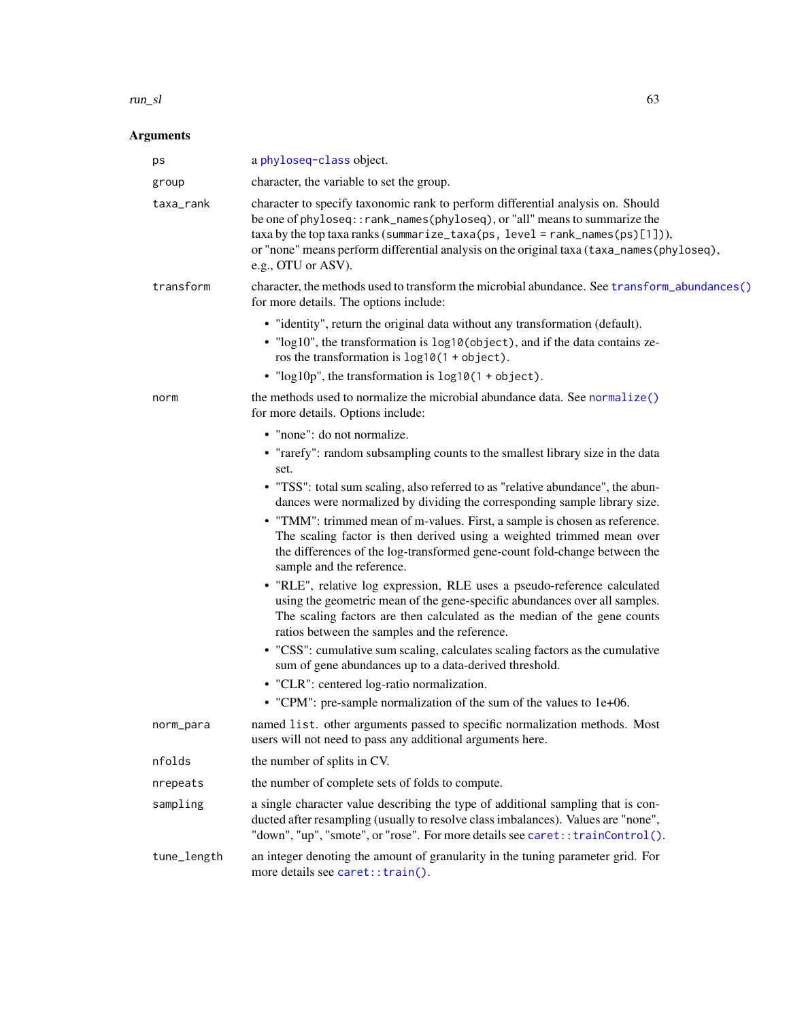#### $run\_sl$  63

| ps          | a phyloseq-class object.                                                                                                                                                                                                                                                                                                                                                                                                                                                                                                                                                                                                                                                                                                                                                                                                                                                                                                                                                                                                                                                                                       |
|-------------|----------------------------------------------------------------------------------------------------------------------------------------------------------------------------------------------------------------------------------------------------------------------------------------------------------------------------------------------------------------------------------------------------------------------------------------------------------------------------------------------------------------------------------------------------------------------------------------------------------------------------------------------------------------------------------------------------------------------------------------------------------------------------------------------------------------------------------------------------------------------------------------------------------------------------------------------------------------------------------------------------------------------------------------------------------------------------------------------------------------|
| group       | character, the variable to set the group.                                                                                                                                                                                                                                                                                                                                                                                                                                                                                                                                                                                                                                                                                                                                                                                                                                                                                                                                                                                                                                                                      |
| taxa_rank   | character to specify taxonomic rank to perform differential analysis on. Should<br>be one of phyloseq:: rank_names(phyloseq), or "all" means to summarize the<br>$taxa$ by the top taxa ranks (summarize_taxa(ps, level = rank_names(ps)[1])),<br>or "none" means perform differential analysis on the original taxa (taxa_names(phyloseq),<br>e.g., OTU or ASV).                                                                                                                                                                                                                                                                                                                                                                                                                                                                                                                                                                                                                                                                                                                                              |
| transform   | character, the methods used to transform the microbial abundance. See transform_abundances()<br>for more details. The options include:                                                                                                                                                                                                                                                                                                                                                                                                                                                                                                                                                                                                                                                                                                                                                                                                                                                                                                                                                                         |
|             | • "identity", return the original data without any transformation (default).<br>• "log10", the transformation is log10(object), and if the data contains ze-<br>ros the transformation is $log10(1 + object)$ .<br>• " $log 10p$ ", the transformation is $log 10(1 + object)$ .                                                                                                                                                                                                                                                                                                                                                                                                                                                                                                                                                                                                                                                                                                                                                                                                                               |
| norm        | the methods used to normalize the microbial abundance data. See normalize()<br>for more details. Options include:                                                                                                                                                                                                                                                                                                                                                                                                                                                                                                                                                                                                                                                                                                                                                                                                                                                                                                                                                                                              |
|             | • "none": do not normalize.<br>• "rarefy": random subsampling counts to the smallest library size in the data<br>set.<br>• "TSS": total sum scaling, also referred to as "relative abundance", the abun-<br>dances were normalized by dividing the corresponding sample library size.<br>• "TMM": trimmed mean of m-values. First, a sample is chosen as reference.<br>The scaling factor is then derived using a weighted trimmed mean over<br>the differences of the log-transformed gene-count fold-change between the<br>sample and the reference.<br>• "RLE", relative log expression, RLE uses a pseudo-reference calculated<br>using the geometric mean of the gene-specific abundances over all samples.<br>The scaling factors are then calculated as the median of the gene counts<br>ratios between the samples and the reference.<br>• "CSS": cumulative sum scaling, calculates scaling factors as the cumulative<br>sum of gene abundances up to a data-derived threshold.<br>• "CLR": centered log-ratio normalization.<br>• "CPM": pre-sample normalization of the sum of the values to 1e+06. |
| norm_para   | named list. other arguments passed to specific normalization methods. Most<br>users will not need to pass any additional arguments here.                                                                                                                                                                                                                                                                                                                                                                                                                                                                                                                                                                                                                                                                                                                                                                                                                                                                                                                                                                       |
| nfolds      | the number of splits in CV.                                                                                                                                                                                                                                                                                                                                                                                                                                                                                                                                                                                                                                                                                                                                                                                                                                                                                                                                                                                                                                                                                    |
| nrepeats    | the number of complete sets of folds to compute.                                                                                                                                                                                                                                                                                                                                                                                                                                                                                                                                                                                                                                                                                                                                                                                                                                                                                                                                                                                                                                                               |
| sampling    | a single character value describing the type of additional sampling that is con-<br>ducted after resampling (usually to resolve class imbalances). Values are "none",<br>"down", "up", "smote", or "rose". For more details see caret:: trainControl().                                                                                                                                                                                                                                                                                                                                                                                                                                                                                                                                                                                                                                                                                                                                                                                                                                                        |
| tune_length | an integer denoting the amount of granularity in the tuning parameter grid. For<br>more details see caret:: train().                                                                                                                                                                                                                                                                                                                                                                                                                                                                                                                                                                                                                                                                                                                                                                                                                                                                                                                                                                                           |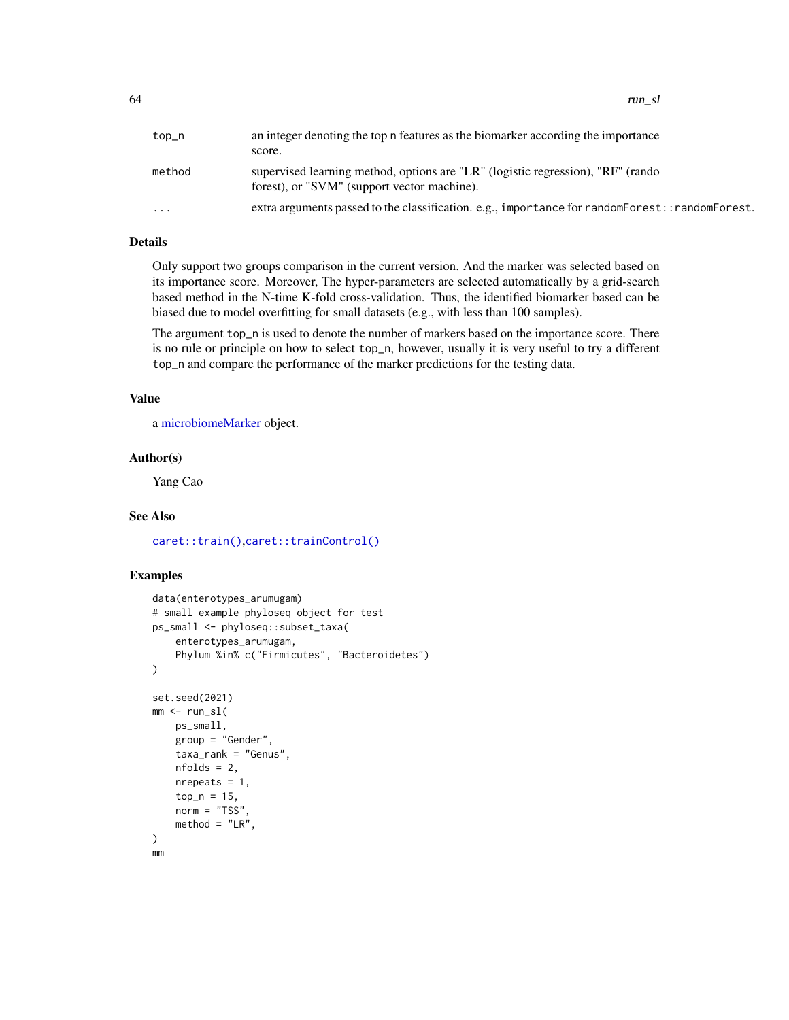| top_n     | an integer denoting the top n features as the biomarker according the importance<br>score.                                     |
|-----------|--------------------------------------------------------------------------------------------------------------------------------|
| method    | supervised learning method, options are "LR" (logistic regression), "RF" (rando<br>forest), or "SVM" (support vector machine). |
| $\ddotsc$ | extra arguments passed to the classification. e.g., importance for randomForest:: randomForest.                                |

Only support two groups comparison in the current version. And the marker was selected based on its importance score. Moreover, The hyper-parameters are selected automatically by a grid-search based method in the N-time K-fold cross-validation. Thus, the identified biomarker based can be biased due to model overfitting for small datasets (e.g., with less than 100 samples).

The argument top\_n is used to denote the number of markers based on the importance score. There is no rule or principle on how to select top\_n, however, usually it is very useful to try a different top\_n and compare the performance of the marker predictions for the testing data.

## Value

a [microbiomeMarker](#page-19-0) object.

#### Author(s)

Yang Cao

#### See Also

[caret::train\(\)](#page-0-0),[caret::trainControl\(\)](#page-0-0)

## Examples

```
data(enterotypes_arumugam)
# small example phyloseq object for test
ps_small <- phyloseq::subset_taxa(
    enterotypes_arumugam,
    Phylum %in% c("Firmicutes", "Bacteroidetes")
\mathcal{L}set.seed(2021)
mm < - run_s1(ps_small,
   group = "Gender",
    taxa_rank = "Genus",
    nfolds = 2,
   nrepeats = 1,
    top_n = 15,
   norm = "TSS"method = "LR".)
mm
```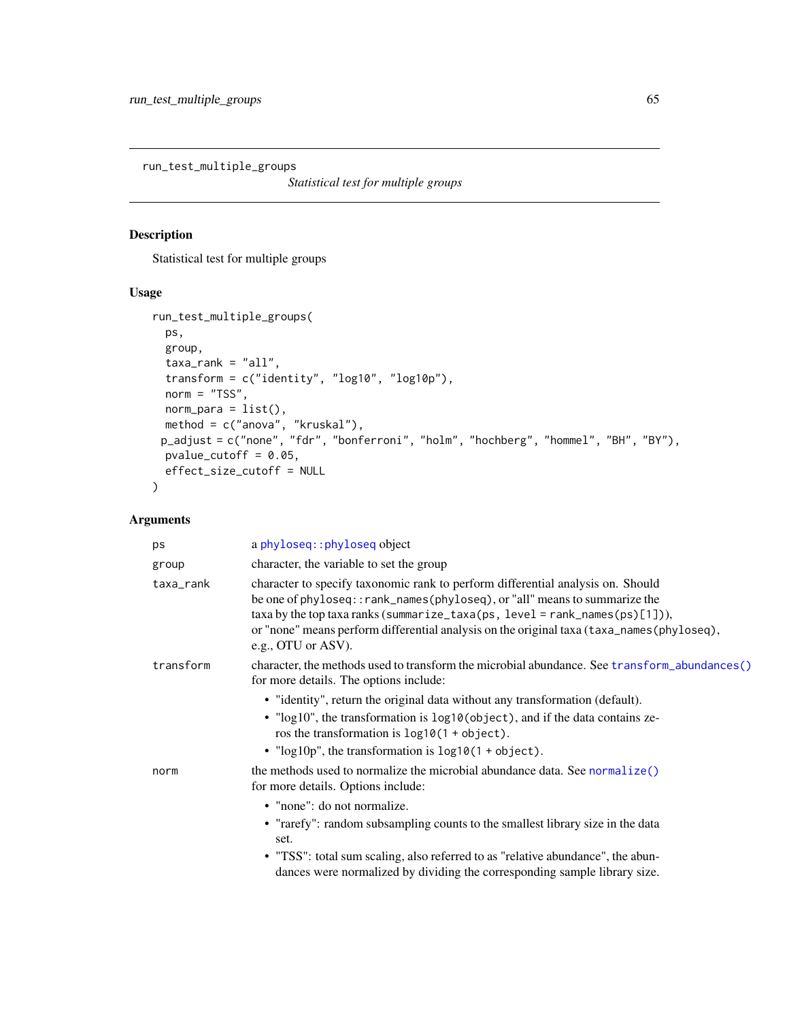<span id="page-64-0"></span>run\_test\_multiple\_groups

*Statistical test for multiple groups*

# Description

Statistical test for multiple groups

## Usage

```
run_test_multiple_groups(
 ps,
 group,
 taxa\_rank = "all",transform = c("identity", "log10", "log10p"),
 norm = "TSS",norm\_para = list(),
 method = c("anova", "kruskal"),
 p_adjust = c("none", "fdr", "bonferroni", "holm", "hochberg", "hommel", "BH", "BY"),
 pvalue_cutoff = 0.05,
 effect_size_cutoff = NULL
\mathcal{L}
```

| ps        | a phyloseq:: phyloseq object                                                                                                                                                                                                                                                                                                                                    |
|-----------|-----------------------------------------------------------------------------------------------------------------------------------------------------------------------------------------------------------------------------------------------------------------------------------------------------------------------------------------------------------------|
| group     | character, the variable to set the group                                                                                                                                                                                                                                                                                                                        |
| taxa_rank | character to specify taxonomic rank to perform differential analysis on. Should<br>be one of phyloseq:: rank_names(phyloseq), or "all" means to summarize the<br>taxa by the top taxa ranks (summarize_taxa(ps, level = rank_names(ps)[1])),<br>or "none" means perform differential analysis on the original taxa (taxa_names(phyloseq),<br>e.g., OTU or ASV). |
| transform | character, the methods used to transform the microbial abundance. See transform_abundances()<br>for more details. The options include:                                                                                                                                                                                                                          |
|           | • "identity", return the original data without any transformation (default).<br>• "log10", the transformation is log10(object), and if the data contains ze-<br>ros the transformation is $log10(1 + object)$ .<br>• " $log 10p$ ", the transformation is $log 10(1 + object)$ .                                                                                |
| norm      | the methods used to normalize the microbial abundance data. See normalize()<br>for more details. Options include:<br>• "none": do not normalize.<br>• "rarefy": random subsampling counts to the smallest library size in the data<br>set.                                                                                                                      |
|           | • "TSS": total sum scaling, also referred to as "relative abundance", the abun-<br>dances were normalized by dividing the corresponding sample library size.                                                                                                                                                                                                    |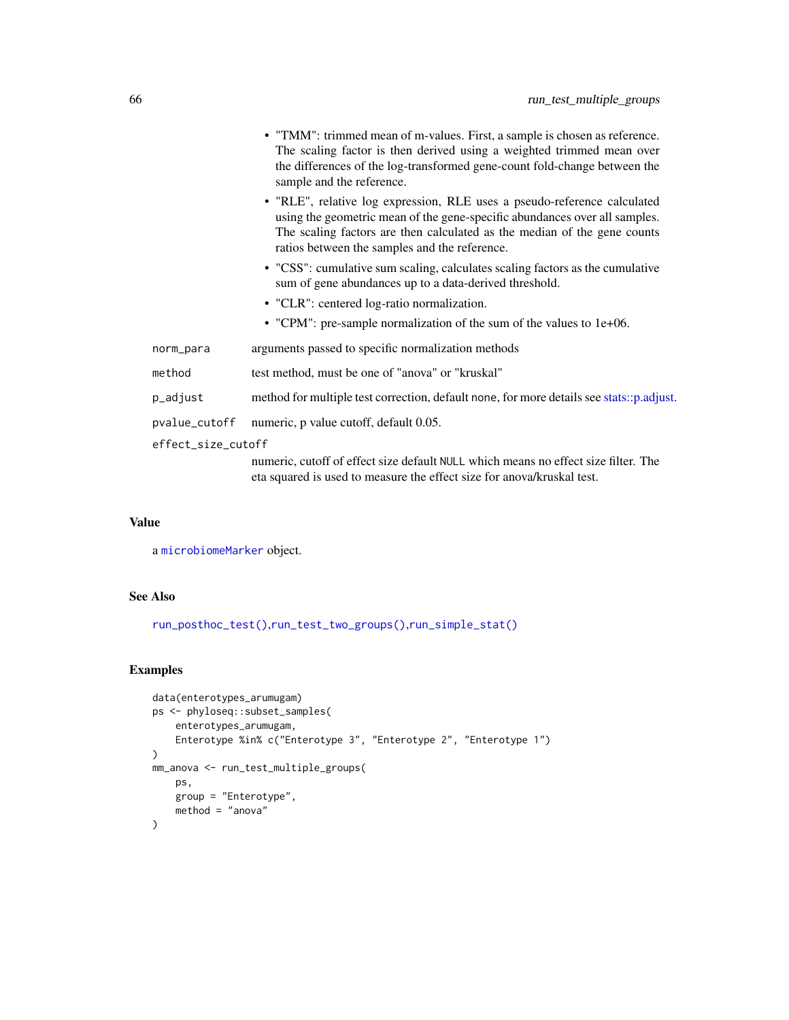|                    |               | • "TMM": trimmed mean of m-values. First, a sample is chosen as reference.<br>The scaling factor is then derived using a weighted trimmed mean over<br>the differences of the log-transformed gene-count fold-change between the<br>sample and the reference.                       |
|--------------------|---------------|-------------------------------------------------------------------------------------------------------------------------------------------------------------------------------------------------------------------------------------------------------------------------------------|
|                    |               | • "RLE", relative log expression, RLE uses a pseudo-reference calculated<br>using the geometric mean of the gene-specific abundances over all samples.<br>The scaling factors are then calculated as the median of the gene counts<br>ratios between the samples and the reference. |
|                    |               | • "CSS": cumulative sum scaling, calculates scaling factors as the cumulative<br>sum of gene abundances up to a data-derived threshold.                                                                                                                                             |
|                    |               | • "CLR": centered log-ratio normalization.                                                                                                                                                                                                                                          |
|                    |               | • "CPM": pre-sample normalization of the sum of the values to 1e+06.                                                                                                                                                                                                                |
|                    | norm_para     | arguments passed to specific normalization methods                                                                                                                                                                                                                                  |
|                    | method        | test method, must be one of "anova" or "kruskal"                                                                                                                                                                                                                                    |
|                    | p_adjust      | method for multiple test correction, default none, for more details see stats::p.adjust.                                                                                                                                                                                            |
|                    | pvalue_cutoff | numeric, p value cutoff, default 0.05.                                                                                                                                                                                                                                              |
| effect_size_cutoff |               |                                                                                                                                                                                                                                                                                     |
|                    |               | numeric, cutoff of effect size default NULL which means no effect size filter. The<br>eta squared is used to measure the effect size for anova/kruskal test.                                                                                                                        |
|                    |               |                                                                                                                                                                                                                                                                                     |

a [microbiomeMarker](#page-19-0) object.

# See Also

[run\\_posthoc\\_test\(\)](#page-57-0),[run\\_test\\_two\\_groups\(\)](#page-66-0),[run\\_simple\\_stat\(\)](#page-59-0)

## Examples

```
data(enterotypes_arumugam)
ps <- phyloseq::subset_samples(
    enterotypes_arumugam,
    Enterotype %in% c("Enterotype 3", "Enterotype 2", "Enterotype 1")
\mathcal{L}mm_anova <- run_test_multiple_groups(
    ps,
    group = "Enterotype",
    method = "anova"
\overline{)}
```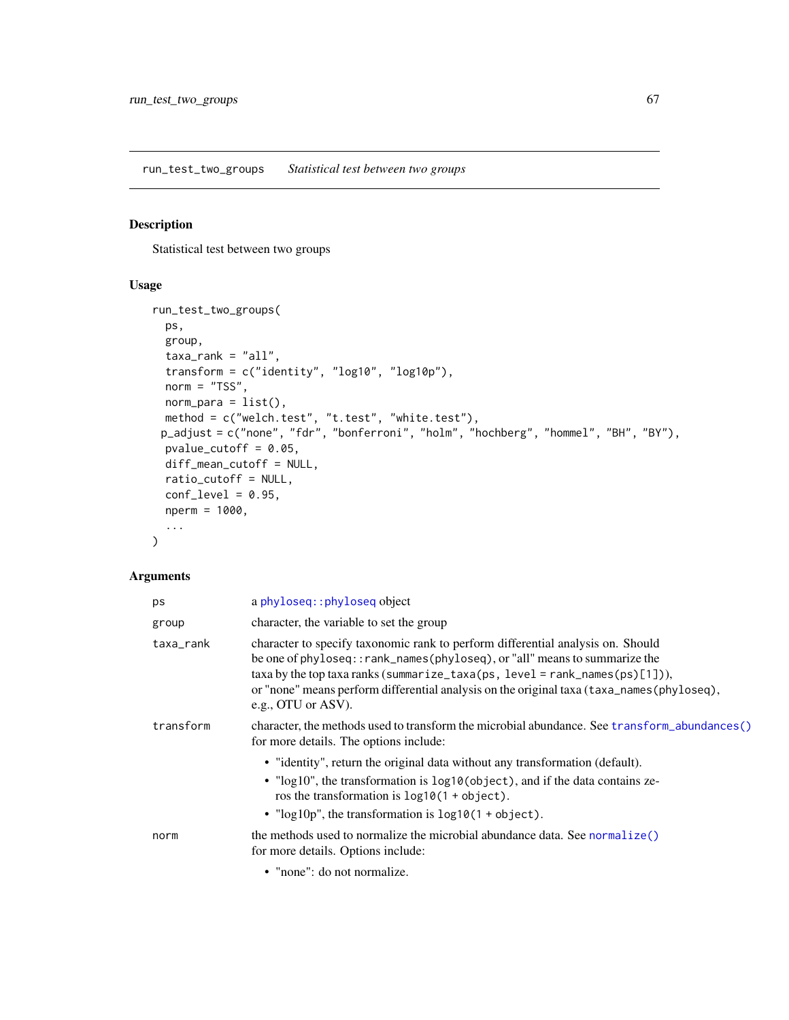<span id="page-66-0"></span>run\_test\_two\_groups *Statistical test between two groups*

## Description

Statistical test between two groups

## Usage

```
run_test_two_groups(
 ps,
 group,
  taxa\_rank = "all",transform = c("identity", "log10", "log10p"),
 norm = "TSS",norm\_para = list(),
 method = c("welch.test", "t.test", "white.test"),
 p_adjust = c("none", "fdr", "bonferroni", "holm", "hochberg", "hommel", "BH", "BY"),
 pvalue_cutoff = 0.05,
 diff_mean_cutoff = NULL,
 ratio_cutoff = NULL,
 conf\_level = 0.95,
 nperm = 1000,
  ...
\mathcal{L}
```

| ps        | a phyloseq:: phyloseq object                                                                                                                                                                                                                                                                                                                                   |
|-----------|----------------------------------------------------------------------------------------------------------------------------------------------------------------------------------------------------------------------------------------------------------------------------------------------------------------------------------------------------------------|
| group     | character, the variable to set the group                                                                                                                                                                                                                                                                                                                       |
| taxa_rank | character to specify taxonomic rank to perform differential analysis on. Should<br>be one of phyloseq::rank_names(phyloseq), or "all" means to summarize the<br>taxa by the top taxa ranks (summarize_taxa(ps, level = rank_names(ps)[1])),<br>or "none" means perform differential analysis on the original taxa (taxa_names(phyloseq),<br>e.g., OTU or ASV). |
| transform | character, the methods used to transform the microbial abundance. See transform_abundances()<br>for more details. The options include:                                                                                                                                                                                                                         |
|           | • "identity", return the original data without any transformation (default).<br>• "log10", the transformation is log10(object), and if the data contains ze-<br>ros the transformation is $log10(1 + object)$ .<br>• " $log 10p$ ", the transformation is $log 10(1 + object)$ .                                                                               |
| norm      | the methods used to normalize the microbial abundance data. See normalize()<br>for more details. Options include:                                                                                                                                                                                                                                              |
|           | • "none": do not normalize.                                                                                                                                                                                                                                                                                                                                    |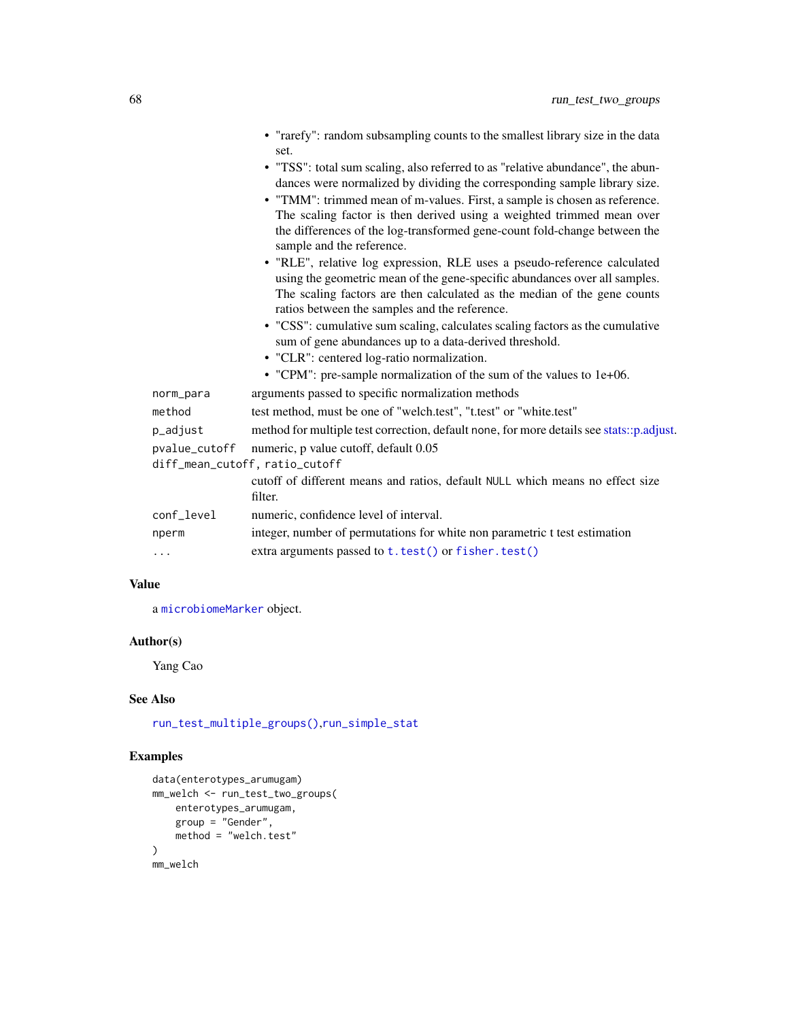|               | • "rarefy": random subsampling counts to the smallest library size in the data<br>set.                                                                                                                                                                                                                                                                                                                                        |
|---------------|-------------------------------------------------------------------------------------------------------------------------------------------------------------------------------------------------------------------------------------------------------------------------------------------------------------------------------------------------------------------------------------------------------------------------------|
|               | • "TSS": total sum scaling, also referred to as "relative abundance", the abun-<br>dances were normalized by dividing the corresponding sample library size.<br>• "TMM": trimmed mean of m-values. First, a sample is chosen as reference.<br>The scaling factor is then derived using a weighted trimmed mean over<br>the differences of the log-transformed gene-count fold-change between the<br>sample and the reference. |
|               | • "RLE", relative log expression, RLE uses a pseudo-reference calculated<br>using the geometric mean of the gene-specific abundances over all samples.<br>The scaling factors are then calculated as the median of the gene counts<br>ratios between the samples and the reference.                                                                                                                                           |
|               | • "CSS": cumulative sum scaling, calculates scaling factors as the cumulative<br>sum of gene abundances up to a data-derived threshold.<br>• "CLR": centered log-ratio normalization.                                                                                                                                                                                                                                         |
|               | • "CPM": pre-sample normalization of the sum of the values to 1e+06.                                                                                                                                                                                                                                                                                                                                                          |
| norm_para     | arguments passed to specific normalization methods                                                                                                                                                                                                                                                                                                                                                                            |
| method        | test method, must be one of "welch.test", "t.test" or "white.test"                                                                                                                                                                                                                                                                                                                                                            |
| p_adjust      | method for multiple test correction, default none, for more details see stats::p.adjust.                                                                                                                                                                                                                                                                                                                                      |
| pvalue_cutoff | numeric, p value cutoff, default 0.05<br>diff_mean_cutoff, ratio_cutoff                                                                                                                                                                                                                                                                                                                                                       |
|               | cutoff of different means and ratios, default NULL which means no effect size<br>filter.                                                                                                                                                                                                                                                                                                                                      |
| conf_level    | numeric, confidence level of interval.                                                                                                                                                                                                                                                                                                                                                                                        |
| nperm         | integer, number of permutations for white non parametric t test estimation                                                                                                                                                                                                                                                                                                                                                    |
| .             | extra arguments passed to t.test() or fisher.test()                                                                                                                                                                                                                                                                                                                                                                           |

a [microbiomeMarker](#page-19-0) object.

## Author(s)

Yang Cao

## See Also

[run\\_test\\_multiple\\_groups\(\)](#page-64-0),[run\\_simple\\_stat](#page-59-0)

## Examples

```
data(enterotypes_arumugam)
mm_welch <- run_test_two_groups(
    enterotypes_arumugam,
    group = "Gender",
    method = "welch.test"
\mathcal{L}mm_welch
```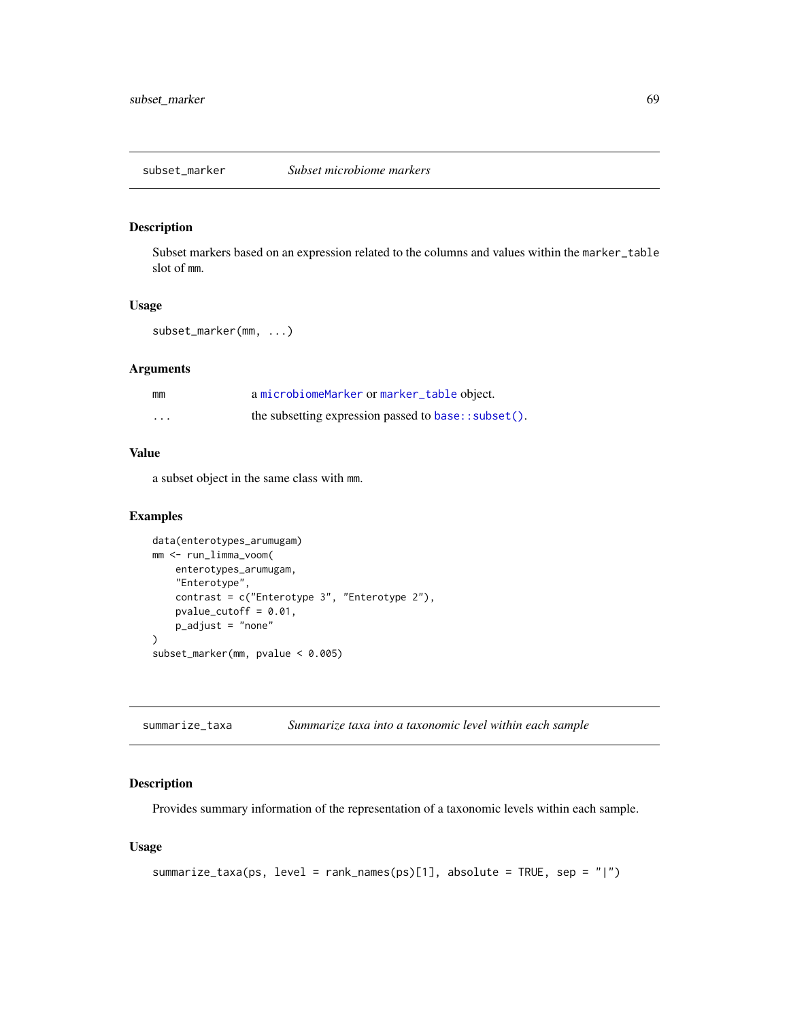## Description

Subset markers based on an expression related to the columns and values within the marker\_table slot of mm.

## Usage

```
subset_marker(mm, ...)
```
## Arguments

| mm      | a microbiomeMarker or marker_table object.             |
|---------|--------------------------------------------------------|
| $\cdot$ | the subsetting expression passed to base: : subset (). |

## Value

a subset object in the same class with mm.

## Examples

```
data(enterotypes_arumugam)
mm <- run_limma_voom(
    enterotypes_arumugam,
    "Enterotype",
    contrast = c("Enterotype 3", "Enterotype 2"),
    pvalue_cutoff = 0.01,
    p_adjust = "none"
\mathcal{L}subset_marker(mm, pvalue < 0.005)
```

| summarize_taxa | Summarize taxa into a taxonomic level within each sample |  |
|----------------|----------------------------------------------------------|--|
|----------------|----------------------------------------------------------|--|

## Description

Provides summary information of the representation of a taxonomic levels within each sample.

## Usage

```
summarize_taxa(ps, level = rank_names(ps)[1], absolute = TRUE, sep = "|")
```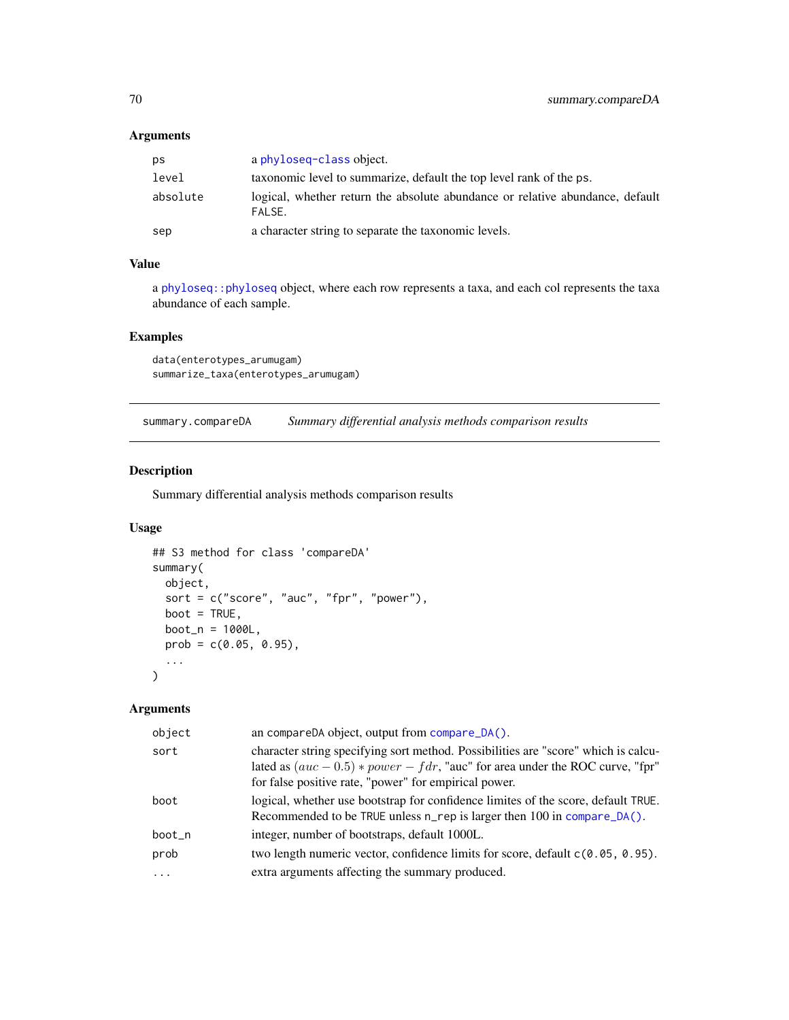## Arguments

| ps       | a phyloseq-class object.                                                                |
|----------|-----------------------------------------------------------------------------------------|
| level    | taxonomic level to summarize, default the top level rank of the ps.                     |
| absolute | logical, whether return the absolute abundance or relative abundance, default<br>FALSE. |
| sep      | a character string to separate the taxonomic levels.                                    |

## Value

a [phyloseq::phyloseq](#page-0-0) object, where each row represents a taxa, and each col represents the taxa abundance of each sample.

## Examples

```
data(enterotypes_arumugam)
summarize_taxa(enterotypes_arumugam)
```
summary.compareDA *Summary differential analysis methods comparison results*

## Description

Summary differential analysis methods comparison results

## Usage

```
## S3 method for class 'compareDA'
summary(
 object,
  sort = c("score", "auc", "fpr", "power"),
 boot = TRUE,
 boot_n = 1000L,
 prob = c(0.05, 0.95),
  ...
\mathcal{L}
```

| object   | an compareDA object, output from compare_DA().                                                                                                                                                                                  |
|----------|---------------------------------------------------------------------------------------------------------------------------------------------------------------------------------------------------------------------------------|
| sort     | character string specifying sort method. Possibilities are "score" which is calcu-<br>lated as $(auc - 0.5) * power - fdr$ , "auc" for area under the ROC curve, "fpr"<br>for false positive rate, "power" for empirical power. |
| boot     | logical, whether use bootstrap for confidence limites of the score, default TRUE.<br>Recommended to be TRUE unless n_rep is larger then 100 in compare_DA().                                                                    |
| boot_n   | integer, number of bootstraps, default 1000L.                                                                                                                                                                                   |
| prob     | two length numeric vector, confidence limits for score, default $c(0.05, 0.95)$ .                                                                                                                                               |
| $\cdots$ | extra arguments affecting the summary produced.                                                                                                                                                                                 |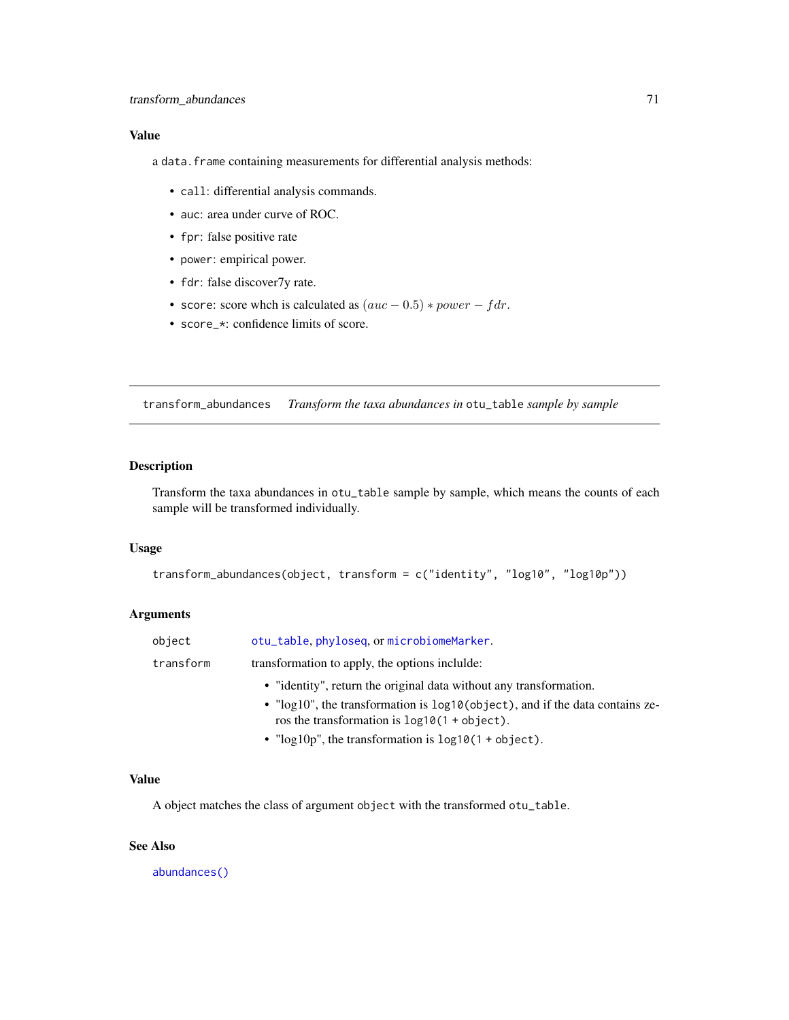a data. frame containing measurements for differential analysis methods:

- call: differential analysis commands.
- auc: area under curve of ROC.
- fpr: false positive rate
- power: empirical power.
- fdr: false discover7y rate.
- score: score whch is calculated as  $(auc 0.5) * power f dr$ .
- score\_\*: confidence limits of score.

<span id="page-70-0"></span>transform\_abundances *Transform the taxa abundances in* otu\_table *sample by sample*

## Description

Transform the taxa abundances in otu\_table sample by sample, which means the counts of each sample will be transformed individually.

## Usage

```
transform_abundances(object, transform = c("identity", "log10", "log10p"))
```
#### Arguments

| object    | otu_table, phyloseq, or microbiomeMarker.                                                                                       |
|-----------|---------------------------------------------------------------------------------------------------------------------------------|
| transform | transformation to apply, the options include:                                                                                   |
|           | • "identity", return the original data without any transformation.                                                              |
|           | • "log10", the transformation is log10(object), and if the data contains ze-<br>ros the transformation is $log10(1 + object)$ . |
|           | • " $log 10p$ ", the transformation is $log 10(1 + object)$ .                                                                   |

#### Value

A object matches the class of argument object with the transformed otu\_table.

#### See Also

[abundances\(\)](#page-2-0)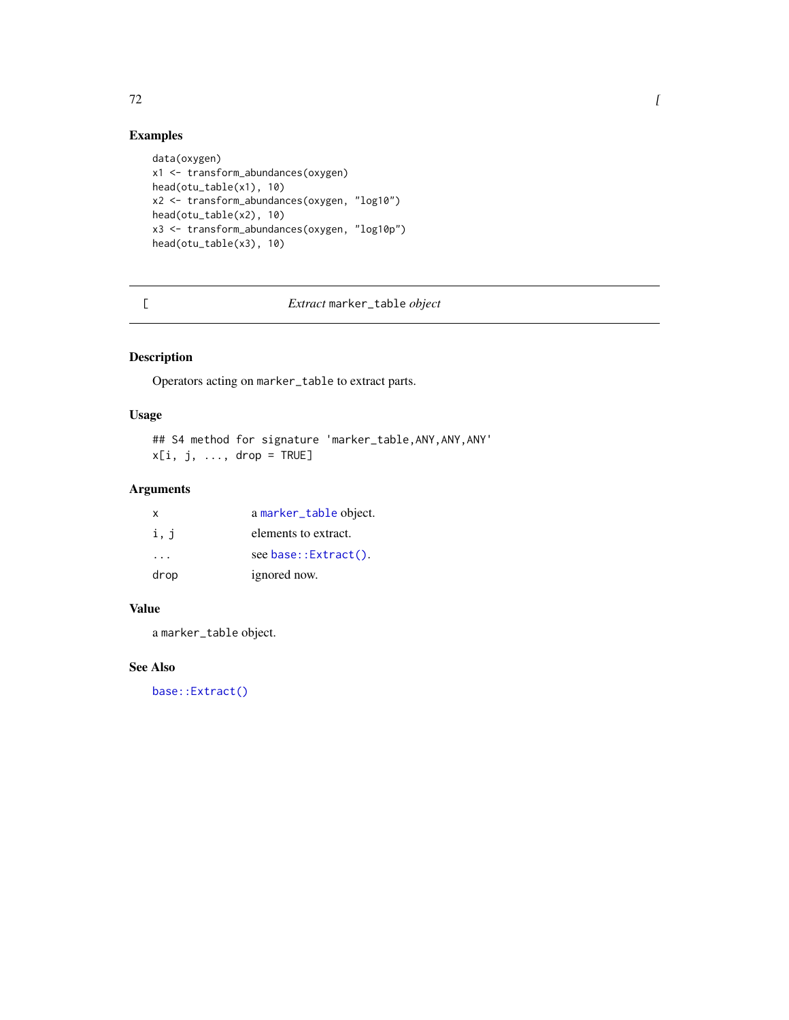# Examples

```
data(oxygen)
x1 <- transform_abundances(oxygen)
head(otu_table(x1), 10)
x2 <- transform_abundances(oxygen, "log10")
head(otu_table(x2), 10)
x3 <- transform_abundances(oxygen, "log10p")
head(otu_table(x3), 10)
```
# [ *Extract* marker\_table *object*

## Description

Operators acting on marker\_table to extract parts.

#### Usage

```
## S4 method for signature 'marker_table, ANY, ANY, ANY'
x[i, j, ..., drop = TRUE]
```
## Arguments

| x        | a marker_table object. |
|----------|------------------------|
| i, j     | elements to extract.   |
| $\cdots$ | see base::Extract().   |
| drop     | ignored now.           |

## Value

a marker\_table object.

## See Also

[base::Extract\(\)](#page-0-0)

 $72$   $\overline{\phantom{a}}$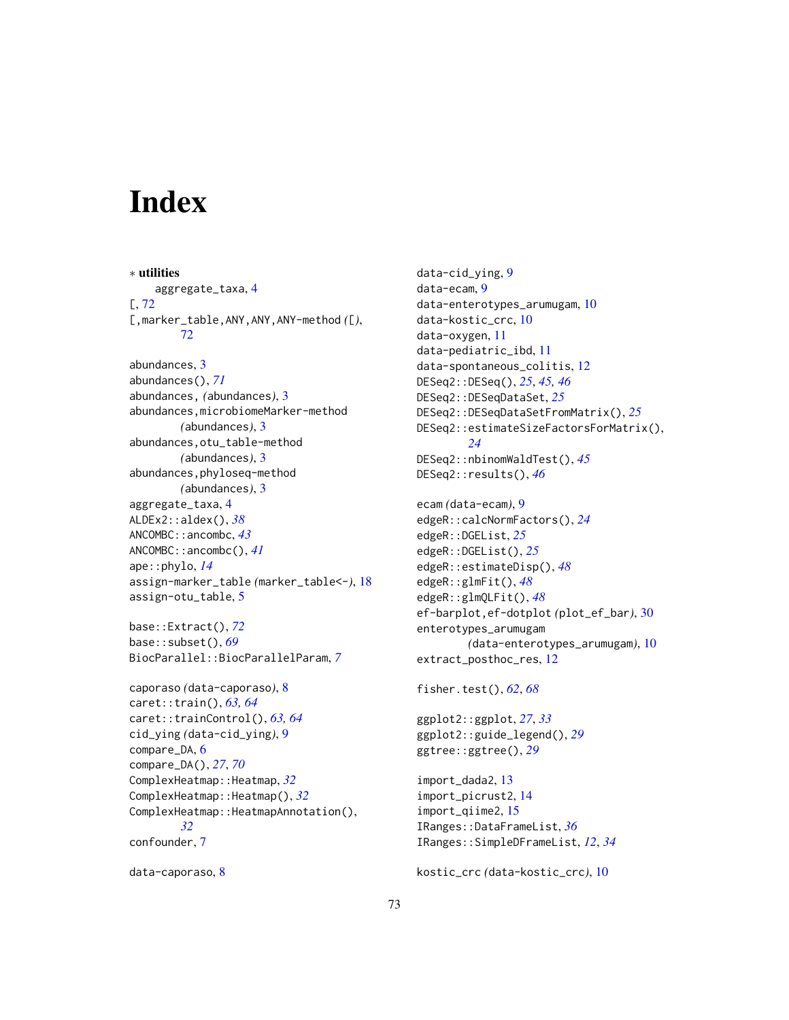## **Index**

∗ utilities aggregate\_taxa, [4](#page-3-0) [, [72](#page-71-0) [,marker\_table,ANY,ANY,ANY-method *(*[*)*, [72](#page-71-0) abundances, [3](#page-2-0) abundances(), *[71](#page-70-0)* abundances, *(*abundances*)*, [3](#page-2-0) abundances,microbiomeMarker-method *(*abundances*)*, [3](#page-2-0) abundances,otu\_table-method *(*abundances*)*, [3](#page-2-0) abundances,phyloseq-method *(*abundances*)*, [3](#page-2-0) aggregate\_taxa, [4](#page-3-0) ALDEx2::aldex(), *[38](#page-37-0)* ANCOMBC::ancombc, *[43](#page-42-0)* ANCOMBC::ancombc(), *[41](#page-40-0)* ape::phylo, *[14](#page-13-0)* assign-marker\_table *(*marker\_table<-*)*, [18](#page-17-0) assign-otu\_table, [5](#page-4-0)

base::Extract(), *[72](#page-71-0)* base::subset(), *[69](#page-68-0)* BiocParallel::BiocParallelParam, *[7](#page-6-0)*

```
caporaso (data-caporaso), 8
caret::train(), 63, 64
caret::trainControl(), 63, 64
cid_ying (data-cid_ying), 9
compare_DA, 6
compare_DA(), 27, 70
ComplexHeatmap::Heatmap, 32
ComplexHeatmap::Heatmap(), 32
ComplexHeatmap::HeatmapAnnotation(),
        32
confounder, 7
```

```
data-caporaso, 8
```

```
data-cid_ying, 9
data-ecam, 9
data-enterotypes_arumugam, 10
data-kostic_crc, 10
data-oxygen, 11
data-pediatric_ibd, 11
data-spontaneous_colitis, 12
DESeq2::DESeq(), 25, 45, 46
DESeq2::DESeqDataSet, 25
DESeq2::DESeqDataSetFromMatrix(), 25
DESeq2::estimateSizeFactorsForMatrix(),
        24
DESeq2::nbinomWaldTest(), 45
DESeq2::results(), 46
ecam (data-ecam), 9
edgeR::calcNormFactors(), 24
edgeR::DGEList, 25
edgeR::DGEList(), 25
edgeR::estimateDisp(), 48
edgeR::glmFit(), 48
edgeR::glmQLFit(), 48
ef-barplot,ef-dotplot (plot_ef_bar), 30
enterotypes_arumugam
        (data-enterotypes_arumugam), 10
extract_posthoc_res, 12
fisher.test(), 62, 68
```
ggplot2::ggplot, *[27](#page-26-0)*, *[33](#page-32-0)* ggplot2::guide\_legend(), *[29](#page-28-0)* ggtree::ggtree(), *[29](#page-28-0)*

```
import_dada2, 13
import_picrust2, 14
import_qiime2, 15
IRanges::DataFrameList, 36
IRanges::SimpleDFrameList, 12, 34
```

```
kostic_crc (data-kostic_crc), 10
```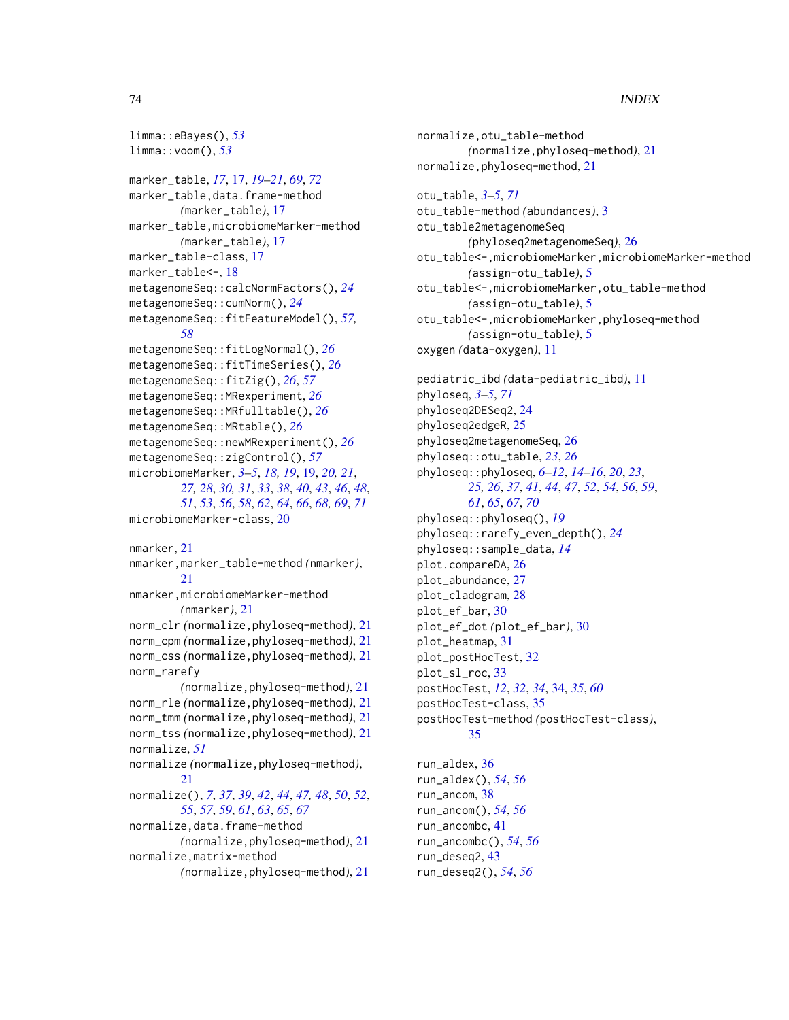## 74 INDEX

```
limma::eBayes(), 53
limma::voom(), 53
marker_table, 17, 17, 19–21, 69, 72
marker_table,data.frame-method
        (marker_table), 17
marker_table,microbiomeMarker-method
        (marker_table), 17
marker_table-class, 17
marker_table<-, 18
metagenomeSeq::calcNormFactors(), 24
metagenomeSeq::cumNorm(), 24
metagenomeSeq::fitFeatureModel(), 57,
        58
metagenomeSeq::fitLogNormal(), 26
metagenomeSeq::fitTimeSeries(), 26
metagenomeSeq::fitZig(), 26, 57
metagenomeSeq::MRexperiment, 26
metagenomeSeq::MRfulltable(), 26
metagenomeSeq::MRtable(), 26
metagenomeSeq::newMRexperiment(), 26
metagenomeSeq::zigControl(), 57
microbiomeMarker, 3–5, 18, 19, 19, 20, 21,
        27, 28, 30, 31, 33, 38, 40, 43, 46, 48,
        51, 53, 56, 58, 62, 64, 66, 68, 69, 71
microbiomeMarker-class, 20
nmarker, 21
nmarker,marker_table-method (nmarker),
        21
nmarker,microbiomeMarker-method
        (nmarker), 21
norm_clr (normalize,phyloseq-method), 21
norm_cpm (normalize,phyloseq-method), 21
norm_css (normalize,phyloseq-method), 21
norm_rarefy
        (normalize,phyloseq-method), 21
norm_rle (normalize,phyloseq-method), 21
norm_tmm (normalize,phyloseq-method), 21
norm_tss (normalize,phyloseq-method), 21
normalize, 51
normalize (normalize,phyloseq-method),
        21
normalize(), 7, 37, 39, 42, 44, 47, 48, 50, 52,
        55, 57, 59, 61, 63, 65, 67
normalize,data.frame-method
        (normalize,phyloseq-method), 21
normalize,matrix-method
        (normalize,phyloseq-method), 21
```
normalize,otu\_table-method *(*normalize,phyloseq-method*)*, [21](#page-20-0) normalize,phyloseq-method, [21](#page-20-0) otu\_table, *[3](#page-2-0)[–5](#page-4-0)*, *[71](#page-70-0)* otu\_table-method *(*abundances*)*, [3](#page-2-0) otu\_table2metagenomeSeq *(*phyloseq2metagenomeSeq*)*, [26](#page-25-0) otu\_table<-,microbiomeMarker,microbiomeMarker-method *(*assign-otu\_table*)*, [5](#page-4-0) otu\_table<-,microbiomeMarker,otu\_table-method *(*assign-otu\_table*)*, [5](#page-4-0) otu\_table<-,microbiomeMarker,phyloseq-method *(*assign-otu\_table*)*, [5](#page-4-0) oxygen *(*data-oxygen*)*, [11](#page-10-0) pediatric\_ibd *(*data-pediatric\_ibd*)*, [11](#page-10-0) phyloseq, *[3](#page-2-0)[–5](#page-4-0)*, *[71](#page-70-0)* phyloseq2DESeq2, [24](#page-23-0) phyloseq2edgeR, [25](#page-24-0) phyloseq2metagenomeSeq, [26](#page-25-0) phyloseq::otu\_table, *[23](#page-22-0)*, *[26](#page-25-0)* phyloseq::phyloseq, *[6](#page-5-0)[–12](#page-11-0)*, *[14](#page-13-0)[–16](#page-15-0)*, *[20](#page-19-0)*, *[23](#page-22-0)*, *[25,](#page-24-0) [26](#page-25-0)*, *[37](#page-36-0)*, *[41](#page-40-0)*, *[44](#page-43-0)*, *[47](#page-46-0)*, *[52](#page-51-0)*, *[54](#page-53-0)*, *[56](#page-55-0)*, *[59](#page-58-0)*, *[61](#page-60-0)*, *[65](#page-64-0)*, *[67](#page-66-0)*, *[70](#page-69-0)* phyloseq::phyloseq(), *[19](#page-18-0)* phyloseq::rarefy\_even\_depth(), *[24](#page-23-0)* phyloseq::sample\_data, *[14](#page-13-0)* plot.compareDA, [26](#page-25-0) plot\_abundance, [27](#page-26-0) plot\_cladogram, [28](#page-27-0) plot\_ef\_bar, [30](#page-29-0) plot\_ef\_dot *(*plot\_ef\_bar*)*, [30](#page-29-0) plot\_heatmap, [31](#page-30-0) plot\_postHocTest, [32](#page-31-0) plot\_sl\_roc, [33](#page-32-0) postHocTest, *[12](#page-11-0)*, *[32](#page-31-0)*, *[34](#page-33-0)*, [34,](#page-33-0) *[35](#page-34-0)*, *[60](#page-59-0)* postHocTest-class, [35](#page-34-0) postHocTest-method *(*postHocTest-class*)*, [35](#page-34-0) run\_aldex, [36](#page-35-0) run\_aldex(), *[54](#page-53-0)*, *[56](#page-55-0)* run\_ancom, [38](#page-37-0) run\_ancom(), *[54](#page-53-0)*, *[56](#page-55-0)* run\_ancombc, [41](#page-40-0)

run\_ancombc(), *[54](#page-53-0)*, *[56](#page-55-0)* run\_deseq2, [43](#page-42-0) run\_deseq2(), *[54](#page-53-0)*, *[56](#page-55-0)*